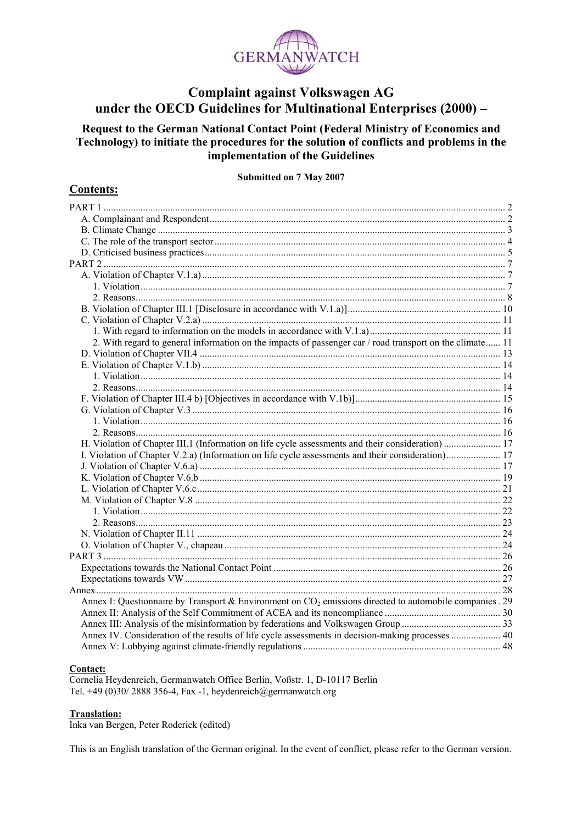

### **Complaint against Volkswagen AG** under the OECD Guidelines for Multinational Enterprises (2000) –

Request to the German National Contact Point (Federal Ministry of Economics and Technology) to initiate the procedures for the solution of conflicts and problems in the implementation of the Guidelines

#### Submitted on 7 May 2007

#### 2. With regard to general information on the impacts of passenger car / road transport on the climate...... 11 Annex I: Questionnaire by Transport & Environment on  $CO<sub>2</sub>$  emissions directed to automobile companies . 29 Annex IV. Consideration of the results of life cycle assessments in decision-making processes ................... 40

#### Contact:

**Contents:** 

Cornelia Heydenreich, Germanwatch Office Berlin, Voßstr. 1, D-10117 Berlin Tel. +49 (0)30/2888 356-4, Fax -1, heydenreich@germanwatch.org

#### **Translation:**

Inka van Bergen, Peter Roderick (edited)

This is an English translation of the German original. In the event of conflict, please refer to the German version.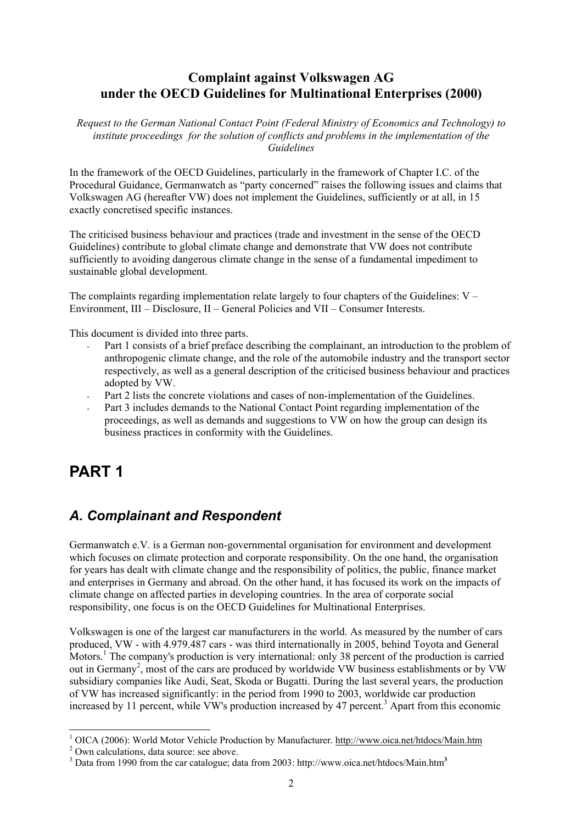## **Complaint against Volkswagen AG under the OECD Guidelines for Multinational Enterprises (2000)**

*Request to the German National Contact Point (Federal Ministry of Economics and Technology) to institute proceedings for the solution of conflicts and problems in the implementation of the Guidelines*

In the framework of the OECD Guidelines, particularly in the framework of Chapter I.C. of the Procedural Guidance, Germanwatch as "party concerned" raises the following issues and claims that Volkswagen AG (hereafter VW) does not implement the Guidelines, sufficiently or at all, in 15 exactly concretised specific instances.

The criticised business behaviour and practices (trade and investment in the sense of the OECD Guidelines) contribute to global climate change and demonstrate that VW does not contribute sufficiently to avoiding dangerous climate change in the sense of a fundamental impediment to sustainable global development.

The complaints regarding implementation relate largely to four chapters of the Guidelines:  $V -$ Environment, III – Disclosure, II – General Policies and VII – Consumer Interests.

This document is divided into three parts.

- Part 1 consists of a brief preface describing the complainant, an introduction to the problem of anthropogenic climate change, and the role of the automobile industry and the transport sector respectively, as well as a general description of the criticised business behaviour and practices adopted by VW.
- Part 2 lists the concrete violations and cases of non-implementation of the Guidelines.
- Part 3 includes demands to the National Contact Point regarding implementation of the proceedings, as well as demands and suggestions to VW on how the group can design its business practices in conformity with the Guidelines.

# **PART 1**

# *A. Complainant and Respondent*

Germanwatch e.V. is a German non-governmental organisation for environment and development which focuses on climate protection and corporate responsibility. On the one hand, the organisation for years has dealt with climate change and the responsibility of politics, the public, finance market and enterprises in Germany and abroad. On the other hand, it has focused its work on the impacts of climate change on affected parties in developing countries. In the area of corporate social responsibility, one focus is on the OECD Guidelines for Multinational Enterprises.

Volkswagen is one of the largest car manufacturers in the world. As measured by the number of cars produced, VW - with 4.979.487 cars - was third internationally in 2005, behind Toyota and General Motors.<sup>1</sup> The company's production is very international: only 38 percent of the production is carried out in Germany<sup>2</sup>, most of the cars are produced by worldwide VW business establishments or by VW subsidiary companies like Audi, Seat, Skoda or Bugatti. During the last several years, the production of VW has increased significantly: in the period from 1990 to 2003, worldwide car production increased by 11 percent, while VW's production increased by 47 percent.<sup>3</sup> Apart from this economic

<sup>&</sup>lt;sup>1</sup> OICA (2006): World Motor Vehicle Production by Manufacturer. http://www.oica.net/htdocs/Main.htm

<sup>&</sup>lt;sup>2</sup> Own calculations, data source: see above.

<sup>3</sup> Data from 1990 from the car catalogue; data from 2003: http://www.oica.net/htdocs/Main.htm**<sup>3</sup>**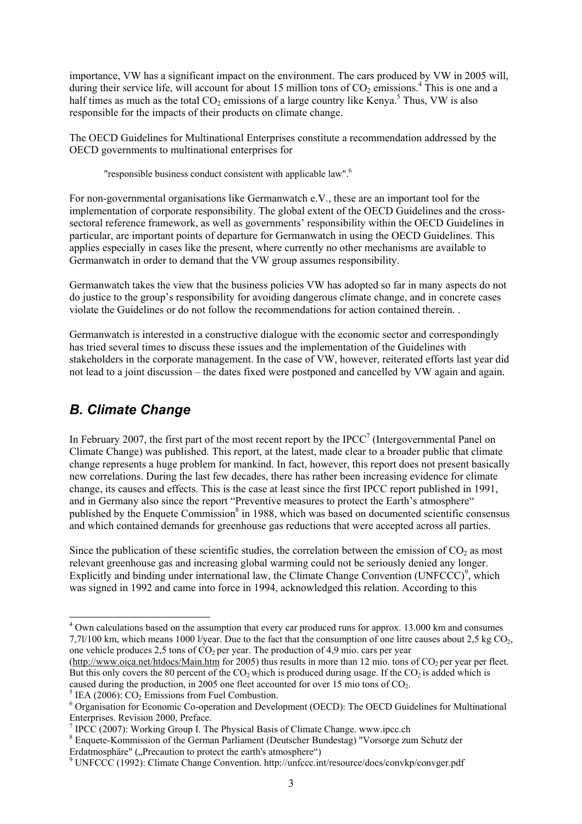importance, VW has a significant impact on the environment. The cars produced by VW in 2005 will, during their service life, will account for about 15 million tons of  $CO_2$  emissions.<sup>4</sup> This is one and a half times as much as the total  $CO_2$  emissions of a large country like Kenya.<sup>5</sup> Thus, VW is also responsible for the impacts of their products on climate change.

The OECD Guidelines for Multinational Enterprises constitute a recommendation addressed by the OECD governments to multinational enterprises for

"responsible business conduct consistent with applicable law".6

For non-governmental organisations like Germanwatch e.V., these are an important tool for the implementation of corporate responsibility. The global extent of the OECD Guidelines and the crosssectoral reference framework, as well as governments' responsibility within the OECD Guidelines in particular, are important points of departure for Germanwatch in using the OECD Guidelines. This applies especially in cases like the present, where currently no other mechanisms are available to Germanwatch in order to demand that the VW group assumes responsibility.

Germanwatch takes the view that the business policies VW has adopted so far in many aspects do not do justice to the group's responsibility for avoiding dangerous climate change, and in concrete cases violate the Guidelines or do not follow the recommendations for action contained therein. .

Germanwatch is interested in a constructive dialogue with the economic sector and correspondingly has tried several times to discuss these issues and the implementation of the Guidelines with stakeholders in the corporate management. In the case of VW, however, reiterated efforts last year did not lead to a joint discussion – the dates fixed were postponed and cancelled by VW again and again.

# *B. Climate Change*

l

In February 2007, the first part of the most recent report by the IPCC<sup>7</sup> (Intergovernmental Panel on Climate Change) was published. This report, at the latest, made clear to a broader public that climate change represents a huge problem for mankind. In fact, however, this report does not present basically new correlations. During the last few decades, there has rather been increasing evidence for climate change, its causes and effects. This is the case at least since the first IPCC report published in 1991, and in Germany also since the report "Preventive measures to protect the Earth's atmosphere" published by the Enquete Commission<sup>8</sup> in 1988, which was based on documented scientific consensus and which contained demands for greenhouse gas reductions that were accepted across all parties.

Since the publication of these scientific studies, the correlation between the emission of  $CO<sub>2</sub>$  as most relevant greenhouse gas and increasing global warming could not be seriously denied any longer. Explicitly and binding under international law, the Climate Change Convention  $(UNFCCC)^9$ , which was signed in 1992 and came into force in 1994, acknowledged this relation. According to this

(http://www.oica.net/htdocs/Main.htm for 2005) thus results in more than 12 mio. tons of  $CO<sub>2</sub>$  per year per fleet. But this only covers the 80 percent of the  $CO<sub>2</sub>$  which is produced during usage. If the  $CO<sub>2</sub>$  is added which is caused during the production, in 2005 one fleet accounted for over 15 mio tons of  $CO<sub>2</sub>$ .

<sup>&</sup>lt;sup>4</sup> Own calculations based on the assumption that every car produced runs for approx. 13.000 km and consumes 7,7l/100 km, which means 1000 l/year. Due to the fact that the consumption of one litre causes about 2,5 kg CO2, one vehicle produces 2,5 tons of  $CO<sub>2</sub>$  per year. The production of 4,9 mio. cars per year

 $<sup>5</sup>$  IEA (2006): CO<sub>2</sub> Emissions from Fuel Combustion.</sup>

<sup>&</sup>lt;sup>6</sup> Organisation for Economic Co-operation and Development (OECD): The OECD Guidelines for Multinational Enterprises. Revision 2000, Preface.

<sup>&</sup>lt;sup>7</sup> IPCC (2007): Working Group I. The Physical Basis of Climate Change. www.ipcc.ch

<sup>&</sup>lt;sup>8</sup> Enquete-Kommission of the German Parliament (Deutscher Bundestag) "Vorsorge zum Schutz der

Erdatmosphäre" ("Precaution to protect the earth's atmosphere")

UNFCCC (1992): Climate Change Convention. http://unfccc.int/resource/docs/convkp/convger.pdf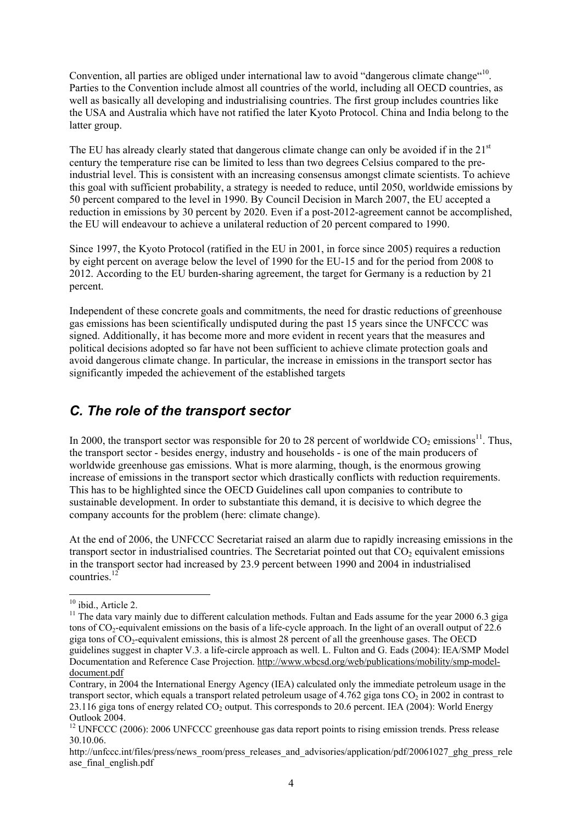Convention, all parties are obliged under international law to avoid "dangerous climate change"<sup>10</sup>. Parties to the Convention include almost all countries of the world, including all OECD countries, as well as basically all developing and industrialising countries. The first group includes countries like the USA and Australia which have not ratified the later Kyoto Protocol. China and India belong to the latter group.

The EU has already clearly stated that dangerous climate change can only be avoided if in the  $21<sup>st</sup>$ century the temperature rise can be limited to less than two degrees Celsius compared to the preindustrial level. This is consistent with an increasing consensus amongst climate scientists. To achieve this goal with sufficient probability, a strategy is needed to reduce, until 2050, worldwide emissions by 50 percent compared to the level in 1990. By Council Decision in March 2007, the EU accepted a reduction in emissions by 30 percent by 2020. Even if a post-2012-agreement cannot be accomplished, the EU will endeavour to achieve a unilateral reduction of 20 percent compared to 1990.

Since 1997, the Kyoto Protocol (ratified in the EU in 2001, in force since 2005) requires a reduction by eight percent on average below the level of 1990 for the EU-15 and for the period from 2008 to 2012. According to the EU burden-sharing agreement, the target for Germany is a reduction by 21 percent.

Independent of these concrete goals and commitments, the need for drastic reductions of greenhouse gas emissions has been scientifically undisputed during the past 15 years since the UNFCCC was signed. Additionally, it has become more and more evident in recent years that the measures and political decisions adopted so far have not been sufficient to achieve climate protection goals and avoid dangerous climate change. In particular, the increase in emissions in the transport sector has significantly impeded the achievement of the established targets

# *C. The role of the transport sector*

In 2000, the transport sector was responsible for 20 to 28 percent of worldwide  $CO_2$  emissions<sup>11</sup>. Thus, the transport sector - besides energy, industry and households - is one of the main producers of worldwide greenhouse gas emissions. What is more alarming, though, is the enormous growing increase of emissions in the transport sector which drastically conflicts with reduction requirements. This has to be highlighted since the OECD Guidelines call upon companies to contribute to sustainable development. In order to substantiate this demand, it is decisive to which degree the company accounts for the problem (here: climate change).

At the end of 2006, the UNFCCC Secretariat raised an alarm due to rapidly increasing emissions in the transport sector in industrialised countries. The Secretariat pointed out that  $CO<sub>2</sub>$  equivalent emissions in the transport sector had increased by 23.9 percent between 1990 and 2004 in industrialised countries.<sup>12</sup>

l  $10$  ibid., Article 2.

<sup>&</sup>lt;sup>11</sup> The data vary mainly due to different calculation methods. Fultan and Eads assume for the year 2000 6.3 giga tons of CO<sub>2</sub>-equivalent emissions on the basis of a life-cycle approach. In the light of an overall output of 22.6 giga tons of  $CO_2$ -equivalent emissions, this is almost 28 percent of all the greenhouse gases. The OECD guidelines suggest in chapter V.3. a life-circle approach as well. L. Fulton and G. Eads (2004): IEA/SMP Model Documentation and Reference Case Projection. http://www.wbcsd.org/web/publications/mobility/smp-modeldocument.pdf

Contrary, in 2004 the International Energy Agency (IEA) calculated only the immediate petroleum usage in the transport sector, which equals a transport related petroleum usage of 4.762 giga tons  $CO<sub>2</sub>$  in 2002 in contrast to  $23.116$  giga tons of energy related CO<sub>2</sub> output. This corresponds to 20.6 percent. IEA (2004): World Energy Outlook 2004.

<sup>&</sup>lt;sup>12</sup> UNFCCC (2006): 2006 UNFCCC greenhouse gas data report points to rising emission trends. Press release 30.10.06.

http://unfccc.int/files/press/news\_room/press\_releases\_and\_advisories/application/pdf/20061027\_ghg\_press\_rele ase final english.pdf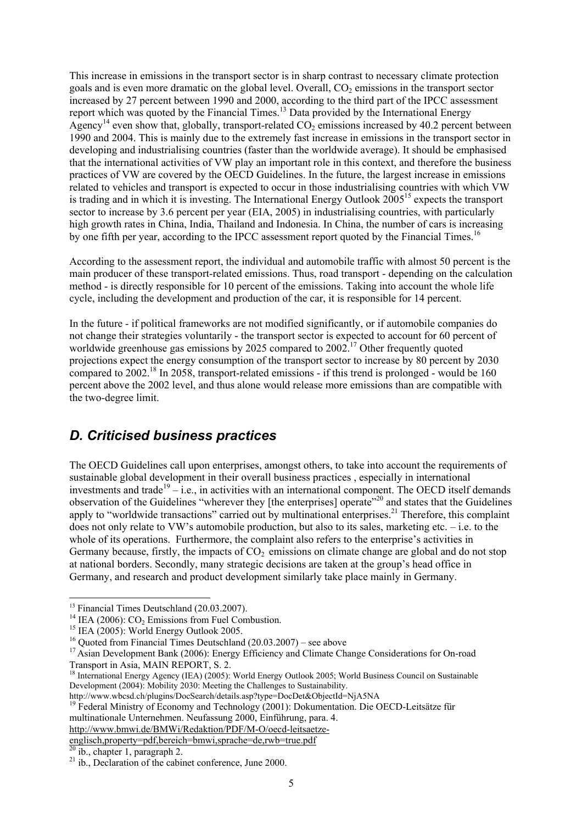This increase in emissions in the transport sector is in sharp contrast to necessary climate protection goals and is even more dramatic on the global level. Overall,  $CO<sub>2</sub>$  emissions in the transport sector increased by 27 percent between 1990 and 2000, according to the third part of the IPCC assessment report which was quoted by the Financial Times.13 Data provided by the International Energy Agency<sup>14</sup> even show that, globally, transport-related  $CO<sub>2</sub>$  emissions increased by 40.2 percent between 1990 and 2004. This is mainly due to the extremely fast increase in emissions in the transport sector in developing and industrialising countries (faster than the worldwide average). It should be emphasised that the international activities of VW play an important role in this context, and therefore the business practices of VW are covered by the OECD Guidelines. In the future, the largest increase in emissions related to vehicles and transport is expected to occur in those industrialising countries with which VW is trading and in which it is investing. The International Energy Outlook 2005<sup>15</sup> expects the transport sector to increase by 3.6 percent per year (EIA, 2005) in industrialising countries, with particularly high growth rates in China, India, Thailand and Indonesia. In China, the number of cars is increasing by one fifth per year, according to the IPCC assessment report quoted by the Financial Times.<sup>16</sup>

According to the assessment report, the individual and automobile traffic with almost 50 percent is the main producer of these transport-related emissions. Thus, road transport - depending on the calculation method - is directly responsible for 10 percent of the emissions. Taking into account the whole life cycle, including the development and production of the car, it is responsible for 14 percent.

In the future - if political frameworks are not modified significantly, or if automobile companies do not change their strategies voluntarily - the transport sector is expected to account for 60 percent of worldwide greenhouse gas emissions by 2025 compared to 2002.<sup>17</sup> Other frequently quoted projections expect the energy consumption of the transport sector to increase by 80 percent by 2030 compared to 2002.18 In 2058, transport-related emissions - if this trend is prolonged - would be 160 percent above the 2002 level, and thus alone would release more emissions than are compatible with the two-degree limit.

## *D. Criticised business practices*

The OECD Guidelines call upon enterprises, amongst others, to take into account the requirements of sustainable global development in their overall business practices , especially in international investments and trade<sup>19</sup> – i.e., in activities with an international component. The OECD itself demands observation of the Guidelines "wherever they [the enterprises] operate"20 and states that the Guidelines apply to "worldwide transactions" carried out by multinational enterprises.<sup>21</sup> Therefore, this complaint does not only relate to VW's automobile production, but also to its sales, marketing etc. – i.e. to the whole of its operations. Furthermore, the complaint also refers to the enterprise's activities in Germany because, firstly, the impacts of  $CO<sub>2</sub>$  emissions on climate change are global and do not stop at national borders. Secondly, many strategic decisions are taken at the group's head office in Germany, and research and product development similarly take place mainly in Germany.

l

http://www.west.ch.p.pet.com/plugins-program-<br><sup>19</sup> Federal Ministry of Economy and Technology (2001): Dokumentation. Die OECD-Leitsätze für multinationale Unternehmen. Neufassung 2000, Einführung, para. 4.

http://www.bmwi.de/BMWi/Redaktion/PDF/M-O/oecd-leitsaetzeenglisch,property=pdf,bereich=bmwi,sprache=de,rwb=true.pdf

<sup>&</sup>lt;sup>13</sup> Financial Times Deutschland (20.03.2007).<br><sup>14</sup> IEA (2006): CO<sub>2</sub> Emissions from Fuel Combustion.<br><sup>15</sup> IEA (2005): World Energy Outlook 2005.

<sup>&</sup>lt;sup>16</sup> Ouoted from Financial Times Deutschland  $(20.03.2007)$  – see above

<sup>&</sup>lt;sup>17</sup> Asian Development Bank (2006): Energy Efficiency and Climate Change Considerations for On-road Transport in Asia, MAIN REPORT, S. 2.

<sup>&</sup>lt;sup>18</sup> International Energy Agency (IEA) (2005): World Energy Outlook 2005; World Business Council on Sustainable Development (2004): Mobility 2030: Meeting the Challenges to Sustainability.<br>http://www.wbcsd.ch/plugins/DocSearch/details.asp?type=DocDet&ObjectId=NjA5NA

 $20$  ib., chapter 1, paragraph 2.

 $21$  ib., Declaration of the cabinet conference, June 2000.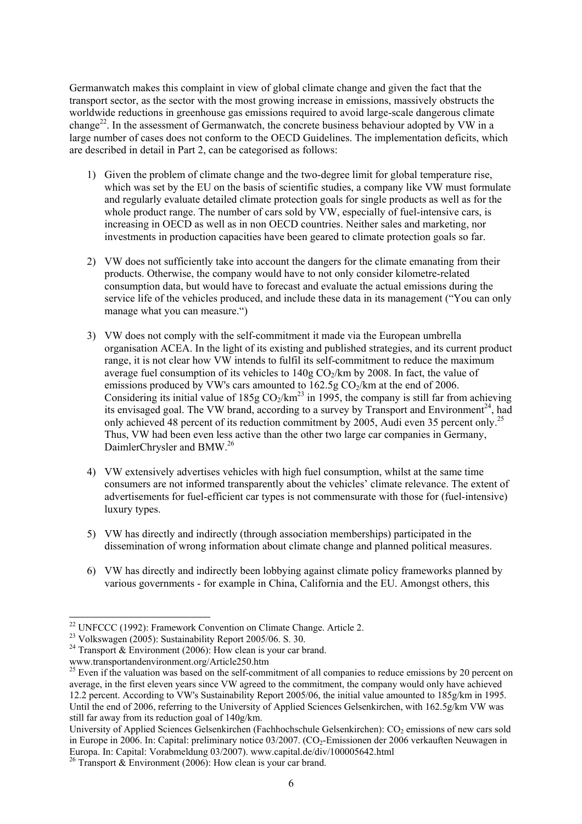Germanwatch makes this complaint in view of global climate change and given the fact that the transport sector, as the sector with the most growing increase in emissions, massively obstructs the worldwide reductions in greenhouse gas emissions required to avoid large-scale dangerous climate change<sup>22</sup>. In the assessment of Germanwatch, the concrete business behaviour adopted by VW in a large number of cases does not conform to the OECD Guidelines. The implementation deficits, which are described in detail in Part 2, can be categorised as follows:

- 1) Given the problem of climate change and the two-degree limit for global temperature rise, which was set by the EU on the basis of scientific studies, a company like VW must formulate and regularly evaluate detailed climate protection goals for single products as well as for the whole product range. The number of cars sold by VW, especially of fuel-intensive cars, is increasing in OECD as well as in non OECD countries. Neither sales and marketing, nor investments in production capacities have been geared to climate protection goals so far.
- 2) VW does not sufficiently take into account the dangers for the climate emanating from their products. Otherwise, the company would have to not only consider kilometre-related consumption data, but would have to forecast and evaluate the actual emissions during the service life of the vehicles produced, and include these data in its management ("You can only manage what you can measure.")
- 3) VW does not comply with the self-commitment it made via the European umbrella organisation ACEA. In the light of its existing and published strategies, and its current product range, it is not clear how VW intends to fulfil its self-commitment to reduce the maximum average fuel consumption of its vehicles to  $140g$  CO<sub>2</sub>/km by 2008. In fact, the value of emissions produced by VW's cars amounted to  $162.5g \text{CO}_2/\text{km}$  at the end of 2006. Considering its initial value of  $185g \text{CO}_2/km^{23}$  in 1995, the company is still far from achieving its envisaged goal. The VW brand, according to a survey by Transport and Environment<sup>24</sup>, had only achieved 48 percent of its reduction commitment by 2005, Audi even 35 percent only.<sup>25</sup> Thus, VW had been even less active than the other two large car companies in Germany, DaimlerChrysler and BMW.<sup>26</sup>
- 4) VW extensively advertises vehicles with high fuel consumption, whilst at the same time consumers are not informed transparently about the vehicles' climate relevance. The extent of advertisements for fuel-efficient car types is not commensurate with those for (fuel-intensive) luxury types.
- 5) VW has directly and indirectly (through association memberships) participated in the dissemination of wrong information about climate change and planned political measures.
- 6) VW has directly and indirectly been lobbying against climate policy frameworks planned by various governments - for example in China, California and the EU. Amongst others, this

<sup>&</sup>lt;sup>22</sup> UNFCCC (1992): Framework Convention on Climate Change. Article 2.

 $^{23}$  Volkswagen (2005): Sustainability Report 2005/06. S. 30.

<sup>&</sup>lt;sup>24</sup> Transport  $\&$  Environment (2006): How clean is your car brand.

www.transportandenvironment.org/Article250.htm

<sup>&</sup>lt;sup>25</sup> Even if the valuation was based on the self-commitment of all companies to reduce emissions by 20 percent on average, in the first eleven years since VW agreed to the commitment, the company would only have achieved 12.2 percent. According to VW's Sustainability Report 2005/06, the initial value amounted to 185g/km in 1995. Until the end of 2006, referring to the University of Applied Sciences Gelsenkirchen, with 162.5g/km VW was still far away from its reduction goal of 140g/km.

University of Applied Sciences Gelsenkirchen (Fachhochschule Gelsenkirchen): CO<sub>2</sub> emissions of new cars sold in Europe in 2006. In: Capital: preliminary notice 03/2007. (CO2-Emissionen der 2006 verkauften Neuwagen in Europa. In: Capital: Vorabmeldung 03/2007). www.capital.de/div/100005642.html

<sup>&</sup>lt;sup>26</sup> Transport & Environment (2006): How clean is your car brand.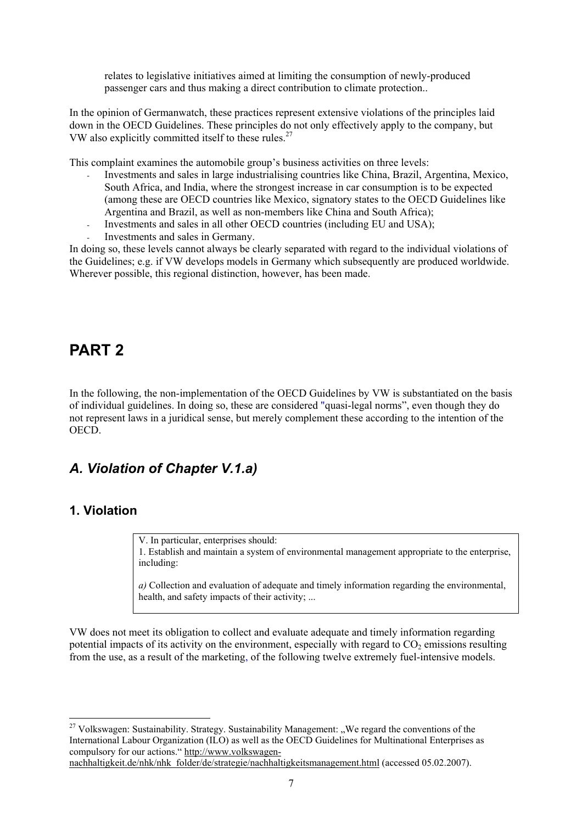relates to legislative initiatives aimed at limiting the consumption of newly-produced passenger cars and thus making a direct contribution to climate protection..

In the opinion of Germanwatch, these practices represent extensive violations of the principles laid down in the OECD Guidelines. These principles do not only effectively apply to the company, but VW also explicitly committed itself to these rules.<sup>27</sup>

This complaint examines the automobile group's business activities on three levels:

- Investments and sales in large industrialising countries like China, Brazil, Argentina, Mexico, South Africa, and India, where the strongest increase in car consumption is to be expected (among these are OECD countries like Mexico, signatory states to the OECD Guidelines like Argentina and Brazil, as well as non-members like China and South Africa);
- Investments and sales in all other OECD countries (including EU and USA);
- Investments and sales in Germany.

In doing so, these levels cannot always be clearly separated with regard to the individual violations of the Guidelines; e.g. if VW develops models in Germany which subsequently are produced worldwide. Wherever possible, this regional distinction, however, has been made.

# **PART 2**

In the following, the non-implementation of the OECD Guidelines by VW is substantiated on the basis of individual guidelines. In doing so, these are considered "quasi-legal norms", even though they do not represent laws in a juridical sense, but merely complement these according to the intention of the OECD.

## *A. Violation of Chapter V.1.a)*

### **1. Violation**

l

V. In particular, enterprises should: 1. Establish and maintain a system of environmental management appropriate to the enterprise, including:

*a)* Collection and evaluation of adequate and timely information regarding the environmental, health, and safety impacts of their activity; ...

VW does not meet its obligation to collect and evaluate adequate and timely information regarding potential impacts of its activity on the environment, especially with regard to  $CO<sub>2</sub>$  emissions resulting from the use, as a result of the marketing, of the following twelve extremely fuel-intensive models.

nachhaltigkeit.de/nhk/nhk\_folder/de/strategie/nachhaltigkeitsmanagement.html (accessed 05.02.2007).

 $27$  Volkswagen: Sustainability. Strategy. Sustainability Management: "We regard the conventions of the International Labour Organization (ILO) as well as the OECD Guidelines for Multinational Enterprises as compulsory for our actions." http://www.volkswagen-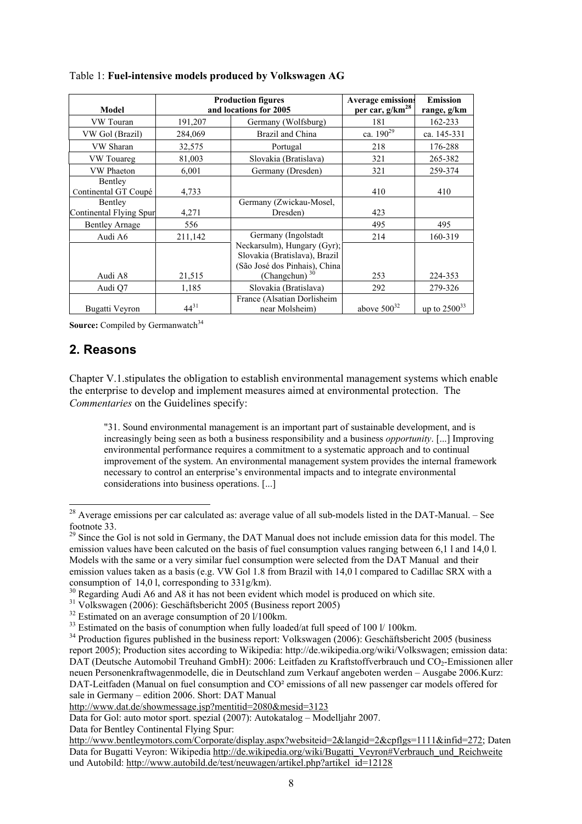| Model                              | <b>Production figures</b><br>and locations for 2005 |                                                                                               | <b>Average emissions</b><br>per car, g/km <sup>28</sup> | <b>Emission</b><br>range, g/km |
|------------------------------------|-----------------------------------------------------|-----------------------------------------------------------------------------------------------|---------------------------------------------------------|--------------------------------|
| VW Touran                          | 191,207                                             | Germany (Wolfsburg)                                                                           | 181                                                     | 162-233                        |
| VW Gol (Brazil)                    | 284,069                                             | Brazil and China                                                                              | ca. $190^{29}$                                          | ca. 145-331                    |
| VW Sharan                          | 32,575                                              | Portugal                                                                                      | 218                                                     | 176-288                        |
| VW Touareg                         | 81,003                                              | Slovakia (Bratislava)                                                                         | 321                                                     | 265-382                        |
| <b>VW Phaeton</b>                  | 6,001                                               | Germany (Dresden)                                                                             | 321                                                     | 259-374                        |
| Bentley<br>Continental GT Coupé    | 4,733                                               |                                                                                               | 410                                                     | 410                            |
| Bentley<br>Continental Flying Spur | 4,271                                               | Germany (Zwickau-Mosel,<br>Dresden)                                                           | 423                                                     |                                |
| <b>Bentley Arnage</b>              | 556                                                 |                                                                                               | 495                                                     | 495                            |
| Audi A6                            | 211,142                                             | Germany (Ingolstadt                                                                           | 214                                                     | 160-319                        |
|                                    |                                                     | Neckarsulm), Hungary (Gyr);<br>Slovakia (Bratislava), Brazil<br>(São José dos Pinhais), China |                                                         |                                |
| Audi A8                            | 21,515                                              | (Changchun) $30$                                                                              | 253                                                     | 224-353                        |
| Audi O7                            | 1,185                                               | Slovakia (Bratislava)                                                                         | 292                                                     | 279-326                        |
| Bugatti Veyron                     | $44^{31}$                                           | France (Alsatian Dorlisheim<br>near Molsheim)                                                 | above $500^{32}$                                        | up to $2500^{33}$              |

### Table 1: **Fuel-intensive models produced by Volkswagen AG**

**Source:** Compiled by Germanwatch<sup>34</sup>

### **2. Reasons**

l

Chapter V.1.stipulates the obligation to establish environmental management systems which enable the enterprise to develop and implement measures aimed at environmental protection. The *Commentaries* on the Guidelines specify:

"31. Sound environmental management is an important part of sustainable development, and is increasingly being seen as both a business responsibility and a business *opportunity*. [...] Improving environmental performance requires a commitment to a systematic approach and to continual improvement of the system. An environmental management system provides the internal framework necessary to control an enterprise's environmental impacts and to integrate environmental considerations into business operations. [...]

Data for Bentley Continental Flying Spur:

<sup>&</sup>lt;sup>28</sup> Average emissions per car calculated as: average value of all sub-models listed in the DAT-Manual. – See footnote 33.

<sup>&</sup>lt;sup>29</sup> Since the Gol is not sold in Germany, the DAT Manual does not include emission data for this model. The emission values have been calcuted on the basis of fuel consumption values ranging between 6,1 l and 14,0 l. Models with the same or a very similar fuel consumption were selected from the DAT Manual and their emission values taken as a basis (e.g. VW Gol 1.8 from Brazil with 14,0 l compared to Cadillac SRX with a consumption of 14,0 l, corresponding to 331g/km).

 $30$  Regarding Audi A6 and A8 it has not been evident which model is produced on which site.

<sup>31</sup> Volkswagen (2006): Geschäftsbericht 2005 (Business report 2005)

 $32$  Estimated on an average consumption of 20  $1/100$ km.

 $33$  Estimated on the basis of conumption when fully loaded/at full speed of 100 l/ 100 km.

 $34$  Production figures published in the business report: Volkswagen (2006): Geschäftsbericht 2005 (business report 2005); Production sites according to Wikipedia: http://de.wikipedia.org/wiki/Volkswagen; emission data: DAT (Deutsche Automobil Treuhand GmbH): 2006: Leitfaden zu Kraftstoffverbrauch und CO<sub>2</sub>-Emissionen aller neuen Personenkraftwagenmodelle, die in Deutschland zum Verkauf angeboten werden – Ausgabe 2006.Kurz: DAT-Leitfaden (Manual on fuel consumption and CO<sup>2</sup> emissions of all new passenger car models offered for sale in Germany – edition 2006. Short: DAT Manual

http://www.dat.de/showmessage.jsp?mentitid=2080&mesid=3123

Data for Gol: auto motor sport. spezial (2007): Autokatalog – Modelljahr 2007.

http://www.bentleymotors.com/Corporate/display.aspx?websiteid=2&langid=2&cpflgs=1111&infid=272; Daten Data for Bugatti Veyron: Wikipedia http://de.wikipedia.org/wiki/Bugatti\_Veyron#Verbrauch\_und\_Reichweite und Autobild: http://www.autobild.de/test/neuwagen/artikel.php?artikel\_id=12128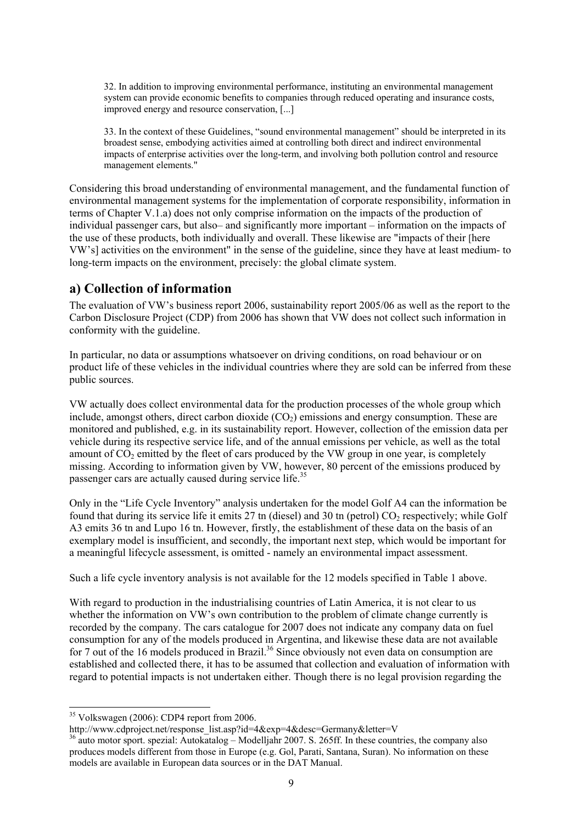32. In addition to improving environmental performance, instituting an environmental management system can provide economic benefits to companies through reduced operating and insurance costs, improved energy and resource conservation, [...]

33. In the context of these Guidelines, "sound environmental management" should be interpreted in its broadest sense, embodying activities aimed at controlling both direct and indirect environmental impacts of enterprise activities over the long-term, and involving both pollution control and resource management elements."

Considering this broad understanding of environmental management, and the fundamental function of environmental management systems for the implementation of corporate responsibility, information in terms of Chapter V.1.a) does not only comprise information on the impacts of the production of individual passenger cars, but also– and significantly more important – information on the impacts of the use of these products, both individually and overall. These likewise are "impacts of their [here VW's] activities on the environment" in the sense of the guideline, since they have at least medium- to long-term impacts on the environment, precisely: the global climate system.

### **a) Collection of information**

The evaluation of VW's business report 2006, sustainability report 2005/06 as well as the report to the Carbon Disclosure Project (CDP) from 2006 has shown that VW does not collect such information in conformity with the guideline.

In particular, no data or assumptions whatsoever on driving conditions, on road behaviour or on product life of these vehicles in the individual countries where they are sold can be inferred from these public sources.

VW actually does collect environmental data for the production processes of the whole group which include, amongst others, direct carbon dioxide  $(CO<sub>2</sub>)$  emissions and energy consumption. These are monitored and published, e.g. in its sustainability report. However, collection of the emission data per vehicle during its respective service life, and of the annual emissions per vehicle, as well as the total amount of  $CO<sub>2</sub>$  emitted by the fleet of cars produced by the VW group in one year, is completely missing. According to information given by VW, however, 80 percent of the emissions produced by passenger cars are actually caused during service life.<sup>35</sup>

Only in the "Life Cycle Inventory" analysis undertaken for the model Golf A4 can the information be found that during its service life it emits 27 tn (diesel) and 30 tn (petrol)  $CO<sub>2</sub>$  respectively; while Golf A3 emits 36 tn and Lupo 16 tn. However, firstly, the establishment of these data on the basis of an exemplary model is insufficient, and secondly, the important next step, which would be important for a meaningful lifecycle assessment, is omitted - namely an environmental impact assessment.

Such a life cycle inventory analysis is not available for the 12 models specified in Table 1 above.

With regard to production in the industrialising countries of Latin America, it is not clear to us whether the information on VW's own contribution to the problem of climate change currently is recorded by the company. The cars catalogue for 2007 does not indicate any company data on fuel consumption for any of the models produced in Argentina, and likewise these data are not available for 7 out of the 16 models produced in Brazil.<sup>36</sup> Since obviously not even data on consumption are established and collected there, it has to be assumed that collection and evaluation of information with regard to potential impacts is not undertaken either. Though there is no legal provision regarding the

<sup>&</sup>lt;sup>35</sup> Volkswagen (2006): CDP4 report from 2006.<br>http://www.cdproject.net/response list.asp?id=4&exp=4&desc=Germany&letter=V

 $\frac{36}{4}$  auto motor sport. spezial: Autokatalog – Modelljahr 2007. S. 265ff. In these countries, the company also produces models different from those in Europe (e.g. Gol, Parati, Santana, Suran). No information on these models are available in European data sources or in the DAT Manual.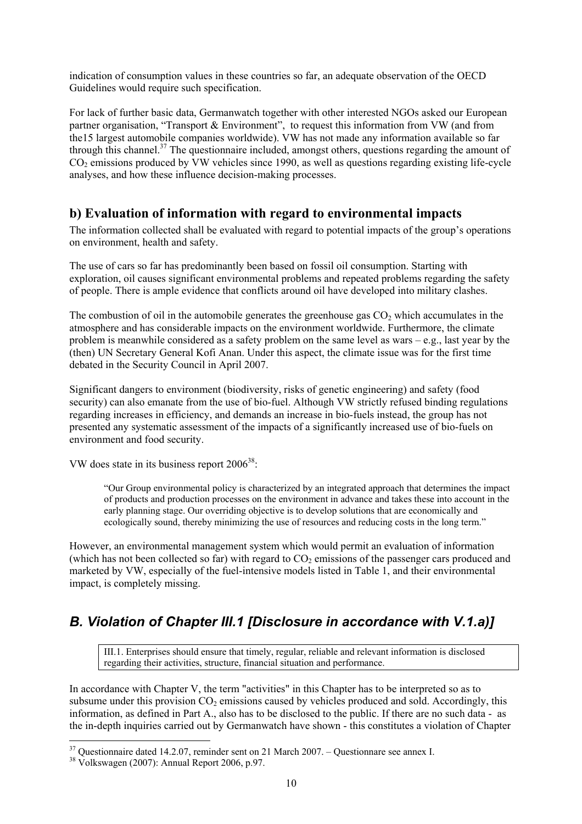indication of consumption values in these countries so far, an adequate observation of the OECD Guidelines would require such specification.

For lack of further basic data, Germanwatch together with other interested NGOs asked our European partner organisation, "Transport & Environment", to request this information from VW (and from the15 largest automobile companies worldwide). VW has not made any information available so far through this channel.<sup>37</sup> The questionnaire included, amongst others, questions regarding the amount of CO2 emissions produced by VW vehicles since 1990, as well as questions regarding existing life-cycle analyses, and how these influence decision-making processes.

### **b) Evaluation of information with regard to environmental impacts**

The information collected shall be evaluated with regard to potential impacts of the group's operations on environment, health and safety.

The use of cars so far has predominantly been based on fossil oil consumption. Starting with exploration, oil causes significant environmental problems and repeated problems regarding the safety of people. There is ample evidence that conflicts around oil have developed into military clashes.

The combustion of oil in the automobile generates the greenhouse gas  $CO<sub>2</sub>$  which accumulates in the atmosphere and has considerable impacts on the environment worldwide. Furthermore, the climate problem is meanwhile considered as a safety problem on the same level as wars – e.g., last year by the (then) UN Secretary General Kofi Anan. Under this aspect, the climate issue was for the first time debated in the Security Council in April 2007.

Significant dangers to environment (biodiversity, risks of genetic engineering) and safety (food security) can also emanate from the use of bio-fuel. Although VW strictly refused binding regulations regarding increases in efficiency, and demands an increase in bio-fuels instead, the group has not presented any systematic assessment of the impacts of a significantly increased use of bio-fuels on environment and food security.

VW does state in its business report  $2006^{38}$ .

"Our Group environmental policy is characterized by an integrated approach that determines the impact of products and production processes on the environment in advance and takes these into account in the early planning stage. Our overriding objective is to develop solutions that are economically and ecologically sound, thereby minimizing the use of resources and reducing costs in the long term."

However, an environmental management system which would permit an evaluation of information (which has not been collected so far) with regard to  $CO<sub>2</sub>$  emissions of the passenger cars produced and marketed by VW, especially of the fuel-intensive models listed in Table 1, and their environmental impact, is completely missing.

# *B. Violation of Chapter III.1 [Disclosure in accordance with V.1.a)]*

III.1. Enterprises should ensure that timely, regular, reliable and relevant information is disclosed regarding their activities, structure, financial situation and performance.

In accordance with Chapter V, the term "activities" in this Chapter has to be interpreted so as to subsume under this provision  $CO<sub>2</sub>$  emissions caused by vehicles produced and sold. Accordingly, this information, as defined in Part A., also has to be disclosed to the public. If there are no such data - as the in-depth inquiries carried out by Germanwatch have shown - this constitutes a violation of Chapter

 $37$  Questionnaire dated 14.2.07, reminder sent on 21 March 2007. – Questionnare see annex I.

<sup>38</sup> Volkswagen (2007): Annual Report 2006, p.97.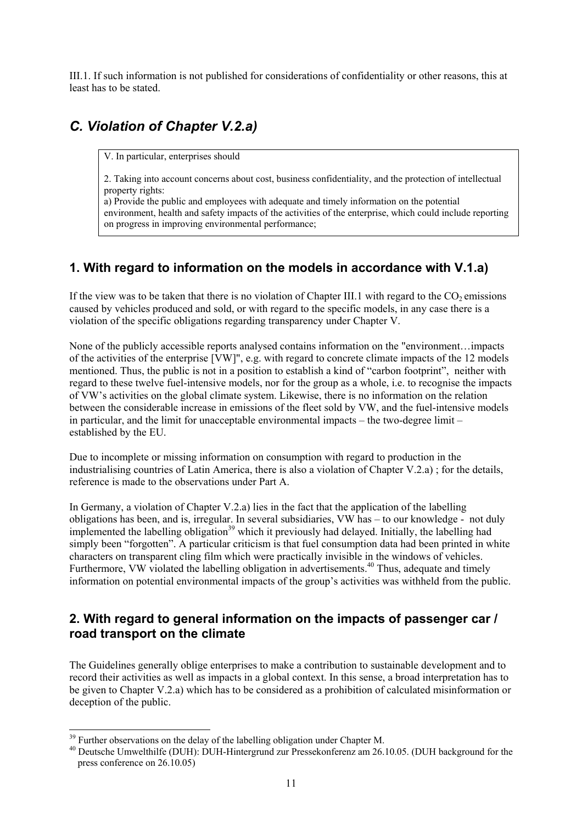III.1. If such information is not published for considerations of confidentiality or other reasons, this at least has to be stated.

# *C. Violation of Chapter V.2.a)*

V. In particular, enterprises should

2. Taking into account concerns about cost, business confidentiality, and the protection of intellectual property rights:

a) Provide the public and employees with adequate and timely information on the potential environment, health and safety impacts of the activities of the enterprise, which could include reporting on progress in improving environmental performance;

## **1. With regard to information on the models in accordance with V.1.a)**

If the view was to be taken that there is no violation of Chapter III.1 with regard to the  $CO<sub>2</sub>$  emissions caused by vehicles produced and sold, or with regard to the specific models, in any case there is a violation of the specific obligations regarding transparency under Chapter V.

None of the publicly accessible reports analysed contains information on the "environment…impacts of the activities of the enterprise [VW]", e.g. with regard to concrete climate impacts of the 12 models mentioned. Thus, the public is not in a position to establish a kind of "carbon footprint", neither with regard to these twelve fuel-intensive models, nor for the group as a whole, i.e. to recognise the impacts of VW's activities on the global climate system. Likewise, there is no information on the relation between the considerable increase in emissions of the fleet sold by VW, and the fuel-intensive models in particular, and the limit for unacceptable environmental impacts – the two-degree limit – established by the EU.

Due to incomplete or missing information on consumption with regard to production in the industrialising countries of Latin America, there is also a violation of Chapter V.2.a) ; for the details, reference is made to the observations under Part A.

In Germany, a violation of Chapter V.2.a) lies in the fact that the application of the labelling obligations has been, and is, irregular. In several subsidiaries, VW has – to our knowledge - not duly implemented the labelling obligation<sup>39</sup> which it previously had delayed. Initially, the labelling had simply been "forgotten". A particular criticism is that fuel consumption data had been printed in white characters on transparent cling film which were practically invisible in the windows of vehicles. Furthermore, VW violated the labelling obligation in advertisements.<sup>40</sup> Thus, adequate and timely information on potential environmental impacts of the group's activities was withheld from the public.

### **2. With regard to general information on the impacts of passenger car / road transport on the climate**

The Guidelines generally oblige enterprises to make a contribution to sustainable development and to record their activities as well as impacts in a global context. In this sense, a broad interpretation has to be given to Chapter V.2.a) which has to be considered as a prohibition of calculated misinformation or deception of the public.

 $39$  Further observations on the delay of the labelling obligation under Chapter M.

<sup>40</sup> Deutsche Umwelthilfe (DUH): DUH-Hintergrund zur Pressekonferenz am 26.10.05. (DUH background for the press conference on 26.10.05)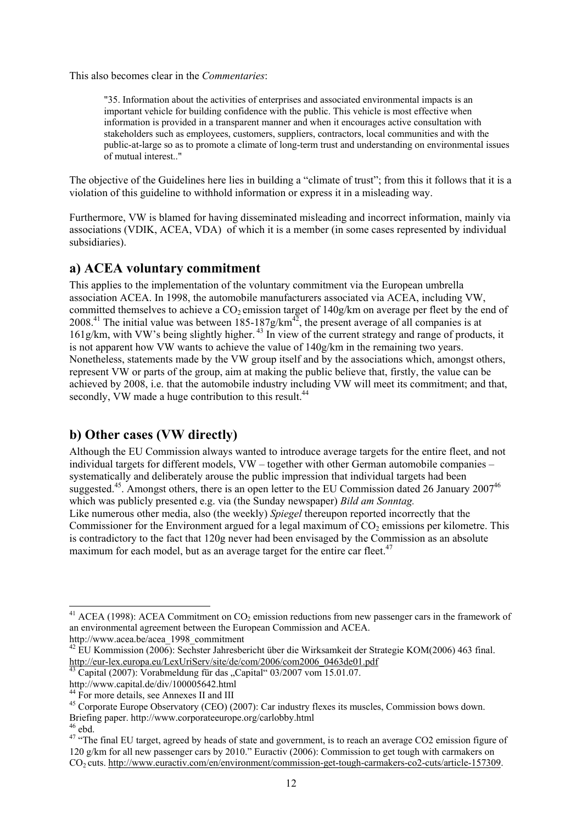This also becomes clear in the *Commentaries*:

"35. Information about the activities of enterprises and associated environmental impacts is an important vehicle for building confidence with the public. This vehicle is most effective when information is provided in a transparent manner and when it encourages active consultation with stakeholders such as employees, customers, suppliers, contractors, local communities and with the public-at-large so as to promote a climate of long-term trust and understanding on environmental issues of mutual interest.."

The objective of the Guidelines here lies in building a "climate of trust"; from this it follows that it is a violation of this guideline to withhold information or express it in a misleading way.

Furthermore, VW is blamed for having disseminated misleading and incorrect information, mainly via associations (VDIK, ACEA, VDA) of which it is a member (in some cases represented by individual subsidiaries).

### **a) ACEA voluntary commitment**

This applies to the implementation of the voluntary commitment via the European umbrella association ACEA. In 1998, the automobile manufacturers associated via ACEA, including VW, committed themselves to achieve a  $CO<sub>2</sub>$  emission target of  $140g/km$  on average per fleet by the end of 2008.<sup>41</sup> The initial value was between 185-187g/km<sup>42</sup>, the present average of all companies is at 161g/km, with VW's being slightly higher.<sup>43</sup> In view of the current strategy and range of products, it is not apparent how VW wants to achieve the value of 140g/km in the remaining two years. Nonetheless, statements made by the VW group itself and by the associations which, amongst others, represent VW or parts of the group, aim at making the public believe that, firstly, the value can be achieved by 2008, i.e. that the automobile industry including VW will meet its commitment; and that, secondly, VW made a huge contribution to this result.<sup>44</sup>

### **b) Other cases (VW directly)**

Although the EU Commission always wanted to introduce average targets for the entire fleet, and not individual targets for different models, VW – together with other German automobile companies – systematically and deliberately arouse the public impression that individual targets had been suggested.<sup>45</sup>. Amongst others, there is an open letter to the EU Commission dated 26 January 2007<sup>46</sup> which was publicly presented e.g. via (the Sunday newspaper) *Bild am Sonntag.*

Like numerous other media, also (the weekly) *Spiegel* thereupon reported incorrectly that the Commissioner for the Environment argued for a legal maximum of  $CO<sub>2</sub>$  emissions per kilometre. This is contradictory to the fact that 120g never had been envisaged by the Commission as an absolute maximum for each model, but as an average target for the entire car fleet.<sup>47</sup>

<sup>&</sup>lt;sup>41</sup> ACEA (1998): ACEA Commitment on  $CO<sub>2</sub>$  emission reductions from new passenger cars in the framework of an environmental agreement between the European Commission and ACEA.

<sup>&</sup>lt;sup>42</sup> EU Kommission (2006): Sechster Jahresbericht über die Wirksamkeit der Strategie KOM(2006) 463 final.<br>http://eur-lex.europa.eu/LexUriServ/site/de/com/2006/com2006 0463de01.pdf

 $\frac{13}{13}$  Capital (2007): Vorabmeldung für das "Capital" 03/2007 vom 15.01.07.

http://www.capital.de/div/100005642.html

<sup>&</sup>lt;sup>44</sup> For more details, see Annexes II and III

<sup>45</sup> Corporate Europe Observatory (CEO) (2007): Car industry flexes its muscles, Commission bows down. Briefing paper. http://www.corporateeurope.org/carlobby.html

 $46$  ebd.

<sup>&</sup>lt;sup>47</sup> "The final EU target, agreed by heads of state and government, is to reach an average CO2 emission figure of 120 g/km for all new passenger cars by 2010." Euractiv (2006): Commission to get tough with carmakers on CO2 cuts. http://www.euractiv.com/en/environment/commission-get-tough-carmakers-co2-cuts/article-157309.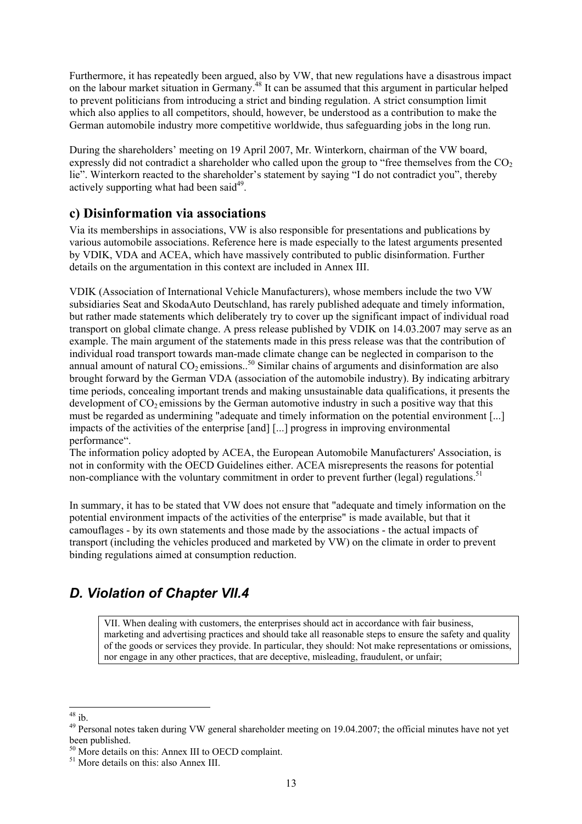Furthermore, it has repeatedly been argued, also by VW, that new regulations have a disastrous impact on the labour market situation in Germany.48 It can be assumed that this argument in particular helped to prevent politicians from introducing a strict and binding regulation. A strict consumption limit which also applies to all competitors, should, however, be understood as a contribution to make the German automobile industry more competitive worldwide, thus safeguarding jobs in the long run.

During the shareholders' meeting on 19 April 2007, Mr. Winterkorn, chairman of the VW board, expressly did not contradict a shareholder who called upon the group to "free themselves from the  $CO<sub>2</sub>$ lie". Winterkorn reacted to the shareholder's statement by saying "I do not contradict you", thereby actively supporting what had been said<sup>49</sup>.

## **c) Disinformation via associations**

Via its memberships in associations, VW is also responsible for presentations and publications by various automobile associations. Reference here is made especially to the latest arguments presented by VDIK, VDA and ACEA, which have massively contributed to public disinformation. Further details on the argumentation in this context are included in Annex III.

VDIK (Association of International Vehicle Manufacturers), whose members include the two VW subsidiaries Seat and SkodaAuto Deutschland, has rarely published adequate and timely information, but rather made statements which deliberately try to cover up the significant impact of individual road transport on global climate change. A press release published by VDIK on 14.03.2007 may serve as an example. The main argument of the statements made in this press release was that the contribution of individual road transport towards man-made climate change can be neglected in comparison to the annual amount of natural CO<sub>2</sub> emissions..<sup>50</sup> Similar chains of arguments and disinformation are also brought forward by the German VDA (association of the automobile industry). By indicating arbitrary time periods, concealing important trends and making unsustainable data qualifications, it presents the development of  $CO<sub>2</sub>$  emissions by the German automotive industry in such a positive way that this must be regarded as undermining "adequate and timely information on the potential environment [...] impacts of the activities of the enterprise [and] [...] progress in improving environmental performance".

The information policy adopted by ACEA, the European Automobile Manufacturers' Association, is not in conformity with the OECD Guidelines either. ACEA misrepresents the reasons for potential non-compliance with the voluntary commitment in order to prevent further (legal) regulations.<sup>51</sup>

In summary, it has to be stated that VW does not ensure that "adequate and timely information on the potential environment impacts of the activities of the enterprise" is made available, but that it camouflages - by its own statements and those made by the associations - the actual impacts of transport (including the vehicles produced and marketed by VW) on the climate in order to prevent binding regulations aimed at consumption reduction.

# *D. Violation of Chapter VII.4*

VII. When dealing with customers, the enterprises should act in accordance with fair business, marketing and advertising practices and should take all reasonable steps to ensure the safety and quality of the goods or services they provide. In particular, they should: Not make representations or omissions, nor engage in any other practices, that are deceptive, misleading, fraudulent, or unfair;

l  $48$  ib.

<sup>&</sup>lt;sup>49</sup> Personal notes taken during VW general shareholder meeting on 19.04.2007; the official minutes have not yet been published.

<sup>&</sup>lt;sup>50</sup> More details on this: Annex III to OECD complaint.

<sup>51</sup> More details on this: also Annex III.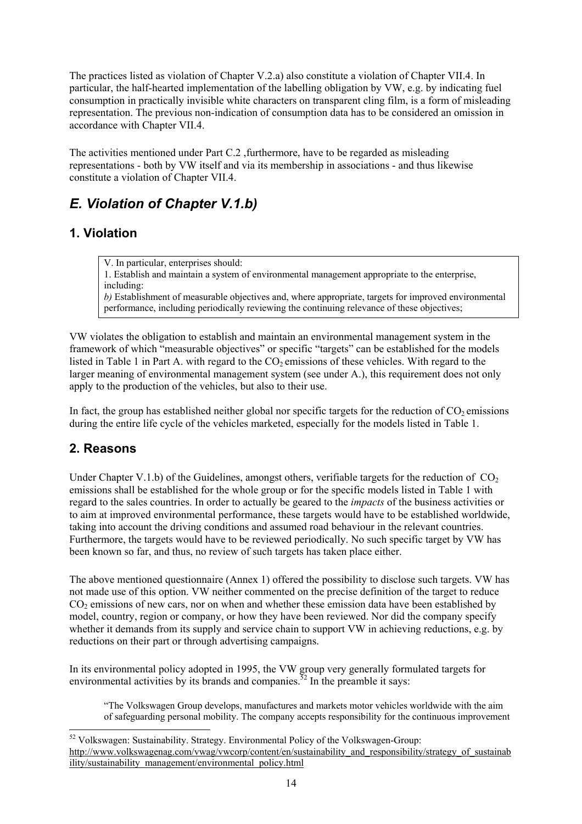The practices listed as violation of Chapter V.2.a) also constitute a violation of Chapter VII.4. In particular, the half-hearted implementation of the labelling obligation by VW, e.g. by indicating fuel consumption in practically invisible white characters on transparent cling film, is a form of misleading representation. The previous non-indication of consumption data has to be considered an omission in accordance with Chapter VII.4.

The activities mentioned under Part C.2 ,furthermore, have to be regarded as misleading representations - both by VW itself and via its membership in associations - and thus likewise constitute a violation of Chapter VII.4.

# *E. Violation of Chapter V.1.b)*

## **1. Violation**

V. In particular, enterprises should:

1. Establish and maintain a system of environmental management appropriate to the enterprise, including:

*b*) Establishment of measurable objectives and, where appropriate, targets for improved environmental performance, including periodically reviewing the continuing relevance of these objectives;

VW violates the obligation to establish and maintain an environmental management system in the framework of which "measurable objectives" or specific "targets" can be established for the models listed in Table 1 in Part A. with regard to the  $CO<sub>2</sub>$  emissions of these vehicles. With regard to the larger meaning of environmental management system (see under A.), this requirement does not only apply to the production of the vehicles, but also to their use.

In fact, the group has established neither global nor specific targets for the reduction of  $CO<sub>2</sub>$  emissions during the entire life cycle of the vehicles marketed, especially for the models listed in Table 1.

## **2. Reasons**

Under Chapter V.1.b) of the Guidelines, amongst others, verifiable targets for the reduction of  $CO<sub>2</sub>$ emissions shall be established for the whole group or for the specific models listed in Table 1 with regard to the sales countries. In order to actually be geared to the *impacts* of the business activities or to aim at improved environmental performance, these targets would have to be established worldwide, taking into account the driving conditions and assumed road behaviour in the relevant countries. Furthermore, the targets would have to be reviewed periodically. No such specific target by VW has been known so far, and thus, no review of such targets has taken place either.

The above mentioned questionnaire (Annex 1) offered the possibility to disclose such targets. VW has not made use of this option. VW neither commented on the precise definition of the target to reduce CO<sub>2</sub> emissions of new cars, nor on when and whether these emission data have been established by model, country, region or company, or how they have been reviewed. Nor did the company specify whether it demands from its supply and service chain to support VW in achieving reductions, e.g. by reductions on their part or through advertising campaigns.

In its environmental policy adopted in 1995, the VW group very generally formulated targets for environmental activities by its brands and companies.<sup>52</sup> In the preamble it says:

"The Volkswagen Group develops, manufactures and markets motor vehicles worldwide with the aim of safeguarding personal mobility. The company accepts responsibility for the continuous improvement

l  $52$  Volkswagen: Sustainability. Strategy. Environmental Policy of the Volkswagen-Group: http://www.volkswagenag.com/vwag/vwcorp/content/en/sustainability\_and\_responsibility/strategy\_of\_sustainab ility/sustainability\_management/environmental\_policy.html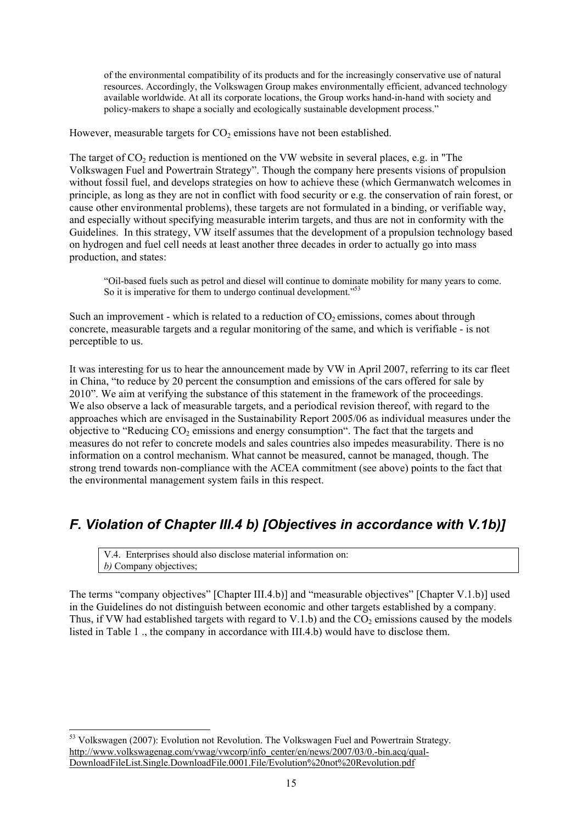of the environmental compatibility of its products and for the increasingly conservative use of natural resources. Accordingly, the Volkswagen Group makes environmentally efficient, advanced technology available worldwide. At all its corporate locations, the Group works hand-in-hand with society and policy-makers to shape a socially and ecologically sustainable development process."

However, measurable targets for  $CO<sub>2</sub>$  emissions have not been established.

The target of  $CO<sub>2</sub>$  reduction is mentioned on the VW website in several places, e.g. in "The Volkswagen Fuel and Powertrain Strategy". Though the company here presents visions of propulsion without fossil fuel, and develops strategies on how to achieve these (which Germanwatch welcomes in principle, as long as they are not in conflict with food security or e.g. the conservation of rain forest, or cause other environmental problems), these targets are not formulated in a binding, or verifiable way, and especially without specifying measurable interim targets, and thus are not in conformity with the Guidelines. In this strategy, VW itself assumes that the development of a propulsion technology based on hydrogen and fuel cell needs at least another three decades in order to actually go into mass production, and states:

"Oil-based fuels such as petrol and diesel will continue to dominate mobility for many years to come. So it is imperative for them to undergo continual development."<sup>53</sup>

Such an improvement - which is related to a reduction of  $CO<sub>2</sub>$  emissions, comes about through concrete, measurable targets and a regular monitoring of the same, and which is verifiable - is not perceptible to us.

It was interesting for us to hear the announcement made by VW in April 2007, referring to its car fleet in China, "to reduce by 20 percent the consumption and emissions of the cars offered for sale by 2010". We aim at verifying the substance of this statement in the framework of the proceedings. We also observe a lack of measurable targets, and a periodical revision thereof, with regard to the approaches which are envisaged in the Sustainability Report 2005/06 as individual measures under the objective to "Reducing  $CO<sub>2</sub>$  emissions and energy consumption". The fact that the targets and measures do not refer to concrete models and sales countries also impedes measurability. There is no information on a control mechanism. What cannot be measured, cannot be managed, though. The strong trend towards non-compliance with the ACEA commitment (see above) points to the fact that the environmental management system fails in this respect.

# *F. Violation of Chapter III.4 b) [Objectives in accordance with V.1b)]*

V.4. Enterprises should also disclose material information on: *b)* Company objectives;

l

The terms "company objectives" [Chapter III.4.b)] and "measurable objectives" [Chapter V.1.b)] used in the Guidelines do not distinguish between economic and other targets established by a company. Thus, if VW had established targets with regard to V.1.b) and the  $CO<sub>2</sub>$  emissions caused by the models listed in Table 1 ., the company in accordance with III.4.b) would have to disclose them.

<sup>&</sup>lt;sup>53</sup> Volkswagen (2007): Evolution not Revolution. The Volkswagen Fuel and Powertrain Strategy. http://www.volkswagenag.com/vwag/vwcorp/info\_center/en/news/2007/03/0.-bin.acq/qual-DownloadFileList.Single.DownloadFile.0001.File/Evolution%20not%20Revolution.pdf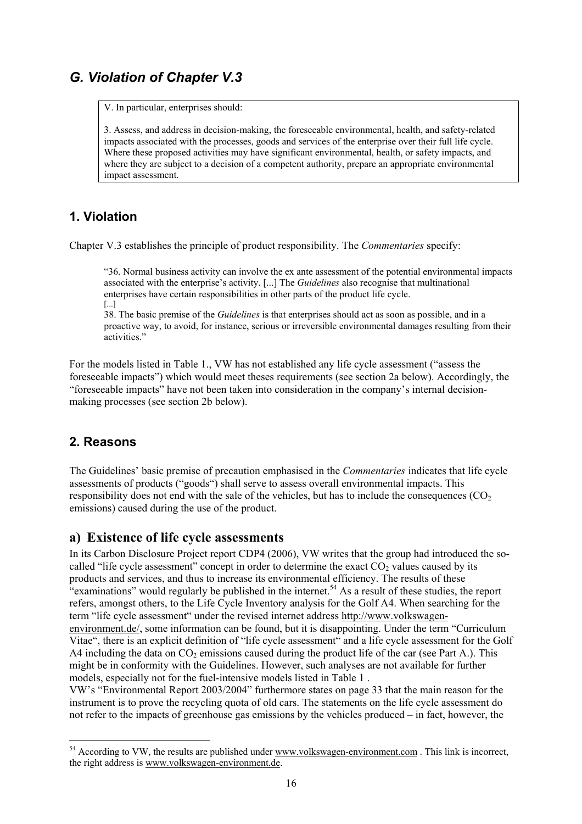## *G. Violation of Chapter V.3*

V. In particular, enterprises should:

3. Assess, and address in decision-making, the foreseeable environmental, health, and safety-related impacts associated with the processes, goods and services of the enterprise over their full life cycle. Where these proposed activities may have significant environmental, health, or safety impacts, and where they are subject to a decision of a competent authority, prepare an appropriate environmental impact assessment.

### **1. Violation**

Chapter V.3 establishes the principle of product responsibility. The *Commentaries* specify:

"36. Normal business activity can involve the ex ante assessment of the potential environmental impacts associated with the enterprise's activity. [...] The *Guidelines* also recognise that multinational enterprises have certain responsibilities in other parts of the product life cycle. [...]

38. The basic premise of the *Guidelines* is that enterprises should act as soon as possible, and in a proactive way, to avoid, for instance, serious or irreversible environmental damages resulting from their activities."

For the models listed in Table 1., VW has not established any life cycle assessment ("assess the foreseeable impacts") which would meet theses requirements (see section 2a below). Accordingly, the "foreseeable impacts" have not been taken into consideration in the company's internal decisionmaking processes (see section 2b below).

### **2. Reasons**

l

The Guidelines' basic premise of precaution emphasised in the *Commentaries* indicates that life cycle assessments of products ("goods") shall serve to assess overall environmental impacts. This responsibility does not end with the sale of the vehicles, but has to include the consequences  $(CO<sub>2</sub>)$ emissions) caused during the use of the product.

### **a) Existence of life cycle assessments**

In its Carbon Disclosure Project report CDP4 (2006), VW writes that the group had introduced the socalled "life cycle assessment" concept in order to determine the exact  $CO<sub>2</sub>$  values caused by its products and services, and thus to increase its environmental efficiency. The results of these "examinations" would regularly be published in the internet.<sup>54</sup> As a result of these studies, the report refers, amongst others, to the Life Cycle Inventory analysis for the Golf A4. When searching for the term "life cycle assessment" under the revised internet address http://www.volkswagenenvironment.de/, some information can be found, but it is disappointing. Under the term "Curriculum Vitae", there is an explicit definition of "life cycle assessment" and a life cycle assessment for the Golf A4 including the data on  $CO<sub>2</sub>$  emissions caused during the product life of the car (see Part A.). This might be in conformity with the Guidelines. However, such analyses are not available for further models, especially not for the fuel-intensive models listed in Table 1 .

VW's "Environmental Report 2003/2004" furthermore states on page 33 that the main reason for the instrument is to prove the recycling quota of old cars. The statements on the life cycle assessment do not refer to the impacts of greenhouse gas emissions by the vehicles produced – in fact, however, the

<sup>&</sup>lt;sup>54</sup> According to VW, the results are published under www.volkswagen-environment.com. This link is incorrect, the right address is www.volkswagen-environment.de.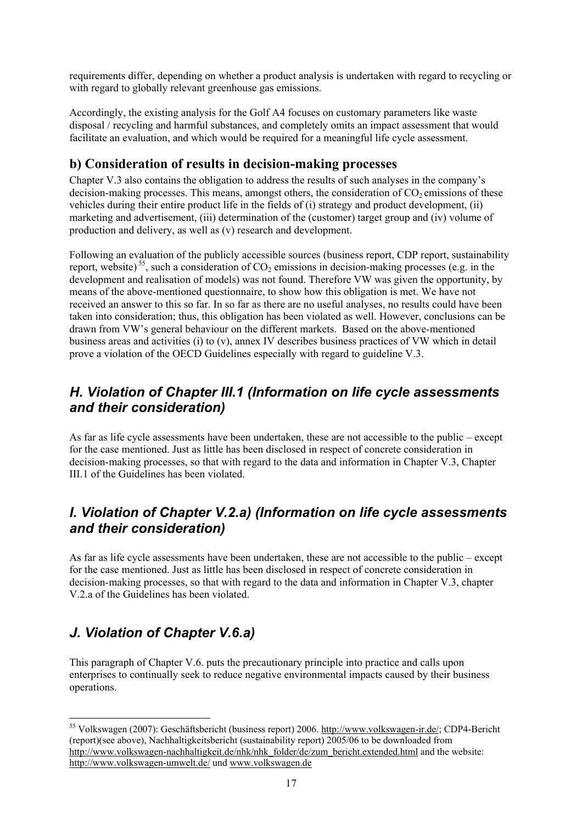requirements differ, depending on whether a product analysis is undertaken with regard to recycling or with regard to globally relevant greenhouse gas emissions.

Accordingly, the existing analysis for the Golf A4 focuses on customary parameters like waste disposal / recycling and harmful substances, and completely omits an impact assessment that would facilitate an evaluation, and which would be required for a meaningful life cycle assessment.

## **b) Consideration of results in decision-making processes**

Chapter V.3 also contains the obligation to address the results of such analyses in the company's decision-making processes. This means, amongst others, the consideration of  $CO<sub>2</sub>$  emissions of these vehicles during their entire product life in the fields of (i) strategy and product development, (ii) marketing and advertisement, (iii) determination of the (customer) target group and (iv) volume of production and delivery, as well as (v) research and development.

Following an evaluation of the publicly accessible sources (business report, CDP report, sustainability report, website)<sup>55</sup>, such a consideration of  $CO<sub>2</sub>$  emissions in decision-making processes (e.g. in the development and realisation of models) was not found. Therefore VW was given the opportunity, by means of the above-mentioned questionnaire, to show how this obligation is met. We have not received an answer to this so far. In so far as there are no useful analyses, no results could have been taken into consideration; thus, this obligation has been violated as well. However, conclusions can be drawn from VW's general behaviour on the different markets. Based on the above-mentioned business areas and activities (i) to (v), annex IV describes business practices of VW which in detail prove a violation of the OECD Guidelines especially with regard to guideline V.3.

## *H. Violation of Chapter III.1 (Information on life cycle assessments and their consideration)*

As far as life cycle assessments have been undertaken, these are not accessible to the public – except for the case mentioned. Just as little has been disclosed in respect of concrete consideration in decision-making processes, so that with regard to the data and information in Chapter V.3, Chapter III.1 of the Guidelines has been violated.

## *I. Violation of Chapter V.2.a) (Information on life cycle assessments and their consideration)*

As far as life cycle assessments have been undertaken, these are not accessible to the public – except for the case mentioned. Just as little has been disclosed in respect of concrete consideration in decision-making processes, so that with regard to the data and information in Chapter V.3, chapter V.2.a of the Guidelines has been violated.

# *J. Violation of Chapter V.6.a)*

This paragraph of Chapter V.6. puts the precautionary principle into practice and calls upon enterprises to continually seek to reduce negative environmental impacts caused by their business operations.

l 55 Volkswagen (2007): Geschäftsbericht (business report) 2006. http://www.volkswagen-ir.de/; CDP4-Bericht (report)(see above), Nachhaltigkeitsbericht (sustainability report) 2005/06 to be downloaded from http://www.volkswagen-nachhaltigkeit.de/nhk/nhk\_folder/de/zum\_bericht.extended.html and the website: http://www.volkswagen-umwelt.de/ und www.volkswagen.de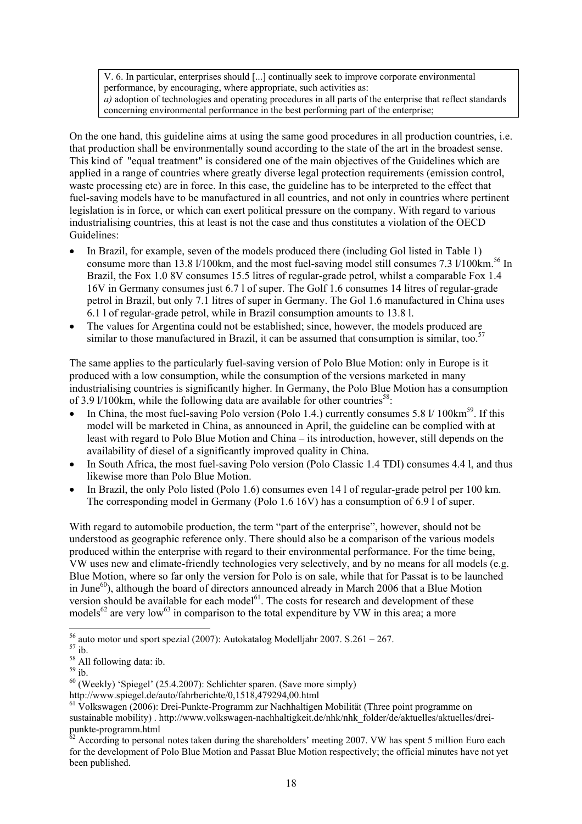V. 6. In particular, enterprises should [...] continually seek to improve corporate environmental performance, by encouraging, where appropriate, such activities as: *a)* adoption of technologies and operating procedures in all parts of the enterprise that reflect standards concerning environmental performance in the best performing part of the enterprise;

On the one hand, this guideline aims at using the same good procedures in all production countries, i.e. that production shall be environmentally sound according to the state of the art in the broadest sense. This kind of "equal treatment" is considered one of the main objectives of the Guidelines which are applied in a range of countries where greatly diverse legal protection requirements (emission control, waste processing etc) are in force. In this case, the guideline has to be interpreted to the effect that fuel-saving models have to be manufactured in all countries, and not only in countries where pertinent legislation is in force, or which can exert political pressure on the company. With regard to various industrialising countries, this at least is not the case and thus constitutes a violation of the OECD Guidelines:

- In Brazil, for example, seven of the models produced there (including Gol listed in Table 1) consume more than 13.8 l/100km, and the most fuel-saving model still consumes 7.3 l/100km.<sup>56</sup> In Brazil, the Fox 1.0 8V consumes 15.5 litres of regular-grade petrol, whilst a comparable Fox 1.4 16V in Germany consumes just 6.7 l of super. The Golf 1.6 consumes 14 litres of regular-grade petrol in Brazil, but only 7.1 litres of super in Germany. The Gol 1.6 manufactured in China uses 6.1 l of regular-grade petrol, while in Brazil consumption amounts to 13.8 l.
- The values for Argentina could not be established; since, however, the models produced are similar to those manufactured in Brazil, it can be assumed that consumption is similar, too.<sup>57</sup>

The same applies to the particularly fuel-saving version of Polo Blue Motion: only in Europe is it produced with a low consumption, while the consumption of the versions marketed in many industrialising countries is significantly higher. In Germany, the Polo Blue Motion has a consumption of 3.9 l/100km, while the following data are available for other countries<sup>58</sup>:

- In China, the most fuel-saving Polo version (Polo 1.4.) currently consumes 5.8 l/ 100km<sup>59</sup>. If this model will be marketed in China, as announced in April, the guideline can be complied with at least with regard to Polo Blue Motion and China – its introduction, however, still depends on the availability of diesel of a significantly improved quality in China.
- In South Africa, the most fuel-saving Polo version (Polo Classic 1.4 TDI) consumes 4.4 l, and thus likewise more than Polo Blue Motion.
- In Brazil, the only Polo listed (Polo 1.6) consumes even 14 l of regular-grade petrol per 100 km. The corresponding model in Germany (Polo 1.6 16V) has a consumption of 6.9 l of super.

With regard to automobile production, the term "part of the enterprise", however, should not be understood as geographic reference only. There should also be a comparison of the various models produced within the enterprise with regard to their environmental performance. For the time being, VW uses new and climate-friendly technologies very selectively, and by no means for all models (e.g. Blue Motion, where so far only the version for Polo is on sale, while that for Passat is to be launched in June $^{60}$ ), although the board of directors announced already in March 2006 that a Blue Motion version should be available for each model $61$ . The costs for research and development of these models<sup>62</sup> are very low<sup>63</sup> in comparison to the total expenditure by VW in this area; a more

l <sup>56</sup> auto motor und sport spezial (2007): Autokatalog Modelljahr 2007. S.261 – 267.<br><sup>57</sup> ib.

<sup>&</sup>lt;sup>58</sup> All following data: ib.

 $59$  ib.

<sup>&</sup>lt;sup>60</sup> (Weekly) 'Spiegel' (25.4.2007): Schlichter sparen. (Save more simply) http://www.spiegel.de/auto/fahrberichte/0.1518.479294.00.html

 $h_0$ <sup>61</sup> Volkswagen (2006): Drei-Punkte-Programm zur Nachhaltigen Mobilität (Three point programme on sustainable mobility) . http://www.volkswagen-nachhaltigkeit.de/nhk/nhk\_folder/de/aktuelles/aktuelles/dreipunkte-programm.html

 $62$  According to personal notes taken during the shareholders' meeting 2007. VW has spent 5 million Euro each for the development of Polo Blue Motion and Passat Blue Motion respectively; the official minutes have not yet been published.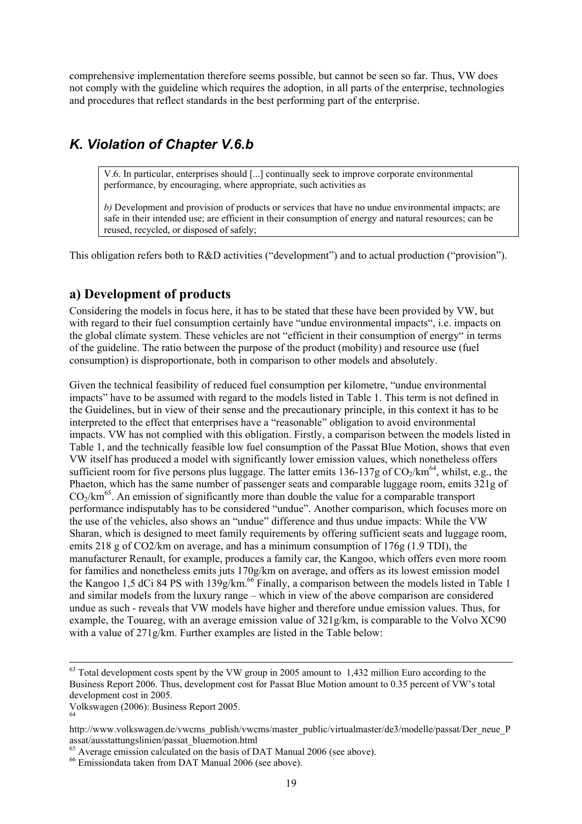comprehensive implementation therefore seems possible, but cannot be seen so far. Thus, VW does not comply with the guideline which requires the adoption, in all parts of the enterprise, technologies and procedures that reflect standards in the best performing part of the enterprise.

## *K. Violation of Chapter V.6.b*

V.6. In particular, enterprises should [...] continually seek to improve corporate environmental performance, by encouraging, where appropriate, such activities as

*b)* Development and provision of products or services that have no undue environmental impacts; are safe in their intended use; are efficient in their consumption of energy and natural resources; can be reused, recycled, or disposed of safely;

This obligation refers both to R&D activities ("development") and to actual production ("provision").

### **a) Development of products**

Considering the models in focus here, it has to be stated that these have been provided by VW, but with regard to their fuel consumption certainly have "undue environmental impacts", i.e. impacts on the global climate system. These vehicles are not "efficient in their consumption of energy" in terms of the guideline. The ratio between the purpose of the product (mobility) and resource use (fuel consumption) is disproportionate, both in comparison to other models and absolutely.

Given the technical feasibility of reduced fuel consumption per kilometre, "undue environmental impacts" have to be assumed with regard to the models listed in Table 1. This term is not defined in the Guidelines, but in view of their sense and the precautionary principle, in this context it has to be interpreted to the effect that enterprises have a "reasonable" obligation to avoid environmental impacts. VW has not complied with this obligation. Firstly, a comparison between the models listed in Table 1, and the technically feasible low fuel consumption of the Passat Blue Motion, shows that even VW itself has produced a model with significantly lower emission values, which nonetheless offers sufficient room for five persons plus luggage. The latter emits 136-137g of  $CO_2/km^{64}$ , whilst, e.g., the Phaeton, which has the same number of passenger seats and comparable luggage room, emits 321g of  $CO<sub>2</sub>/km<sup>65</sup>$ . An emission of significantly more than double the value for a comparable transport performance indisputably has to be considered "undue". Another comparison, which focuses more on the use of the vehicles, also shows an "undue" difference and thus undue impacts: While the VW Sharan, which is designed to meet family requirements by offering sufficient seats and luggage room, emits 218 g of CO2/km on average, and has a minimum consumption of 176g  $(1.9 \text{ TDI})$ , the manufacturer Renault, for example, produces a family car, the Kangoo, which offers even more room for families and nonetheless emits juts 170g/km on average, and offers as its lowest emission model the Kangoo 1,5 dCi 84 PS with 139g/km.<sup>66</sup> Finally, a comparison between the models listed in Table 1 and similar models from the luxury range – which in view of the above comparison are considered undue as such - reveals that VW models have higher and therefore undue emission values. Thus, for example, the Touareg, with an average emission value of 321g/km, is comparable to the Volvo XC90 with a value of 271g/km. Further examples are listed in the Table below:

 $63$  Total development costs spent by the VW group in 2005 amount to 1,432 million Euro according to the Business Report 2006. Thus, development cost for Passat Blue Motion amount to 0.35 percent of VW's total development cost in 2005.

Volkswagen (2006): Business Report 2005. 64

http://www.volkswagen.de/vwcms\_publish/vwcms/master\_public/virtualmaster/de3/modelle/passat/Der\_neue\_P assat/ausstattungslinien/passat\_bluemotion.html

 $^{65}$  Average emission calculated on the basis of DAT Manual 2006 (see above).<br> $^{66}$  Emissiondata taken from DAT Manual 2006 (see above).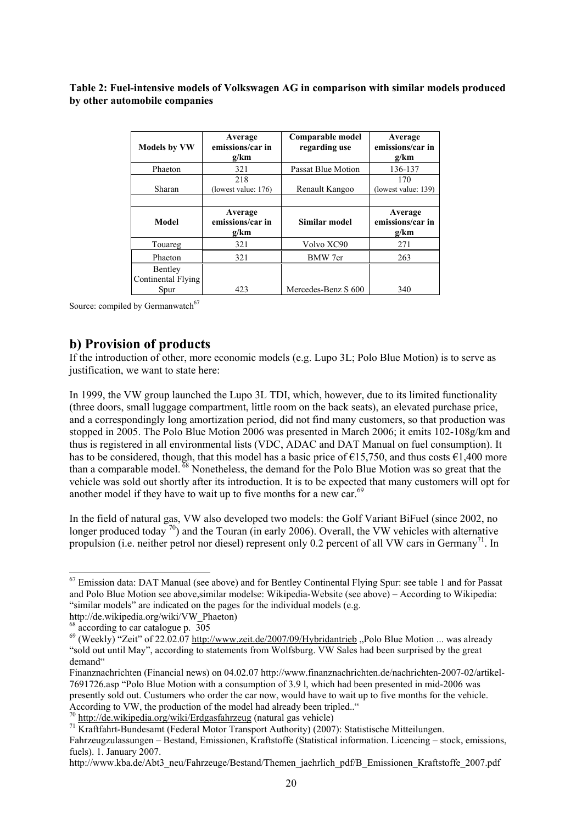#### **Table 2: Fuel-intensive models of Volkswagen AG in comparison with similar models produced by other automobile companies**

| <b>Models by VW</b>                   | Average<br>emissions/car in<br>g/km | Comparable model<br>regarding use | Average<br>emissions/car in<br>g/km |
|---------------------------------------|-------------------------------------|-----------------------------------|-------------------------------------|
| Phaeton                               | 321                                 | Passat Blue Motion                | 136-137                             |
| Sharan                                | 218<br>(lowest value: $176$ )       | Renault Kangoo                    | 170<br>(lowest value: 139)          |
| Model                                 | Average<br>emissions/car in<br>g/km | Similar model                     | Average<br>emissions/car in<br>g/km |
| Touareg                               | 321                                 | Volvo XC90                        | 271                                 |
| Phaeton                               | 321                                 | BMW 7er                           | 263                                 |
| Bentley<br>Continental Flying<br>Spur | 423                                 | Mercedes-Benz S 600               | 340                                 |

Source: compiled by Germanwatch<sup>67</sup>

### **b) Provision of products**

If the introduction of other, more economic models (e.g. Lupo 3L; Polo Blue Motion) is to serve as justification, we want to state here:

In 1999, the VW group launched the Lupo 3L TDI, which, however, due to its limited functionality (three doors, small luggage compartment, little room on the back seats), an elevated purchase price, and a correspondingly long amortization period, did not find many customers, so that production was stopped in 2005. The Polo Blue Motion 2006 was presented in March 2006; it emits 102-108g/km and thus is registered in all environmental lists (VDC, ADAC and DAT Manual on fuel consumption). It has to be considered, though, that this model has a basic price of  $\epsilon$ 15,750, and thus costs  $\epsilon$ 1,400 more than a comparable model. 68 Nonetheless, the demand for the Polo Blue Motion was so great that the vehicle was sold out shortly after its introduction. It is to be expected that many customers will opt for another model if they have to wait up to five months for a new car.<sup>69</sup>

In the field of natural gas, VW also developed two models: the Golf Variant BiFuel (since 2002, no longer produced today  $\frac{70}{2}$  and the Touran (in early 2006). Overall, the VW vehicles with alternative propulsion (i.e. neither petrol nor diesel) represent only 0.2 percent of all VW cars in Germany<sup>71</sup>. In

l

According to VW, the production of the model had already been tripled.."<br><sup>70</sup> http://de.wikipedia.org/wiki/Erdgasfahrzeug (natural gas vehicle)

http://www.kba.de/Abt3\_neu/Fahrzeuge/Bestand/Themen\_jaehrlich\_pdf/B\_Emissionen\_Kraftstoffe\_2007.pdf

<sup>&</sup>lt;sup>67</sup> Emission data: DAT Manual (see above) and for Bentley Continental Flying Spur: see table 1 and for Passat and Polo Blue Motion see above,similar modelse: Wikipedia-Website (see above) – According to Wikipedia: "similar models" are indicated on the pages for the individual models (e.g.

http://de.wikipedia.org/wiki/VW\_Phaeton)

 $\frac{1}{8}$  according to car catalogue p. 305

 $^{69}$  (Weekly) "Zeit" of 22.02.07 http://www.zeit.de/2007/09/Hybridantrieb "Polo Blue Motion ... was already "sold out until May", according to statements from Wolfsburg. VW Sales had been surprised by the great demand"

Finanznachrichten (Financial news) on 04.02.07 http://www.finanznachrichten.de/nachrichten-2007-02/artikel-7691726.asp "Polo Blue Motion with a consumption of 3.9 l, which had been presented in mid-2006 was presently sold out. Custumers who order the car now, would have to wait up to five months for the vehicle.

<sup>71</sup> Kraftfahrt-Bundesamt (Federal Motor Transport Authority) (2007): Statistische Mitteilungen.

Fahrzeugzulassungen – Bestand, Emissionen, Kraftstoffe (Statistical information. Licencing – stock, emissions, fuels). 1. January 2007.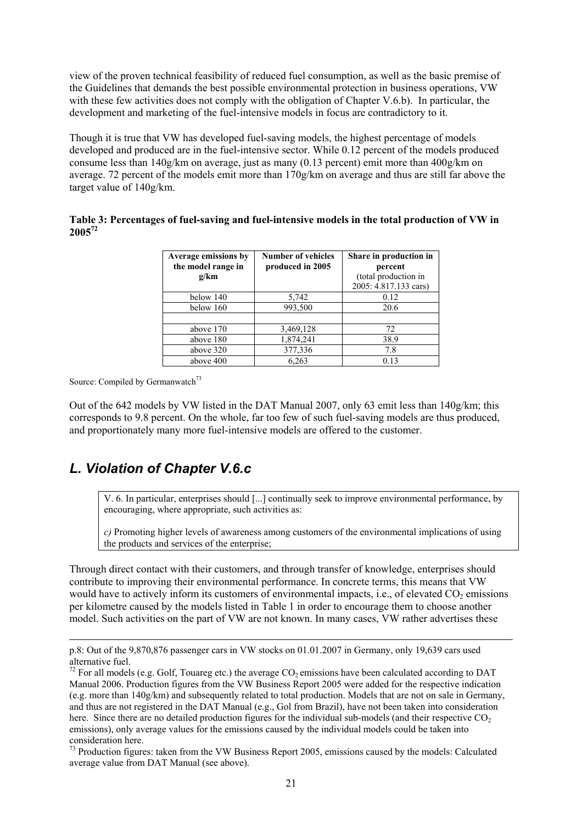view of the proven technical feasibility of reduced fuel consumption, as well as the basic premise of the Guidelines that demands the best possible environmental protection in business operations, VW with these few activities does not comply with the obligation of Chapter V.6.b). In particular, the development and marketing of the fuel-intensive models in focus are contradictory to it.

Though it is true that VW has developed fuel-saving models, the highest percentage of models developed and produced are in the fuel-intensive sector. While 0.12 percent of the models produced consume less than 140g/km on average, just as many (0.13 percent) emit more than 400g/km on average. 72 percent of the models emit more than 170g/km on average and thus are still far above the target value of 140g/km.

#### **Table 3: Percentages of fuel-saving and fuel-intensive models in the total production of VW in 200572**

| Average emissions by<br>the model range in<br>g/km | <b>Number of vehicles</b><br>produced in 2005 | Share in production in<br>percent<br>(total production in<br>2005: 4.817.133 cars) |
|----------------------------------------------------|-----------------------------------------------|------------------------------------------------------------------------------------|
| below 140                                          | 5,742                                         | 0.12                                                                               |
| below 160                                          | 993,500                                       | 20.6                                                                               |
| above 170                                          | 3,469,128                                     | 72                                                                                 |
| above 180                                          | 1,874,241                                     | 38.9                                                                               |
| above 320                                          | 377,336                                       | 7.8                                                                                |
| above 400                                          | 6.263                                         | 0.13                                                                               |

Source: Compiled by Germanwatch<sup>73</sup>

l

Out of the 642 models by VW listed in the DAT Manual 2007, only 63 emit less than 140g/km; this corresponds to 9.8 percent. On the whole, far too few of such fuel-saving models are thus produced, and proportionately many more fuel-intensive models are offered to the customer.

# *L. Violation of Chapter V.6.c*

V. 6. In particular, enterprises should [...] continually seek to improve environmental performance, by encouraging, where appropriate, such activities as:

*c)* Promoting higher levels of awareness among customers of the environmental implications of using the products and services of the enterprise;

Through direct contact with their customers, and through transfer of knowledge, enterprises should contribute to improving their environmental performance. In concrete terms, this means that VW would have to actively inform its customers of environmental impacts, i.e., of elevated  $CO<sub>2</sub>$  emissions per kilometre caused by the models listed in Table 1 in order to encourage them to choose another model. Such activities on the part of VW are not known. In many cases, VW rather advertises these

p.8: Out of the 9,870,876 passenger cars in VW stocks on 01.01.2007 in Germany, only 19,639 cars used alternative fuel.

 $^{72}$  For all models (e.g. Golf, Touareg etc.) the average CO<sub>2</sub> emissions have been calculated according to DAT Manual 2006. Production figures from the VW Business Report 2005 were added for the respective indication (e.g. more than 140g/km) and subsequently related to total production. Models that are not on sale in Germany, and thus are not registered in the DAT Manual (e.g., Gol from Brazil), have not been taken into consideration here. Since there are no detailed production figures for the individual sub-models (and their respective  $CO<sub>2</sub>$ ) emissions), only average values for the emissions caused by the individual models could be taken into consideration here.

<sup>&</sup>lt;sup>73</sup> Production figures: taken from the VW Business Report 2005, emissions caused by the models: Calculated average value from DAT Manual (see above).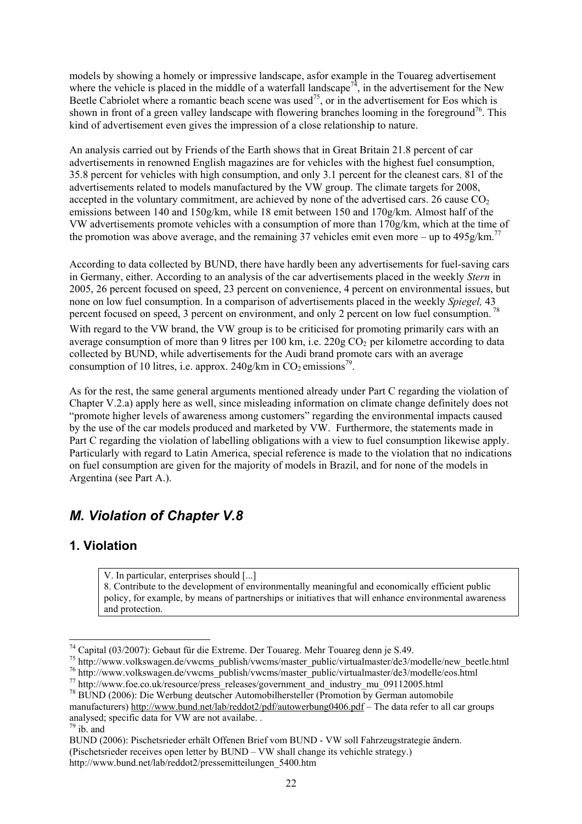models by showing a homely or impressive landscape, asfor example in the Touareg advertisement where the vehicle is placed in the middle of a waterfall landscape<sup>74</sup>, in the advertisement for the New Beetle Cabriolet where a romantic beach scene was used<sup>75</sup>, or in the advertisement for Eos which is shown in front of a green valley landscape with flowering branches looming in the foreground<sup>76</sup>. This kind of advertisement even gives the impression of a close relationship to nature.

An analysis carried out by Friends of the Earth shows that in Great Britain 21.8 percent of car advertisements in renowned English magazines are for vehicles with the highest fuel consumption, 35.8 percent for vehicles with high consumption, and only 3.1 percent for the cleanest cars. 81 of the advertisements related to models manufactured by the VW group. The climate targets for 2008, accepted in the voluntary commitment, are achieved by none of the advertised cars. 26 cause  $CO<sub>2</sub>$ emissions between 140 and 150g/km, while 18 emit between 150 and 170g/km. Almost half of the VW advertisements promote vehicles with a consumption of more than 170g/km, which at the time of the promotion was above average, and the remaining 37 vehicles emit even more – up to  $495g/\text{km}^{77}$ 

According to data collected by BUND, there have hardly been any advertisements for fuel-saving cars in Germany, either. According to an analysis of the car advertisements placed in the weekly *Stern* in 2005, 26 percent focused on speed, 23 percent on convenience, 4 percent on environmental issues, but none on low fuel consumption. In a comparison of advertisements placed in the weekly *Spiegel,* 43 percent focused on speed, 3 percent on environment, and only 2 percent on low fuel consumption.<sup>78</sup> With regard to the VW brand, the VW group is to be criticised for promoting primarily cars with an average consumption of more than 9 litres per 100 km, i.e.  $220g \text{ CO}_2$  per kilometre according to data collected by BUND, while advertisements for the Audi brand promote cars with an average consumption of 10 litres, i.e. approx.  $240g/\text{km}$  in CO<sub>2</sub> emissions<sup>79</sup>.

As for the rest, the same general arguments mentioned already under Part C regarding the violation of Chapter V.2.a) apply here as well, since misleading information on climate change definitely does not "promote higher levels of awareness among customers" regarding the environmental impacts caused by the use of the car models produced and marketed by VW. Furthermore, the statements made in Part C regarding the violation of labelling obligations with a view to fuel consumption likewise apply. Particularly with regard to Latin America, special reference is made to the violation that no indications on fuel consumption are given for the majority of models in Brazil, and for none of the models in Argentina (see Part A.).

# *M. Violation of Chapter V.8*

## **1. Violation**

V. In particular, enterprises should [...]

8. Contribute to the development of environmentally meaningful and economically efficient public policy, for example, by means of partnerships or initiatives that will enhance environmental awareness and protection.

 $74$  Capital (03/2007): Gebaut für die Extreme. Der Touareg. Mehr Touareg denn je S.49.

<sup>&</sup>lt;sup>75</sup> http://www.volkswagen.de/vwcms\_publish/vwcms/master\_public/virtualmaster/de3/modelle/new\_beetle.html<br><sup>76</sup> http://www.volkswagen.de/vwcms\_publish/vwcms/master\_public/virtualmaster/de3/modelle/eos.html<br><sup>77</sup> http://www.

manufacturers) http://www.bund.net/lab/reddot2/pdf/autowerbung0406.pdf – The data refer to all car groups analysed; specific data for VW are not availabe. .

 $79$  ib. and

BUND (2006): Pischetsrieder erhält Offenen Brief vom BUND - VW soll Fahrzeugstrategie ändern.

<sup>(</sup>Pischetsrieder receives open letter by BUND – VW shall change its vehichle strategy.)

http://www.bund.net/lab/reddot2/pressemitteilungen\_5400.htm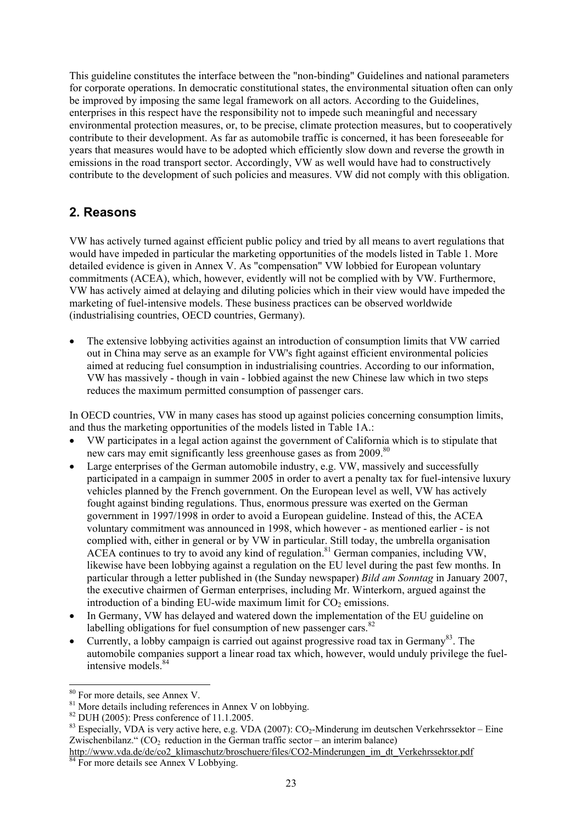This guideline constitutes the interface between the "non-binding" Guidelines and national parameters for corporate operations. In democratic constitutional states, the environmental situation often can only be improved by imposing the same legal framework on all actors. According to the Guidelines, enterprises in this respect have the responsibility not to impede such meaningful and necessary environmental protection measures, or, to be precise, climate protection measures, but to cooperatively contribute to their development. As far as automobile traffic is concerned, it has been foreseeable for years that measures would have to be adopted which efficiently slow down and reverse the growth in emissions in the road transport sector. Accordingly, VW as well would have had to constructively contribute to the development of such policies and measures. VW did not comply with this obligation.

## **2. Reasons**

VW has actively turned against efficient public policy and tried by all means to avert regulations that would have impeded in particular the marketing opportunities of the models listed in Table 1. More detailed evidence is given in Annex V. As "compensation" VW lobbied for European voluntary commitments (ACEA), which, however, evidently will not be complied with by VW. Furthermore, VW has actively aimed at delaying and diluting policies which in their view would have impeded the marketing of fuel-intensive models. These business practices can be observed worldwide (industrialising countries, OECD countries, Germany).

• The extensive lobbying activities against an introduction of consumption limits that VW carried out in China may serve as an example for VW's fight against efficient environmental policies aimed at reducing fuel consumption in industrialising countries. According to our information, VW has massively - though in vain - lobbied against the new Chinese law which in two steps reduces the maximum permitted consumption of passenger cars.

In OECD countries, VW in many cases has stood up against policies concerning consumption limits, and thus the marketing opportunities of the models listed in Table 1A.:

- VW participates in a legal action against the government of California which is to stipulate that new cars may emit significantly less greenhouse gases as from 2009.<sup>80</sup>
- Large enterprises of the German automobile industry, e.g. VW, massively and successfully participated in a campaign in summer 2005 in order to avert a penalty tax for fuel-intensive luxury vehicles planned by the French government. On the European level as well, VW has actively fought against binding regulations. Thus, enormous pressure was exerted on the German government in 1997/1998 in order to avoid a European guideline. Instead of this, the ACEA voluntary commitment was announced in 1998, which however - as mentioned earlier - is not complied with, either in general or by VW in particular. Still today, the umbrella organisation ACEA continues to try to avoid any kind of regulation.<sup>81</sup> German companies, including VW, likewise have been lobbying against a regulation on the EU level during the past few months. In particular through a letter published in (the Sunday newspaper) *Bild am Sonntag* in January 2007, the executive chairmen of German enterprises, including Mr. Winterkorn, argued against the introduction of a binding EU-wide maximum limit for  $CO<sub>2</sub>$  emissions.
- In Germany, VW has delayed and watered down the implementation of the EU guideline on labelling obligations for fuel consumption of new passenger cars. $82$
- Currently, a lobby campaign is carried out against progressive road tax in Germany<sup>83</sup>. The automobile companies support a linear road tax which, however, would unduly privilege the fuelintensive models<sup>84</sup>

<sup>&</sup>lt;sup>80</sup> For more details, see Annex V.

<sup>&</sup>lt;sup>81</sup> More details including references in Annex V on lobbying.<br><sup>82</sup> DUH (2005): Press conference of 11.1.2005.

<sup>&</sup>lt;sup>83</sup> Especially, VDA is very active here, e.g. VDA (2007):  $CO_2$ -Minderung im deutschen Verkehrssektor – Eine Zwischenbilanz."  $(CO<sub>2</sub>$  reduction in the German traffic sector – an interim balance)

http://www.vda.de/de/co2\_klimaschutz/broschuere/files/CO2-Minderungen\_im\_dt\_Verkehrssektor.pdf 84 For more details see Annex V Lobbying.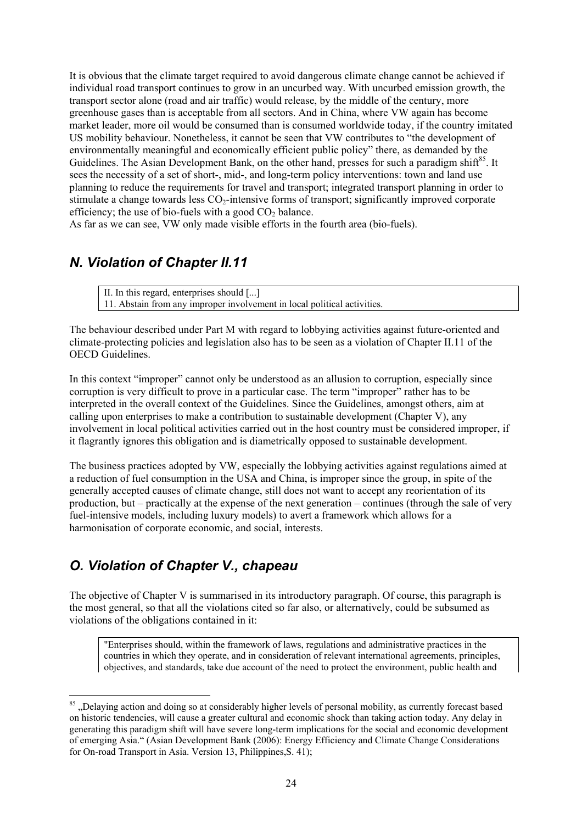It is obvious that the climate target required to avoid dangerous climate change cannot be achieved if individual road transport continues to grow in an uncurbed way. With uncurbed emission growth, the transport sector alone (road and air traffic) would release, by the middle of the century, more greenhouse gases than is acceptable from all sectors. And in China, where VW again has become market leader, more oil would be consumed than is consumed worldwide today, if the country imitated US mobility behaviour. Nonetheless, it cannot be seen that VW contributes to "the development of environmentally meaningful and economically efficient public policy" there, as demanded by the Guidelines. The Asian Development Bank, on the other hand, presses for such a paradigm shift $85$ . It sees the necessity of a set of short-, mid-, and long-term policy interventions: town and land use planning to reduce the requirements for travel and transport; integrated transport planning in order to stimulate a change towards less CO<sub>2</sub>-intensive forms of transport; significantly improved corporate efficiency; the use of bio-fuels with a good  $CO<sub>2</sub>$  balance.

As far as we can see, VW only made visible efforts in the fourth area (bio-fuels).

## *N. Violation of Chapter II.11*

II. In this regard, enterprises should [...] 11. Abstain from any improper involvement in local political activities.

The behaviour described under Part M with regard to lobbying activities against future-oriented and climate-protecting policies and legislation also has to be seen as a violation of Chapter II.11 of the OECD Guidelines.

In this context "improper" cannot only be understood as an allusion to corruption, especially since corruption is very difficult to prove in a particular case. The term "improper" rather has to be interpreted in the overall context of the Guidelines. Since the Guidelines, amongst others, aim at calling upon enterprises to make a contribution to sustainable development (Chapter V), any involvement in local political activities carried out in the host country must be considered improper, if it flagrantly ignores this obligation and is diametrically opposed to sustainable development.

The business practices adopted by VW, especially the lobbying activities against regulations aimed at a reduction of fuel consumption in the USA and China, is improper since the group, in spite of the generally accepted causes of climate change, still does not want to accept any reorientation of its production, but – practically at the expense of the next generation – continues (through the sale of very fuel-intensive models, including luxury models) to avert a framework which allows for a harmonisation of corporate economic, and social, interests.

# *O. Violation of Chapter V., chapeau*

l

The objective of Chapter V is summarised in its introductory paragraph. Of course, this paragraph is the most general, so that all the violations cited so far also, or alternatively, could be subsumed as violations of the obligations contained in it:

"Enterprises should, within the framework of laws, regulations and administrative practices in the countries in which they operate, and in consideration of relevant international agreements, principles, objectives, and standards, take due account of the need to protect the environment, public health and

<sup>&</sup>lt;sup>85</sup>, Delaying action and doing so at considerably higher levels of personal mobility, as currently forecast based on historic tendencies, will cause a greater cultural and economic shock than taking action today. Any delay in generating this paradigm shift will have severe long-term implications for the social and economic development of emerging Asia." (Asian Development Bank (2006): Energy Efficiency and Climate Change Considerations for On-road Transport in Asia. Version 13, Philippines,S. 41);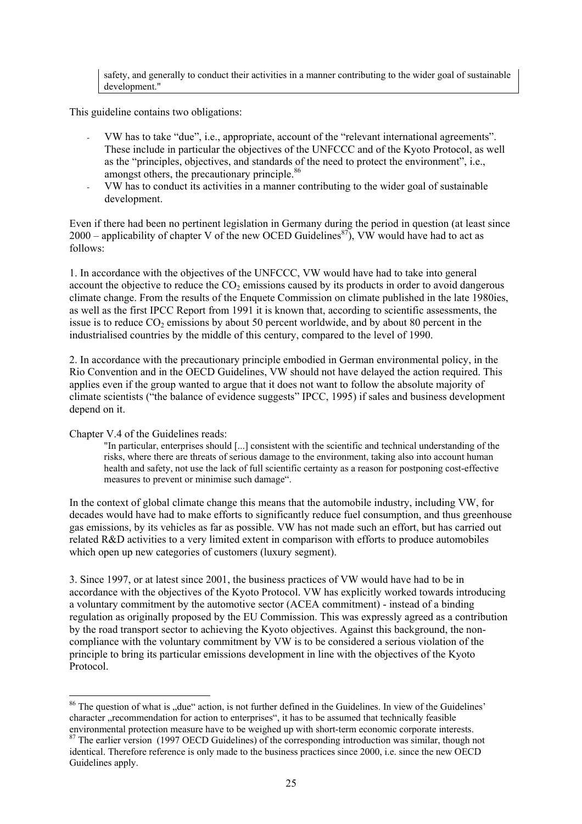safety, and generally to conduct their activities in a manner contributing to the wider goal of sustainable development."

This guideline contains two obligations:

- VW has to take "due", i.e., appropriate, account of the "relevant international agreements". These include in particular the objectives of the UNFCCC and of the Kyoto Protocol, as well as the "principles, objectives, and standards of the need to protect the environment", i.e., amongst others, the precautionary principle.<sup>86</sup>
- VW has to conduct its activities in a manner contributing to the wider goal of sustainable development.

Even if there had been no pertinent legislation in Germany during the period in question (at least since 2000 – applicability of chapter V of the new OCED Guidelines<sup>87</sup>). VW would have had to act as follows:

1. In accordance with the objectives of the UNFCCC, VW would have had to take into general account the objective to reduce the  $CO<sub>2</sub>$  emissions caused by its products in order to avoid dangerous climate change. From the results of the Enquete Commission on climate published in the late 1980ies, as well as the first IPCC Report from 1991 it is known that, according to scientific assessments, the issue is to reduce  $CO<sub>2</sub>$  emissions by about 50 percent worldwide, and by about 80 percent in the industrialised countries by the middle of this century, compared to the level of 1990.

2. In accordance with the precautionary principle embodied in German environmental policy, in the Rio Convention and in the OECD Guidelines, VW should not have delayed the action required. This applies even if the group wanted to argue that it does not want to follow the absolute majority of climate scientists ("the balance of evidence suggests" IPCC, 1995) if sales and business development depend on it.

Chapter V.4 of the Guidelines reads:

"In particular, enterprises should [...] consistent with the scientific and technical understanding of the risks, where there are threats of serious damage to the environment, taking also into account human health and safety, not use the lack of full scientific certainty as a reason for postponing cost-effective measures to prevent or minimise such damage".

In the context of global climate change this means that the automobile industry, including VW, for decades would have had to make efforts to significantly reduce fuel consumption, and thus greenhouse gas emissions, by its vehicles as far as possible. VW has not made such an effort, but has carried out related R&D activities to a very limited extent in comparison with efforts to produce automobiles which open up new categories of customers (luxury segment).

3. Since 1997, or at latest since 2001, the business practices of VW would have had to be in accordance with the objectives of the Kyoto Protocol. VW has explicitly worked towards introducing a voluntary commitment by the automotive sector (ACEA commitment) - instead of a binding regulation as originally proposed by the EU Commission. This was expressly agreed as a contribution by the road transport sector to achieving the Kyoto objectives. Against this background, the noncompliance with the voluntary commitment by VW is to be considered a serious violation of the principle to bring its particular emissions development in line with the objectives of the Kyoto Protocol.

l  $86$  The question of what is "due" action, is not further defined in the Guidelines. In view of the Guidelines' character "recommendation for action to enterprises", it has to be assumed that technically feasible environmental protection measure have to be weighed up with short-term economic corporate interests.

<sup>&</sup>lt;sup>87</sup> The earlier version (1997 OECD Guidelines) of the corresponding introduction was similar, though not identical. Therefore reference is only made to the business practices since 2000, i.e. since the new OECD Guidelines apply.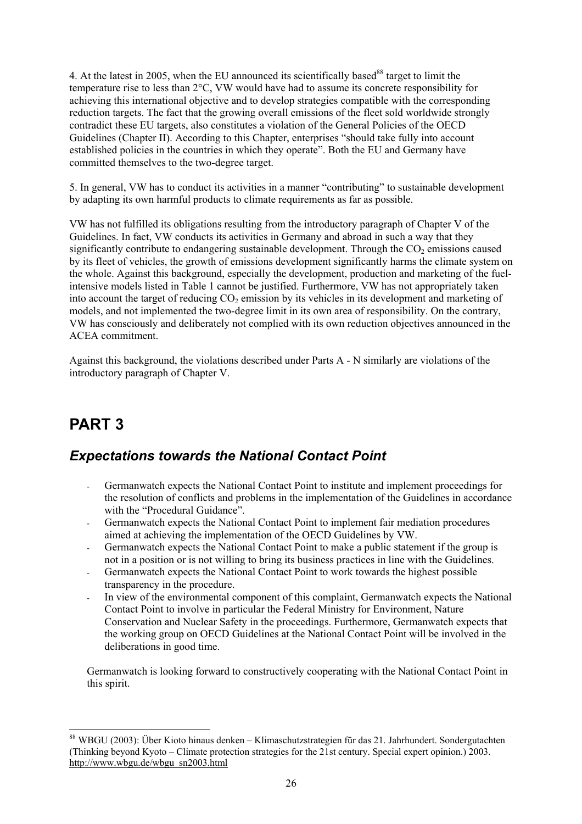4. At the latest in 2005, when the EU announced its scientifically based<sup>88</sup> target to limit the temperature rise to less than 2°C, VW would have had to assume its concrete responsibility for achieving this international objective and to develop strategies compatible with the corresponding reduction targets. The fact that the growing overall emissions of the fleet sold worldwide strongly contradict these EU targets, also constitutes a violation of the General Policies of the OECD Guidelines (Chapter II). According to this Chapter, enterprises "should take fully into account established policies in the countries in which they operate". Both the EU and Germany have committed themselves to the two-degree target.

5. In general, VW has to conduct its activities in a manner "contributing" to sustainable development by adapting its own harmful products to climate requirements as far as possible.

VW has not fulfilled its obligations resulting from the introductory paragraph of Chapter V of the Guidelines. In fact, VW conducts its activities in Germany and abroad in such a way that they significantly contribute to endangering sustainable development. Through the  $CO<sub>2</sub>$  emissions caused by its fleet of vehicles, the growth of emissions development significantly harms the climate system on the whole. Against this background, especially the development, production and marketing of the fuelintensive models listed in Table 1 cannot be justified. Furthermore, VW has not appropriately taken into account the target of reducing  $CO<sub>2</sub>$  emission by its vehicles in its development and marketing of models, and not implemented the two-degree limit in its own area of responsibility. On the contrary, VW has consciously and deliberately not complied with its own reduction objectives announced in the ACEA commitment.

Against this background, the violations described under Parts A - N similarly are violations of the introductory paragraph of Chapter V.

# **PART 3**

## *Expectations towards the National Contact Point*

- Germanwatch expects the National Contact Point to institute and implement proceedings for the resolution of conflicts and problems in the implementation of the Guidelines in accordance with the "Procedural Guidance".
- Germanwatch expects the National Contact Point to implement fair mediation procedures aimed at achieving the implementation of the OECD Guidelines by VW.
- Germanwatch expects the National Contact Point to make a public statement if the group is not in a position or is not willing to bring its business practices in line with the Guidelines.
- Germanwatch expects the National Contact Point to work towards the highest possible transparency in the procedure.
- In view of the environmental component of this complaint, Germanwatch expects the National Contact Point to involve in particular the Federal Ministry for Environment, Nature Conservation and Nuclear Safety in the proceedings. Furthermore, Germanwatch expects that the working group on OECD Guidelines at the National Contact Point will be involved in the deliberations in good time.

Germanwatch is looking forward to constructively cooperating with the National Contact Point in this spirit.

l 88 WBGU (2003): Über Kioto hinaus denken – Klimaschutzstrategien für das 21. Jahrhundert. Sondergutachten (Thinking beyond Kyoto – Climate protection strategies for the 21st century. Special expert opinion.) 2003. http://www.wbgu.de/wbgu\_sn2003.html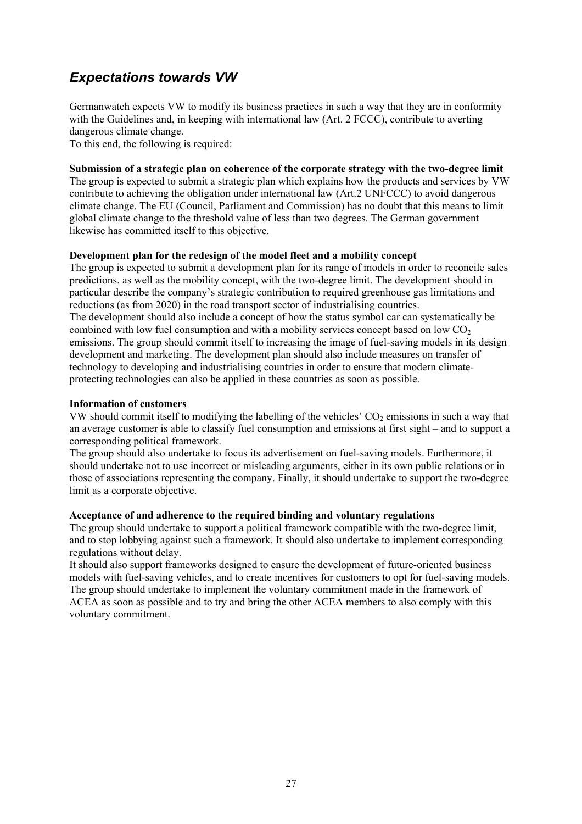# *Expectations towards VW*

Germanwatch expects VW to modify its business practices in such a way that they are in conformity with the Guidelines and, in keeping with international law (Art. 2 FCCC), contribute to averting dangerous climate change.

To this end, the following is required:

### **Submission of a strategic plan on coherence of the corporate strategy with the two-degree limit**

The group is expected to submit a strategic plan which explains how the products and services by VW contribute to achieving the obligation under international law (Art.2 UNFCCC) to avoid dangerous climate change. The EU (Council, Parliament and Commission) has no doubt that this means to limit global climate change to the threshold value of less than two degrees. The German government likewise has committed itself to this objective.

### **Development plan for the redesign of the model fleet and a mobility concept**

The group is expected to submit a development plan for its range of models in order to reconcile sales predictions, as well as the mobility concept, with the two-degree limit. The development should in particular describe the company's strategic contribution to required greenhouse gas limitations and reductions (as from 2020) in the road transport sector of industrialising countries. The development should also include a concept of how the status symbol car can systematically be combined with low fuel consumption and with a mobility services concept based on low  $CO<sub>2</sub>$ emissions. The group should commit itself to increasing the image of fuel-saving models in its design development and marketing. The development plan should also include measures on transfer of technology to developing and industrialising countries in order to ensure that modern climateprotecting technologies can also be applied in these countries as soon as possible.

### **Information of customers**

VW should commit itself to modifying the labelling of the vehicles'  $CO<sub>2</sub>$  emissions in such a way that an average customer is able to classify fuel consumption and emissions at first sight – and to support a corresponding political framework.

The group should also undertake to focus its advertisement on fuel-saving models. Furthermore, it should undertake not to use incorrect or misleading arguments, either in its own public relations or in those of associations representing the company. Finally, it should undertake to support the two-degree limit as a corporate objective.

#### **Acceptance of and adherence to the required binding and voluntary regulations**

The group should undertake to support a political framework compatible with the two-degree limit, and to stop lobbying against such a framework. It should also undertake to implement corresponding regulations without delay.

It should also support frameworks designed to ensure the development of future-oriented business models with fuel-saving vehicles, and to create incentives for customers to opt for fuel-saving models. The group should undertake to implement the voluntary commitment made in the framework of ACEA as soon as possible and to try and bring the other ACEA members to also comply with this voluntary commitment.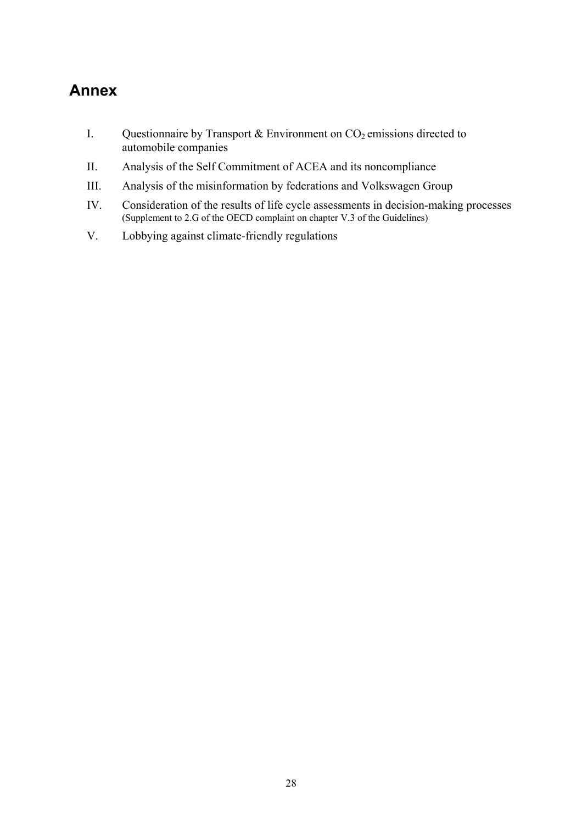# **Annex**

- I. Questionnaire by Transport & Environment on  $CO<sub>2</sub>$  emissions directed to automobile companies
- II. Analysis of the Self Commitment of ACEA and its noncompliance
- III. Analysis of the misinformation by federations and Volkswagen Group
- IV. Consideration of the results of life cycle assessments in decision-making processes (Supplement to 2.G of the OECD complaint on chapter V.3 of the Guidelines)
- V. Lobbying against climate-friendly regulations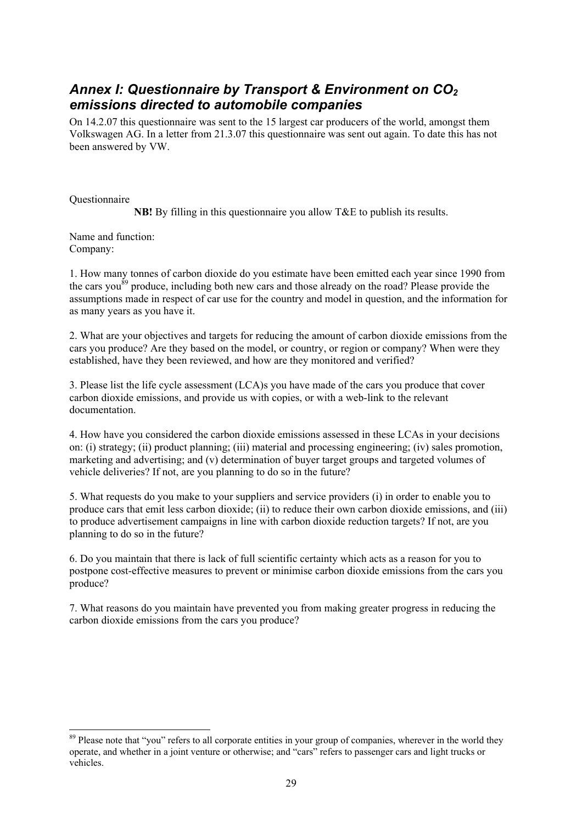## *Annex I: Questionnaire by Transport & Environment on CO2 emissions directed to automobile companies*

On 14.2.07 this questionnaire was sent to the 15 largest car producers of the world, amongst them Volkswagen AG. In a letter from 21.3.07 this questionnaire was sent out again. To date this has not been answered by VW.

**Ouestionnaire** 

l

**NB!** By filling in this questionnaire you allow T&E to publish its results.

Name and function: Company:

1. How many tonnes of carbon dioxide do you estimate have been emitted each year since 1990 from the cars you<sup>89</sup> produce, including both new cars and those already on the road? Please provide the assumptions made in respect of car use for the country and model in question, and the information for as many years as you have it.

2. What are your objectives and targets for reducing the amount of carbon dioxide emissions from the cars you produce? Are they based on the model, or country, or region or company? When were they established, have they been reviewed, and how are they monitored and verified?

3. Please list the life cycle assessment (LCA)s you have made of the cars you produce that cover carbon dioxide emissions, and provide us with copies, or with a web-link to the relevant documentation.

4. How have you considered the carbon dioxide emissions assessed in these LCAs in your decisions on: (i) strategy; (ii) product planning; (iii) material and processing engineering; (iv) sales promotion, marketing and advertising; and (v) determination of buyer target groups and targeted volumes of vehicle deliveries? If not, are you planning to do so in the future?

5. What requests do you make to your suppliers and service providers (i) in order to enable you to produce cars that emit less carbon dioxide; (ii) to reduce their own carbon dioxide emissions, and (iii) to produce advertisement campaigns in line with carbon dioxide reduction targets? If not, are you planning to do so in the future?

6. Do you maintain that there is lack of full scientific certainty which acts as a reason for you to postpone cost-effective measures to prevent or minimise carbon dioxide emissions from the cars you produce?

7. What reasons do you maintain have prevented you from making greater progress in reducing the carbon dioxide emissions from the cars you produce?

<sup>&</sup>lt;sup>89</sup> Please note that "you" refers to all corporate entities in your group of companies, wherever in the world they operate, and whether in a joint venture or otherwise; and "cars" refers to passenger cars and light trucks or vehicles.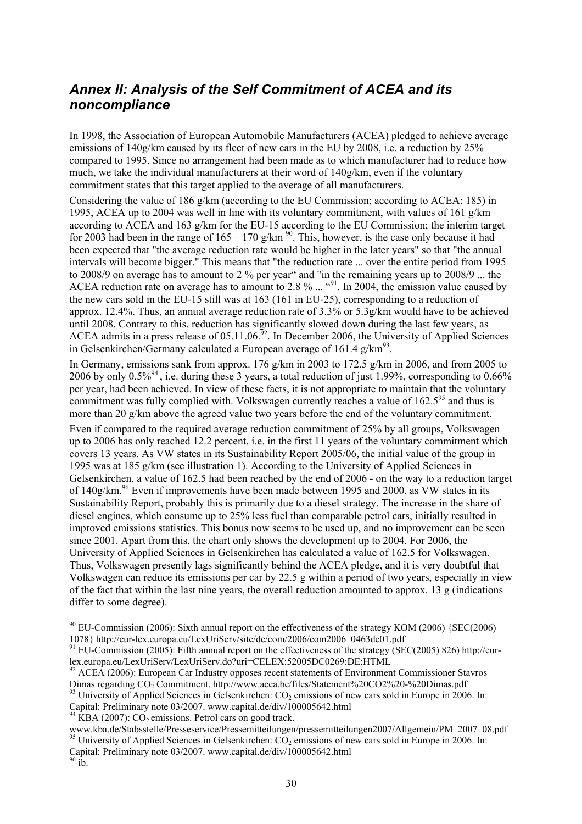## *Annex II: Analysis of the Self Commitment of ACEA and its noncompliance*

In 1998, the Association of European Automobile Manufacturers (ACEA) pledged to achieve average emissions of  $140g/\text{km}$  caused by its fleet of new cars in the EU by 2008, i.e. a reduction by 25% compared to 1995. Since no arrangement had been made as to which manufacturer had to reduce how much, we take the individual manufacturers at their word of 140g/km, even if the voluntary commitment states that this target applied to the average of all manufacturers.

Considering the value of 186 g/km (according to the EU Commission; according to ACEA: 185) in 1995, ACEA up to 2004 was well in line with its voluntary commitment, with values of 161 g/km according to ACEA and 163 g/km for the EU-15 according to the EU Commission; the interim target for 2003 had been in the range of  $165 - 170$  g/km <sup>90</sup>. This, however, is the case only because it had been expected that "the average reduction rate would be higher in the later years" so that "the annual intervals will become bigger." This means that "the reduction rate ... over the entire period from 1995 to 2008/9 on average has to amount to 2 % per year" and "in the remaining years up to 2008/9 ... the ACEA reduction rate on average has to amount to 2.8  $\%$  ...  $\cdot$   $\cdot$   $\cdot$  1n 2004, the emission value caused by the new cars sold in the EU-15 still was at 163 (161 in EU-25), corresponding to a reduction of approx. 12.4%. Thus, an annual average reduction rate of 3.3% or 5.3g/km would have to be achieved until 2008. Contrary to this, reduction has significantly slowed down during the last few years, as ACEA admits in a press release of  $05.11.06$ .<sup>92</sup>. In December 2006, the University of Applied Sciences in Gelsenkirchen/Germany calculated a European average of 161.4  $g/km^{93}$ .

In Germany, emissions sank from approx. 176 g/km in 2003 to 172.5 g/km in 2006, and from 2005 to 2006 by only 0.5%94 , i.e. during these 3 years, a total reduction of just 1.99%, corresponding to 0.66% per year, had been achieved. In view of these facts, it is not appropriate to maintain that the voluntary commitment was fully complied with. Volkswagen currently reaches a value of 162.5<sup>95</sup> and thus is more than 20 g/km above the agreed value two years before the end of the voluntary commitment. Even if compared to the required average reduction commitment of 25% by all groups, Volkswagen up to 2006 has only reached 12.2 percent, i.e. in the first 11 years of the voluntary commitment which covers 13 years. As VW states in its Sustainability Report 2005/06, the initial value of the group in 1995 was at 185 g/km (see illustration 1). According to the University of Applied Sciences in Gelsenkirchen, a value of 162.5 had been reached by the end of 2006 - on the way to a reduction target of  $140g/km<sup>96</sup>$  Even if improvements have been made between 1995 and 2000, as VW states in its Sustainability Report, probably this is primarily due to a diesel strategy. The increase in the share of diesel engines, which consume up to 25% less fuel than comparable petrol cars, initially resulted in improved emissions statistics. This bonus now seems to be used up, and no improvement can be seen since 2001. Apart from this, the chart only shows the development up to 2004. For 2006, the University of Applied Sciences in Gelsenkirchen has calculated a value of 162.5 for Volkswagen. Thus, Volkswagen presently lags significantly behind the ACEA pledge, and it is very doubtful that Volkswagen can reduce its emissions per car by 22.5 g within a period of two years, especially in view of the fact that within the last nine years, the overall reduction amounted to approx. 13 g (indications differ to some degree).

 $^{94}$  KBA (2007): CO<sub>2</sub> emissions. Petrol cars on good track.

www.kba.de/Stabsstelle/Presseservice/Pressemitteilungen/pressemitteilungen2007/Allgemein/PM\_2007\_08.pdf 95 University of Applied Sciences in Gelsenkirchen: CO<sub>2</sub> emissions of new cars sold in Europe in 2006. In: Capital: Preliminary note 03/2007. www.capital.de/div/100005642.html

 $90$  EU-Commission (2006): Sixth annual report on the effectiveness of the strategy KOM (2006) {SEC(2006) 1078} http://eur-lex.europa.eu/LexUriServ/site/de/com/2006/com2006\_0463de01.pdf 91 EU-Commission (2005): Fifth annual report on the effectiveness of the strategy (SEC(2005) 826) http://eur-

lex.europa.eu/LexUriServ/LexUriServ.do?uri=CELEX:52005DC0269:DE:HTML

<sup>&</sup>lt;sup>92</sup> ACEA (2006): European Car Industry opposes recent statements of Environment Commissioner Stavros<br>Dimas regarding CO<sub>2</sub> Commitment, http://www.acea.be/files/Statement%20CO2%20-%20Dimas.pdf

 $93$  University of Applied Sciences in Gelsenkirchen: CO<sub>2</sub> emissions of new cars sold in Europe in 2006. In: Capital: Preliminary note 03/2007. www.capital.de/div/100005642.html

 $96$  ib.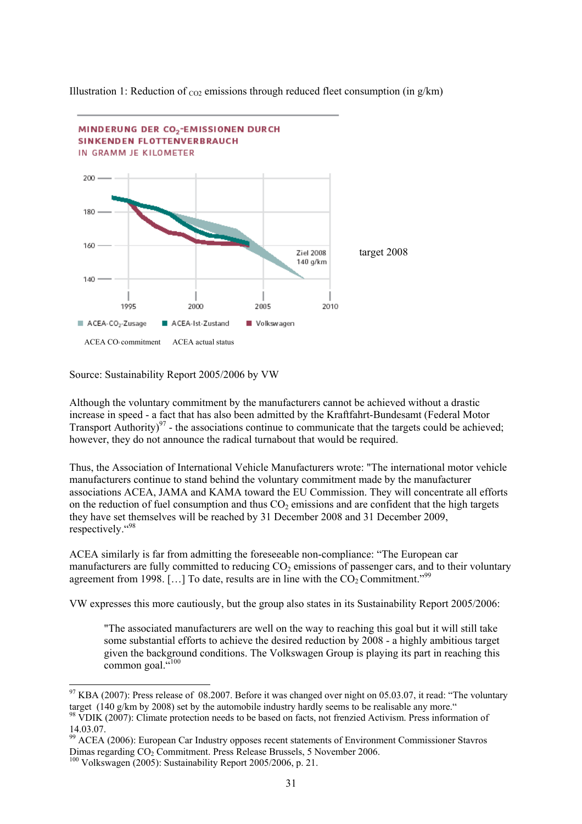

Illustration 1: Reduction of  $_{CO2}$  emissions through reduced fleet consumption (in g/km)

Source: Sustainability Report 2005/2006 by VW

Although the voluntary commitment by the manufacturers cannot be achieved without a drastic increase in speed - a fact that has also been admitted by the Kraftfahrt-Bundesamt (Federal Motor Transport Authority) $97$  - the associations continue to communicate that the targets could be achieved; however, they do not announce the radical turnabout that would be required.

Thus, the Association of International Vehicle Manufacturers wrote: "The international motor vehicle manufacturers continue to stand behind the voluntary commitment made by the manufacturer associations ACEA, JAMA and KAMA toward the EU Commission. They will concentrate all efforts on the reduction of fuel consumption and thus  $CO<sub>2</sub>$  emissions and are confident that the high targets they have set themselves will be reached by 31 December 2008 and 31 December 2009, respectively."<sup>98</sup>

ACEA similarly is far from admitting the foreseeable non-compliance: "The European car manufacturers are fully committed to reducing  $CO<sub>2</sub>$  emissions of passenger cars, and to their voluntary agreement from 1998. [...] To date, results are in line with the  $CO<sub>2</sub>$  Commitment.<sup>"99</sup>

VW expresses this more cautiously, but the group also states in its Sustainability Report 2005/2006:

"The associated manufacturers are well on the way to reaching this goal but it will still take some substantial efforts to achieve the desired reduction by 2008 - a highly ambitious target given the background conditions. The Volkswagen Group is playing its part in reaching this common goal.  $\ldots$ <sup>100</sup>

 $^{97}$  KBA (2007): Press release of 08.2007. Before it was changed over night on 05.03.07, it read: "The voluntary target (140 g/km by 2008) set by the automobile industry hardly seems to be realisable any more."

<sup>98</sup> VDIK (2007): Climate protection needs to be based on facts, not frenzied Activism. Press information of 14.03.07.

<sup>&</sup>lt;sup>99</sup> ACEA (2006): European Car Industry opposes recent statements of Environment Commissioner Stavros Dimas regarding CO<sub>2</sub> Commitment. Press Release Brussels, 5 November 2006. <sup>100</sup> Volkswagen (2005): Sustainability Report 2005/2006, p. 21.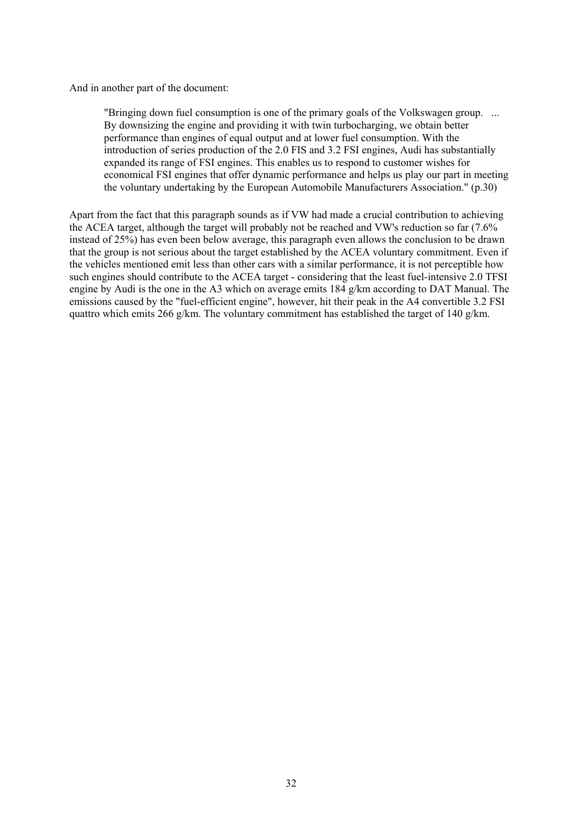And in another part of the document:

"Bringing down fuel consumption is one of the primary goals of the Volkswagen group. ... By downsizing the engine and providing it with twin turbocharging, we obtain better performance than engines of equal output and at lower fuel consumption. With the introduction of series production of the 2.0 FIS and 3.2 FSI engines, Audi has substantially expanded its range of FSI engines. This enables us to respond to customer wishes for economical FSI engines that offer dynamic performance and helps us play our part in meeting the voluntary undertaking by the European Automobile Manufacturers Association." (p.30)

Apart from the fact that this paragraph sounds as if VW had made a crucial contribution to achieving the ACEA target, although the target will probably not be reached and VW's reduction so far (7.6% instead of 25%) has even been below average, this paragraph even allows the conclusion to be drawn that the group is not serious about the target established by the ACEA voluntary commitment. Even if the vehicles mentioned emit less than other cars with a similar performance, it is not perceptible how such engines should contribute to the ACEA target - considering that the least fuel-intensive 2.0 TFSI engine by Audi is the one in the A3 which on average emits 184 g/km according to DAT Manual. The emissions caused by the "fuel-efficient engine", however, hit their peak in the A4 convertible 3.2 FSI quattro which emits 266 g/km. The voluntary commitment has established the target of 140 g/km.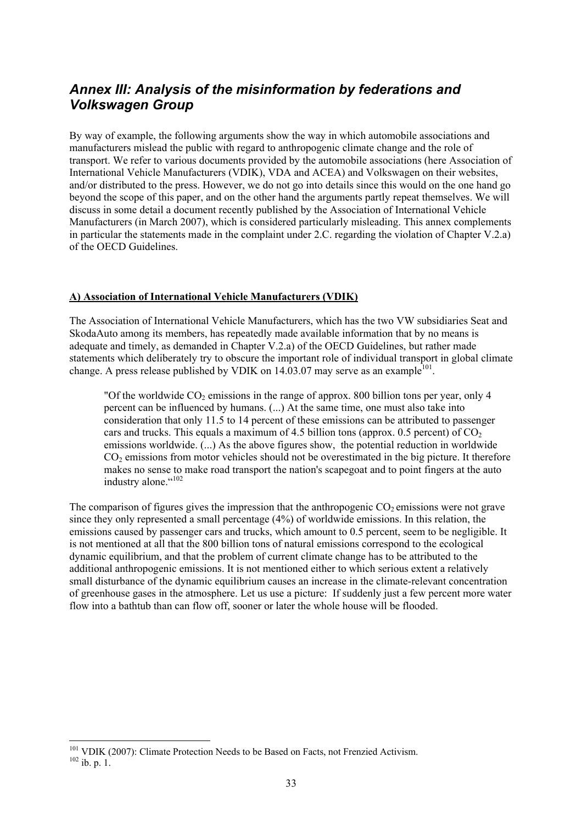## *Annex III: Analysis of the misinformation by federations and Volkswagen Group*

By way of example, the following arguments show the way in which automobile associations and manufacturers mislead the public with regard to anthropogenic climate change and the role of transport. We refer to various documents provided by the automobile associations (here Association of International Vehicle Manufacturers (VDIK), VDA and ACEA) and Volkswagen on their websites, and/or distributed to the press. However, we do not go into details since this would on the one hand go beyond the scope of this paper, and on the other hand the arguments partly repeat themselves. We will discuss in some detail a document recently published by the Association of International Vehicle Manufacturers (in March 2007), which is considered particularly misleading. This annex complements in particular the statements made in the complaint under 2.C. regarding the violation of Chapter V.2.a) of the OECD Guidelines.

### **A) Association of International Vehicle Manufacturers (VDIK)**

The Association of International Vehicle Manufacturers, which has the two VW subsidiaries Seat and SkodaAuto among its members, has repeatedly made available information that by no means is adequate and timely, as demanded in Chapter V.2.a) of the OECD Guidelines, but rather made statements which deliberately try to obscure the important role of individual transport in global climate change. A press release published by VDIK on  $14.03.07$  may serve as an example<sup>101</sup>.

"Of the worldwide  $CO_2$  emissions in the range of approx. 800 billion tons per year, only 4 percent can be influenced by humans. (...) At the same time, one must also take into consideration that only 11.5 to 14 percent of these emissions can be attributed to passenger cars and trucks. This equals a maximum of 4.5 billion tons (approx. 0.5 percent) of  $CO<sub>2</sub>$ emissions worldwide. (...) As the above figures show, the potential reduction in worldwide CO<sub>2</sub> emissions from motor vehicles should not be overestimated in the big picture. It therefore makes no sense to make road transport the nation's scapegoat and to point fingers at the auto industry alone."<sup>102</sup>

The comparison of figures gives the impression that the anthropogenic  $CO<sub>2</sub>$  emissions were not grave since they only represented a small percentage (4%) of worldwide emissions. In this relation, the emissions caused by passenger cars and trucks, which amount to 0.5 percent, seem to be negligible. It is not mentioned at all that the 800 billion tons of natural emissions correspond to the ecological dynamic equilibrium, and that the problem of current climate change has to be attributed to the additional anthropogenic emissions. It is not mentioned either to which serious extent a relatively small disturbance of the dynamic equilibrium causes an increase in the climate-relevant concentration of greenhouse gases in the atmosphere. Let us use a picture: If suddenly just a few percent more water flow into a bathtub than can flow off, sooner or later the whole house will be flooded.

<sup>&</sup>lt;sup>101</sup> VDIK (2007): Climate Protection Needs to be Based on Facts, not Frenzied Activism.<br><sup>102</sup> ib. p. 1.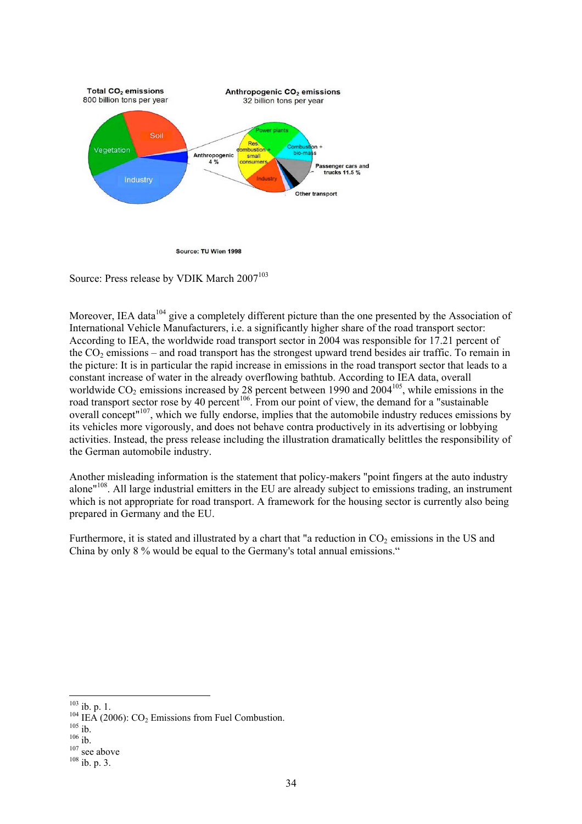

Source: TU Wien 1998

Source: Press release by VDIK March 2007<sup>103</sup>

Moreover, IEA data<sup>104</sup> give a completely different picture than the one presented by the Association of International Vehicle Manufacturers, i.e. a significantly higher share of the road transport sector: According to IEA, the worldwide road transport sector in 2004 was responsible for 17.21 percent of the  $CO<sub>2</sub>$  emissions – and road transport has the strongest upward trend besides air traffic. To remain in the picture: It is in particular the rapid increase in emissions in the road transport sector that leads to a constant increase of water in the already overflowing bathtub. According to IEA data, overall worldwide  $CO_2$  emissions increased by 28 percent between 1990 and 2004<sup>105</sup>, while emissions in the road transport sector rose by 40 percent<sup>106</sup>. From our point of view, the demand for a "sustainable" overall concept"107, which we fully endorse, implies that the automobile industry reduces emissions by its vehicles more vigorously, and does not behave contra productively in its advertising or lobbying activities. Instead, the press release including the illustration dramatically belittles the responsibility of the German automobile industry.

Another misleading information is the statement that policy-makers "point fingers at the auto industry alone"108. All large industrial emitters in the EU are already subject to emissions trading, an instrument which is not appropriate for road transport. A framework for the housing sector is currently also being prepared in Germany and the EU.

Furthermore, it is stated and illustrated by a chart that "a reduction in  $CO<sub>2</sub>$  emissions in the US and China by only 8 % would be equal to the Germany's total annual emissions."

 $103$  ib. p. 1.

<sup>&</sup>lt;sup>104</sup> IEA (2006): CO<sub>2</sub> Emissions from Fuel Combustion.<br><sup>105</sup> ib.<br><sup>106</sup> ib. 107 see above <sup>108</sup> ib. p. 3.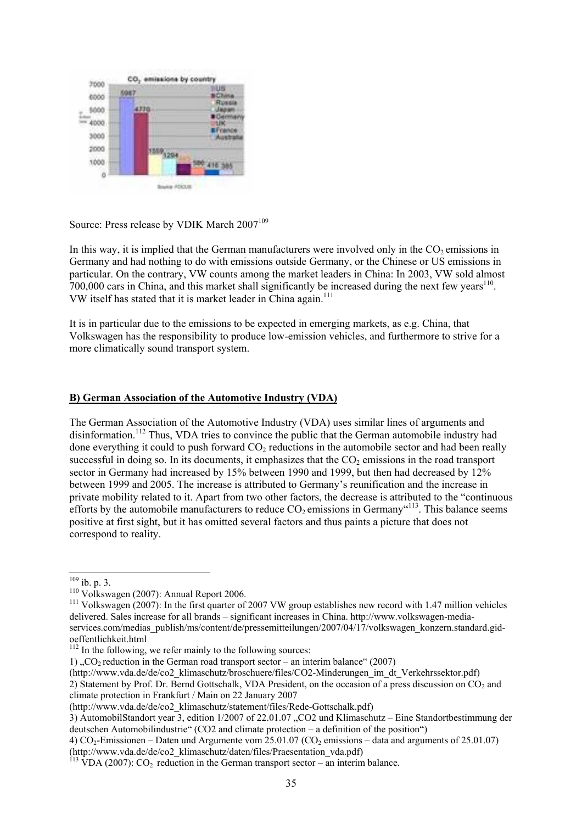

Source: Press release by VDIK March 2007<sup>109</sup>

In this way, it is implied that the German manufacturers were involved only in the  $CO<sub>2</sub>$  emissions in Germany and had nothing to do with emissions outside Germany, or the Chinese or US emissions in particular. On the contrary, VW counts among the market leaders in China: In 2003, VW sold almost  $700,000$  cars in China, and this market shall significantly be increased during the next few years<sup>110</sup>. VW itself has stated that it is market leader in China again.<sup>111</sup>

It is in particular due to the emissions to be expected in emerging markets, as e.g. China, that Volkswagen has the responsibility to produce low-emission vehicles, and furthermore to strive for a more climatically sound transport system.

### **B) German Association of the Automotive Industry (VDA)**

The German Association of the Automotive Industry (VDA) uses similar lines of arguments and disinformation.<sup>112</sup> Thus, VDA tries to convince the public that the German automobile industry had done everything it could to push forward  $CO<sub>2</sub>$  reductions in the automobile sector and had been really successful in doing so. In its documents, it emphasizes that the  $CO<sub>2</sub>$  emissions in the road transport sector in Germany had increased by 15% between 1990 and 1999, but then had decreased by 12% between 1999 and 2005. The increase is attributed to Germany's reunification and the increase in private mobility related to it. Apart from two other factors, the decrease is attributed to the "continuous efforts by the automobile manufacturers to reduce  $CO<sub>2</sub>$  emissions in Germany<sup> $(113)$ </sup>. This balance seems positive at first sight, but it has omitted several factors and thus paints a picture that does not correspond to reality.

 $109$  ib. p. 3.

<sup>&</sup>lt;sup>110</sup> Volkswagen (2007): Annual Report 2006.<br><sup>111</sup> Volkswagen (2007): In the first quarter of 2007 VW group establishes new record with 1.47 million vehicles delivered. Sales increase for all brands – significant increases in China. http://www.volkswagen-mediaservices.com/medias\_publish/ms/content/de/pressemitteilungen/2007/04/17/volkswagen\_konzern.standard.gidoeffentlichkeit.html

<sup>&</sup>lt;sup>112</sup> In the following, we refer mainly to the following sources:

<sup>1)</sup>  $\Omega$ . CO<sub>2</sub> reduction in the German road transport sector – an interim balance (2007)

<sup>(</sup>http://www.vda.de/de/co2\_klimaschutz/broschuere/files/CO2-Minderungen\_im\_dt\_Verkehrssektor.pdf) 2) Statement by Prof. Dr. Bernd Gottschalk, VDA President, on the occasion of a press discussion on CO<sub>2</sub> and climate protection in Frankfurt / Main on 22 January 2007

<sup>(</sup>http://www.vda.de/de/co2\_klimaschutz/statement/files/Rede-Gottschalk.pdf)

<sup>3)</sup> AutomobilStandort year 3, edition 1/2007 of 22.01.07 "CO2 und Klimaschutz – Eine Standortbestimmung der deutschen Automobilindustrie" (CO2 and climate protection – a definition of the position")

<sup>4)</sup>  $CO<sub>2</sub>$ -Emissionen – Daten und Argumente vom 25.01.07 (CO<sub>2</sub> emissions – data and arguments of 25.01.07)

<sup>(</sup>http://www.vda.de/de/co2\_klimaschutz/daten/files/Praesentation\_vda.pdf)

 $113$  VDA (2007): CO<sub>2</sub> reduction in the German transport sector – an interim balance.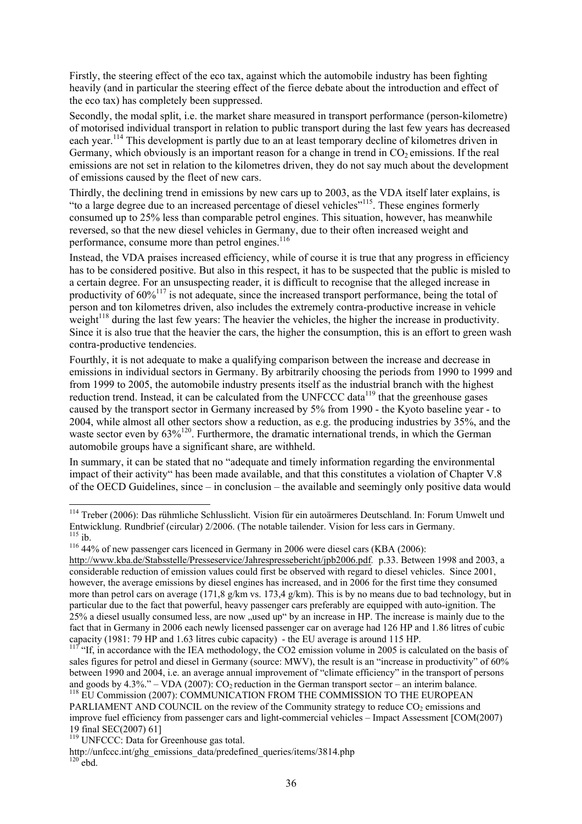Firstly, the steering effect of the eco tax, against which the automobile industry has been fighting heavily (and in particular the steering effect of the fierce debate about the introduction and effect of the eco tax) has completely been suppressed.

Secondly, the modal split, i.e. the market share measured in transport performance (person-kilometre) of motorised individual transport in relation to public transport during the last few years has decreased each year.114 This development is partly due to an at least temporary decline of kilometres driven in Germany, which obviously is an important reason for a change in trend in  $CO<sub>2</sub>$  emissions. If the real emissions are not set in relation to the kilometres driven, they do not say much about the development of emissions caused by the fleet of new cars.

Thirdly, the declining trend in emissions by new cars up to 2003, as the VDA itself later explains, is "to a large degree due to an increased percentage of diesel vehicles"115. These engines formerly consumed up to 25% less than comparable petrol engines. This situation, however, has meanwhile reversed, so that the new diesel vehicles in Germany, due to their often increased weight and performance, consume more than petrol engines. $116$ 

Instead, the VDA praises increased efficiency, while of course it is true that any progress in efficiency has to be considered positive. But also in this respect, it has to be suspected that the public is misled to a certain degree. For an unsuspecting reader, it is difficult to recognise that the alleged increase in productivity of  $60\%$ <sup>117</sup> is not adequate, since the increased transport performance, being the total of person and ton kilometres driven, also includes the extremely contra-productive increase in vehicle weight<sup>118</sup> during the last few years: The heavier the vehicles, the higher the increase in productivity. Since it is also true that the heavier the cars, the higher the consumption, this is an effort to green wash contra-productive tendencies.

Fourthly, it is not adequate to make a qualifying comparison between the increase and decrease in emissions in individual sectors in Germany. By arbitrarily choosing the periods from 1990 to 1999 and from 1999 to 2005, the automobile industry presents itself as the industrial branch with the highest reduction trend. Instead, it can be calculated from the UNFCCC data<sup>119</sup> that the greenhouse gases caused by the transport sector in Germany increased by 5% from 1990 - the Kyoto baseline year - to 2004, while almost all other sectors show a reduction, as e.g. the producing industries by 35%, and the waste sector even by  $63\%^{120}$ . Furthermore, the dramatic international trends, in which the German automobile groups have a significant share, are withheld.

In summary, it can be stated that no "adequate and timely information regarding the environmental impact of their activity" has been made available, and that this constitutes a violation of Chapter V.8 of the OECD Guidelines, since – in conclusion – the available and seemingly only positive data would

<sup>114</sup> Treber (2006): Das rühmliche Schlusslicht. Vision für ein autoärmeres Deutschland. In: Forum Umwelt und Entwicklung. Rundbrief (circular) 2/2006. (The notable tailender. Vision for less cars in Germany.

 $116$  44% of new passenger cars licenced in Germany in 2006 were diesel cars (KBA (2006):

http://www.kba.de/Stabsstelle/Presseservice/Jahrespressebericht/jpb2006.pdf*.* p.33. Between 1998 and 2003, a considerable reduction of emission values could first be observed with regard to diesel vehicles. Since 2001, however, the average emissions by diesel engines has increased, and in 2006 for the first time they consumed more than petrol cars on average (171,8 g/km vs. 173,4 g/km). This is by no means due to bad technology, but in particular due to the fact that powerful, heavy passenger cars preferably are equipped with auto-ignition. The 25% a diesel usually consumed less, are now "used up" by an increase in HP. The increase is mainly due to the fact that in Germany in 2006 each newly licensed passenger car on average had 126 HP and 1.86 litres of cubic capacity (1981: 79 HP and 1.63 litres cubic capacity) - the EU average is around 115 HP.

<sup>&</sup>lt;sup>117</sup> "If, in accordance with the IEA methodology, the CO2 emission volume in 2005 is calculated on the basis of sales figures for petrol and diesel in Germany (source: MWV), the result is an "increase in productivity" of 60% between 1990 and 2004, i.e. an average annual improvement of "climate efficiency" in the transport of persons and goods by 4.3%." – VDA (2007):  $CO_2$  reduction in the German transport sector – an interim balance. <sup>118</sup> EU Commission (2007): COMMUNICATION FROM THE COMMISSION TO THE EUROPEAN

PARLIAMENT AND COUNCIL on the review of the Community strategy to reduce CO<sub>2</sub> emissions and improve fuel efficiency from passenger cars and light-commercial vehicles – Impact Assessment [COM(2007) 19 final SEC(2007) 61]

<sup>&</sup>lt;sup>119</sup> UNFCCC: Data for Greenhouse gas total.

http://unfccc.int/ghg\_emissions\_data/predefined\_queries/items/3814.php <sup>120</sup> ebd.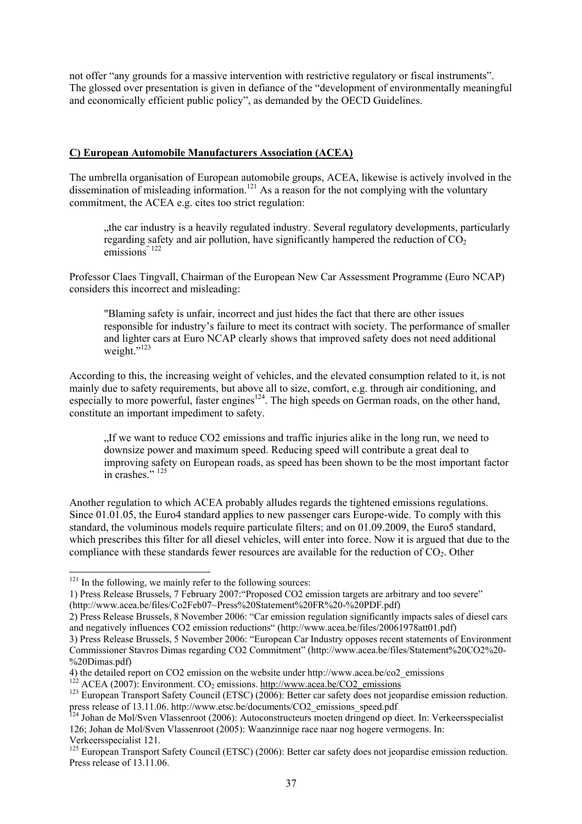not offer "any grounds for a massive intervention with restrictive regulatory or fiscal instruments". The glossed over presentation is given in defiance of the "development of environmentally meaningful and economically efficient public policy", as demanded by the OECD Guidelines.

### **C) European Automobile Manufacturers Association (ACEA)**

The umbrella organisation of European automobile groups, ACEA, likewise is actively involved in the dissemination of misleading information.<sup>121</sup> As a reason for the not complying with the voluntary commitment, the ACEA e.g. cites too strict regulation:

"the car industry is a heavily regulated industry. Several regulatory developments, particularly regarding safety and air pollution, have significantly hampered the reduction of  $CO<sub>2</sub>$ emissions<sup>" 122</sup>

Professor Claes Tingvall, Chairman of the European New Car Assessment Programme (Euro NCAP) considers this incorrect and misleading:

"Blaming safety is unfair, incorrect and just hides the fact that there are other issues responsible for industry's failure to meet its contract with society. The performance of smaller and lighter cars at Euro NCAP clearly shows that improved safety does not need additional weight."<sup>123</sup>

According to this, the increasing weight of vehicles, and the elevated consumption related to it, is not mainly due to safety requirements, but above all to size, comfort, e.g. through air conditioning, and especially to more powerful, faster engines<sup>124</sup>. The high speeds on German roads, on the other hand, constitute an important impediment to safety.

 $\cdot$  If we want to reduce CO2 emissions and traffic injuries alike in the long run, we need to downsize power and maximum speed. Reducing speed will contribute a great deal to improving safety on European roads, as speed has been shown to be the most important factor in crashes." <sup>125</sup>

Another regulation to which ACEA probably alludes regards the tightened emissions regulations. Since 01.01.05, the Euro4 standard applies to new passenger cars Europe-wide. To comply with this standard, the voluminous models require particulate filters; and on 01.09.2009, the Euro5 standard, which prescribes this filter for all diesel vehicles, will enter into force. Now it is argued that due to the compliance with these standards fewer resources are available for the reduction of  $CO<sub>2</sub>$ . Other

 $121$  In the following, we mainly refer to the following sources:

<sup>1)</sup> Press Release Brussels, 7 February 2007:"Proposed CO2 emission targets are arbitrary and too severe" (http://www.acea.be/files/Co2Feb07~Press%20Statement%20FR%20-%20PDF.pdf)

<sup>2)</sup> Press Release Brussels, 8 November 2006: "Car emission regulation significantly impacts sales of diesel cars and negatively influences CO2 emission reductions" (http://www.acea.be/files/20061978att01.pdf)

<sup>3)</sup> Press Release Brussels, 5 November 2006: "European Car Industry opposes recent statements of Environment Commissioner Stavros Dimas regarding CO2 Commitment" (http://www.acea.be/files/Statement%20CO2%20- %20Dimas.pdf)<br>4) the detailed report on CO2 emission on the website under http://www.acea.be/co2 emissions

<sup>&</sup>lt;sup>122</sup> ACEA (2007): Environment. CO<sub>2</sub> emissions. http://www.acea.be/CO2\_emissions<br><sup>123</sup> European Transport Safety Council (ETSC) (2006): Better car safety does not jeopardise emission reduction. press release of 13.11.06. http://www.etsc.be/documents/CO2\_emissions\_speed.pdf

 $124$  Johan de Mol/Sven Vlassenroot (2006): Autoconstructeurs moeten dringend op dieet. In: Verkeersspecialist 126; Johan de Mol/Sven Vlassenroot (2005): Waanzinnige race naar nog hogere vermogens. In: Verkeersspecialist 121.

<sup>&</sup>lt;sup>125</sup> European Transport Safety Council (ETSC) (2006): Better car safety does not jeopardise emission reduction. Press release of 13.11.06.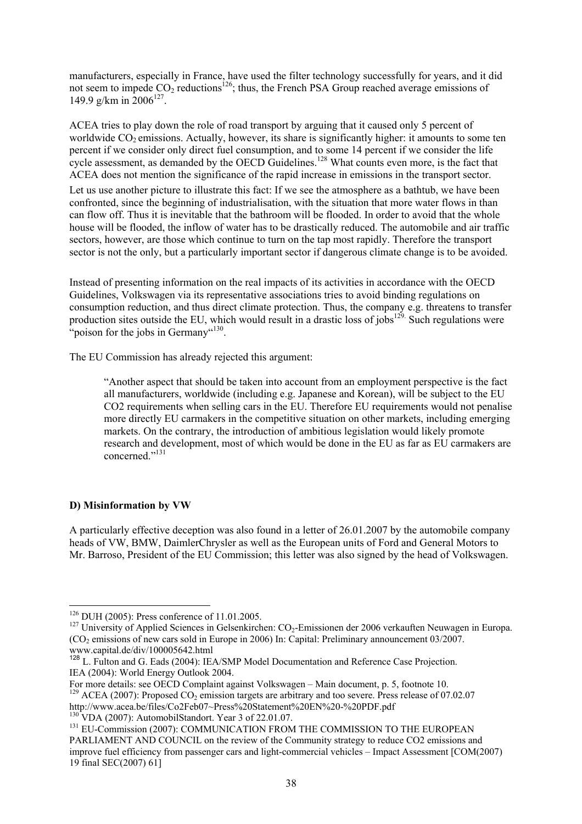manufacturers, especially in France, have used the filter technology successfully for years, and it did not seem to impede  $CO_2$  reductions<sup>126</sup>; thus, the French PSA Group reached average emissions of 149.9 g/km in  $2006^{127}$ .

ACEA tries to play down the role of road transport by arguing that it caused only 5 percent of worldwide  $CO<sub>2</sub>$  emissions. Actually, however, its share is significantly higher: it amounts to some ten percent if we consider only direct fuel consumption, and to some 14 percent if we consider the life cycle assessment, as demanded by the OECD Guidelines.<sup>128</sup> What counts even more, is the fact that ACEA does not mention the significance of the rapid increase in emissions in the transport sector.

Let us use another picture to illustrate this fact: If we see the atmosphere as a bathtub, we have been confronted, since the beginning of industrialisation, with the situation that more water flows in than can flow off. Thus it is inevitable that the bathroom will be flooded. In order to avoid that the whole house will be flooded, the inflow of water has to be drastically reduced. The automobile and air traffic sectors, however, are those which continue to turn on the tap most rapidly. Therefore the transport sector is not the only, but a particularly important sector if dangerous climate change is to be avoided.

Instead of presenting information on the real impacts of its activities in accordance with the OECD Guidelines, Volkswagen via its representative associations tries to avoid binding regulations on consumption reduction, and thus direct climate protection. Thus, the company e.g. threatens to transfer production sites outside the EU, which would result in a drastic loss of jobs<sup>129.</sup> Such regulations were "poison for the jobs in Germany"<sup>130</sup>.

The EU Commission has already rejected this argument:

"Another aspect that should be taken into account from an employment perspective is the fact all manufacturers, worldwide (including e.g. Japanese and Korean), will be subject to the EU CO2 requirements when selling cars in the EU. Therefore EU requirements would not penalise more directly EU carmakers in the competitive situation on other markets, including emerging markets. On the contrary, the introduction of ambitious legislation would likely promote research and development, most of which would be done in the EU as far as EU carmakers are concerned."131

### **D) Misinformation by VW**

A particularly effective deception was also found in a letter of 26.01.2007 by the automobile company heads of VW, BMW, DaimlerChrysler as well as the European units of Ford and General Motors to Mr. Barroso, President of the EU Commission; this letter was also signed by the head of Volkswagen.

 $126$  DUH (2005): Press conference of 11.01.2005.

<sup>&</sup>lt;sup>127</sup> University of Applied Sciences in Gelsenkirchen: CO<sub>2</sub>-Emissionen der 2006 verkauften Neuwagen in Europa.  $(CO<sub>2</sub>$  emissions of new cars sold in Europe in 2006) In: Capital: Preliminary announcement 03/2007. www.capital.de/div/100005642.html

<sup>&</sup>lt;sup>128</sup> L. Fulton and G. Eads (2004): IEA/SMP Model Documentation and Reference Case Projection. IEA (2004): World Energy Outlook 2004.

For more details: see OECD Complaint against Volkswagen – Main document, p. 5, footnote 10. <sup>129</sup> ACEA (2007): Proposed CO<sub>2</sub> emission targets are arbitrary and too severe. Press release of 07.02.07<br>http://www.acea.be/files/Co2Feb07~Press%20Statement%20EN%20-%20PDF.pdf

 $\frac{^{130}$  VDA (2007): AutomobilStandort. Year 3 of 22.01.07.<br> $\frac{^{131}$  EU-Commission (2007): COMMUNICATION FROM THE COMMISSION TO THE EUROPEAN PARLIAMENT AND COUNCIL on the review of the Community strategy to reduce CO2 emissions and improve fuel efficiency from passenger cars and light-commercial vehicles – Impact Assessment [COM(2007) 19 final SEC(2007) 61]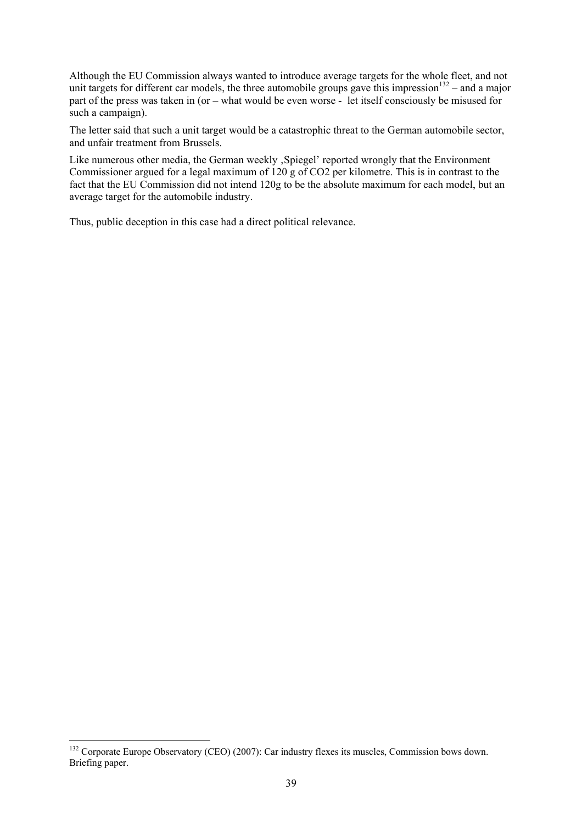Although the EU Commission always wanted to introduce average targets for the whole fleet, and not unit targets for different car models, the three automobile groups gave this impression<sup>132</sup> – and a major part of the press was taken in (or – what would be even worse - let itself consciously be misused for such a campaign).

The letter said that such a unit target would be a catastrophic threat to the German automobile sector, and unfair treatment from Brussels.

Like numerous other media, the German weekly , Spiegel' reported wrongly that the Environment Commissioner argued for a legal maximum of 120 g of CO2 per kilometre. This is in contrast to the fact that the EU Commission did not intend 120g to be the absolute maximum for each model, but an average target for the automobile industry.

Thus, public deception in this case had a direct political relevance.

<sup>&</sup>lt;sup>132</sup> Corporate Europe Observatory (CEO) (2007): Car industry flexes its muscles, Commission bows down. Briefing paper.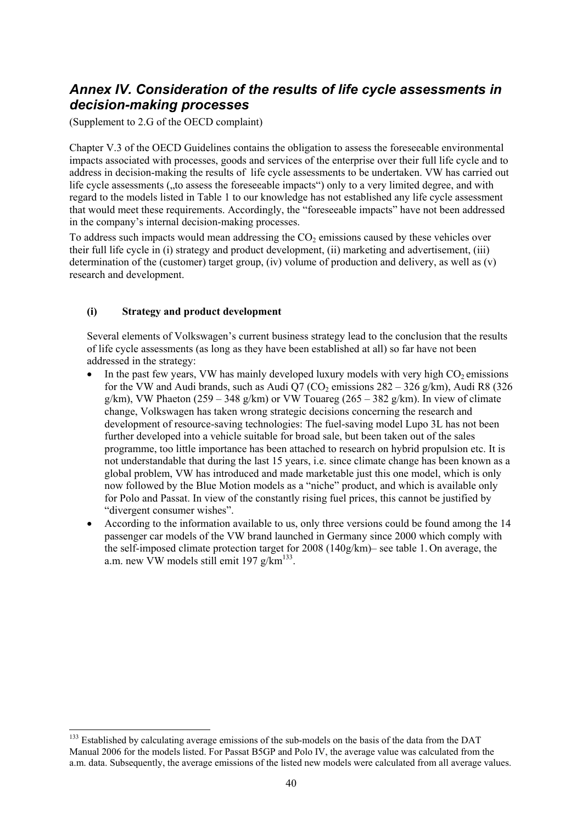## *Annex IV. Consideration of the results of life cycle assessments in decision-making processes*

(Supplement to 2.G of the OECD complaint)

Chapter V.3 of the OECD Guidelines contains the obligation to assess the foreseeable environmental impacts associated with processes, goods and services of the enterprise over their full life cycle and to address in decision-making the results of life cycle assessments to be undertaken. VW has carried out life cycle assessments (, to assess the foreseeable impacts") only to a very limited degree, and with regard to the models listed in Table 1 to our knowledge has not established any life cycle assessment that would meet these requirements. Accordingly, the "foreseeable impacts" have not been addressed in the company's internal decision-making processes.

To address such impacts would mean addressing the  $CO<sub>2</sub>$  emissions caused by these vehicles over their full life cycle in (i) strategy and product development, (ii) marketing and advertisement, (iii) determination of the (customer) target group, (iv) volume of production and delivery, as well as (v) research and development.

### **(i) Strategy and product development**

Several elements of Volkswagen's current business strategy lead to the conclusion that the results of life cycle assessments (as long as they have been established at all) so far have not been addressed in the strategy:

- In the past few years, VW has mainly developed luxury models with very high  $CO<sub>2</sub>$  emissions for the VW and Audi brands, such as Audi O7 (CO<sub>2</sub> emissions  $282 - 326$  g/km), Audi R8 (326) g/km), VW Phaeton (259 – 348 g/km) or VW Touareg (265 – 382 g/km). In view of climate change, Volkswagen has taken wrong strategic decisions concerning the research and development of resource-saving technologies: The fuel-saving model Lupo 3L has not been further developed into a vehicle suitable for broad sale, but been taken out of the sales programme, too little importance has been attached to research on hybrid propulsion etc. It is not understandable that during the last 15 years, i.e. since climate change has been known as a global problem, VW has introduced and made marketable just this one model, which is only now followed by the Blue Motion models as a "niche" product, and which is available only for Polo and Passat. In view of the constantly rising fuel prices, this cannot be justified by "divergent consumer wishes".
- According to the information available to us, only three versions could be found among the 14 passenger car models of the VW brand launched in Germany since 2000 which comply with the self-imposed climate protection target for 2008 (140g/km)– see table 1. On average, the a.m. new VW models still emit 197  $g/\text{km}^{133}$ .

l <sup>133</sup> Established by calculating average emissions of the sub-models on the basis of the data from the DAT Manual 2006 for the models listed. For Passat B5GP and Polo IV, the average value was calculated from the a.m. data. Subsequently, the average emissions of the listed new models were calculated from all average values.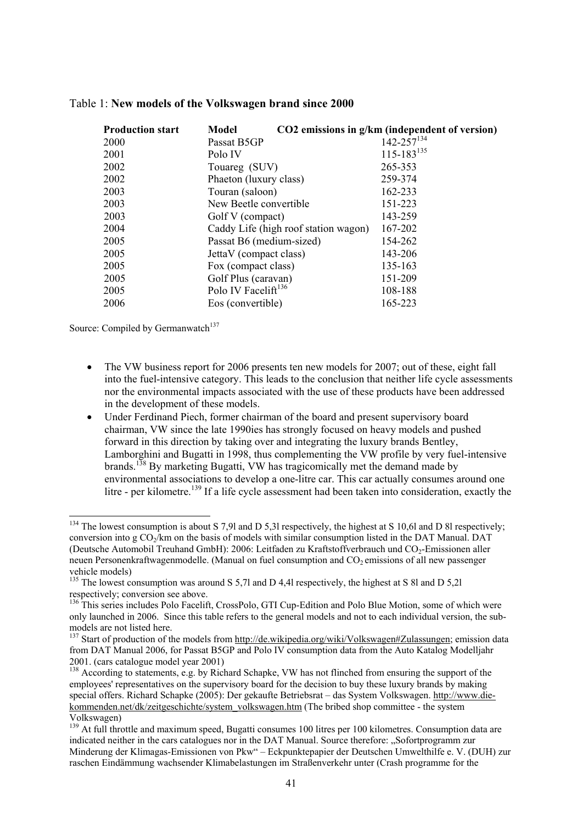| <b>Production start</b> | Model                                | CO2 emissions in g/km (independent of version) |
|-------------------------|--------------------------------------|------------------------------------------------|
| <b>2000</b>             | Passat B5GP                          | $142 - 257^{134}$                              |
| 2001                    | Polo IV                              | $115 - 183^{135}$                              |
| 2002                    | Touareg (SUV)                        | 265-353                                        |
| 2002                    | Phaeton (luxury class)               | 259-374                                        |
| 2003                    | Touran (saloon)                      | 162-233                                        |
| 2003                    | New Beetle convertible               | 151-223                                        |
| 2003                    | Golf V (compact)                     | 143-259                                        |
| 2004                    | Caddy Life (high roof station wagon) | 167-202                                        |
| 2005                    | Passat B6 (medium-sized)             | 154-262                                        |
| 2005                    | JettaV (compact class)               | 143-206                                        |
| 2005                    | Fox (compact class)                  | 135-163                                        |
| 2005                    | Golf Plus (caravan)                  | 151-209                                        |
| 2005                    | Polo IV Facelift <sup>136</sup>      | 108-188                                        |
| 2006                    | Eos (convertible)                    | 165-223                                        |

#### Table 1: **New models of the Volkswagen brand since 2000**

Source: Compiled by Germanwatch<sup>137</sup>

- The VW business report for 2006 presents ten new models for 2007; out of these, eight fall into the fuel-intensive category. This leads to the conclusion that neither life cycle assessments nor the environmental impacts associated with the use of these products have been addressed in the development of these models.
- Under Ferdinand Piech, former chairman of the board and present supervisory board chairman, VW since the late 1990ies has strongly focused on heavy models and pushed forward in this direction by taking over and integrating the luxury brands Bentley, Lamborghini and Bugatti in 1998, thus complementing the VW profile by very fuel-intensive brands.138 By marketing Bugatti, VW has tragicomically met the demand made by environmental associations to develop a one-litre car. This car actually consumes around one litre - per kilometre.<sup>139</sup> If a life cycle assessment had been taken into consideration, exactly the

<sup>&</sup>lt;sup>134</sup> The lowest consumption is about S 7,9l and D 5,3l respectively, the highest at S 10,6l and D 8l respectively; conversion into g  $CO<sub>2</sub>/km$  on the basis of models with similar consumption listed in the DAT Manual. DAT (Deutsche Automobil Treuhand GmbH): 2006: Leitfaden zu Kraftstoffverbrauch und CO<sub>2</sub>-Emissionen aller neuen Personenkraftwagenmodelle. (Manual on fuel consumption and  $CO<sub>2</sub>$  emissions of all new passenger vehicle models)

<sup>&</sup>lt;sup>135</sup> The lowest consumption was around S 5,7l and D 4,4l respectively, the highest at S 8l and D 5,2l respectively; conversion see above.

<sup>&</sup>lt;sup>136</sup> This series includes Polo Facelift, CrossPolo, GTI Cup-Edition and Polo Blue Motion, some of which were only launched in 2006. Since this table refers to the general models and not to each individual version, the submodels are not listed here.

<sup>&</sup>lt;sup>137</sup> Start of production of the models from http://de.wikipedia.org/wiki/Volkswagen#Zulassungen; emission data from DAT Manual 2006, for Passat B5GP and Polo IV consumption data from the Auto Katalog Modelljahr 2001. (cars catalogue model year 2001)

<sup>&</sup>lt;sup>138</sup> According to statements, e.g. by Richard Schapke, VW has not flinched from ensuring the support of the employees' representatives on the supervisory board for the decision to buy these luxury brands by making special offers. Richard Schapke (2005): Der gekaufte Betriebsrat – das System Volkswagen. http://www.diekommenden.net/dk/zeitgeschichte/system\_volkswagen.htm (The bribed shop committee - the system Volkswagen)

<sup>&</sup>lt;sup>139</sup> At full throttle and maximum speed, Bugatti consumes 100 litres per 100 kilometres. Consumption data are indicated neither in the cars catalogues nor in the DAT Manual. Source therefore: "Sofortprogramm zur Minderung der Klimagas-Emissionen von Pkw" – Eckpunktepapier der Deutschen Umwelthilfe e. V. (DUH) zur raschen Eindämmung wachsender Klimabelastungen im Straßenverkehr unter (Crash programme for the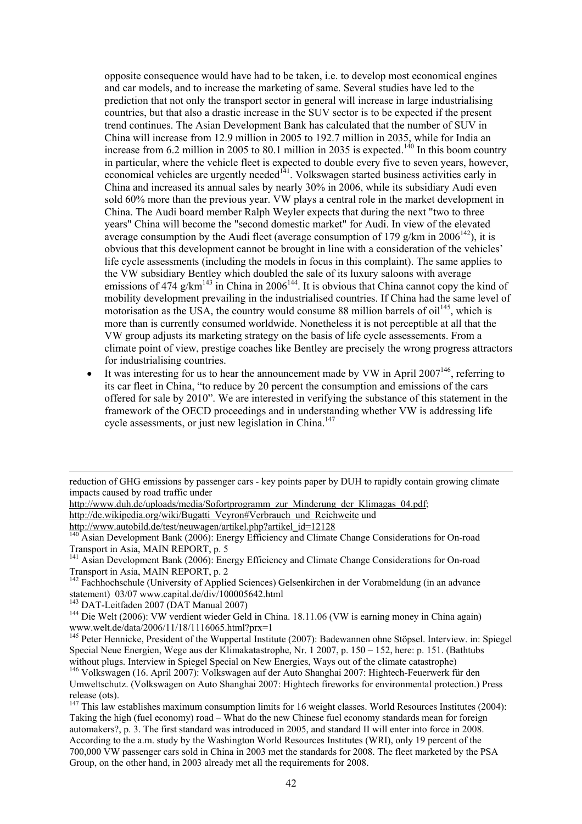opposite consequence would have had to be taken, i.e. to develop most economical engines and car models, and to increase the marketing of same. Several studies have led to the prediction that not only the transport sector in general will increase in large industrialising countries, but that also a drastic increase in the SUV sector is to be expected if the present trend continues. The Asian Development Bank has calculated that the number of SUV in China will increase from 12.9 million in 2005 to 192.7 million in 2035, while for India an increase from 6.2 million in 2005 to 80.1 million in 2035 is expected.<sup>140</sup> In this boom country in particular, where the vehicle fleet is expected to double every five to seven years, however, economical vehicles are urgently needed<sup>141</sup>. Volkswagen started business activities early in China and increased its annual sales by nearly 30% in 2006, while its subsidiary Audi even sold 60% more than the previous year. VW plays a central role in the market development in China. The Audi board member Ralph Weyler expects that during the next "two to three years" China will become the "second domestic market" for Audi. In view of the elevated average consumption by the Audi fleet (average consumption of 179 g/km in  $2006^{142}$ ), it is obvious that this development cannot be brought in line with a consideration of the vehicles' life cycle assessments (including the models in focus in this complaint). The same applies to the VW subsidiary Bentley which doubled the sale of its luxury saloons with average emissions of 474 g/km<sup>143</sup> in China in  $2006^{144}$ . It is obvious that China cannot copy the kind of mobility development prevailing in the industrialised countries. If China had the same level of motorisation as the USA, the country would consume 88 million barrels of  $\text{oil}^{145}$ , which is more than is currently consumed worldwide. Nonetheless it is not perceptible at all that the VW group adjusts its marketing strategy on the basis of life cycle assessements. From a climate point of view, prestige coaches like Bentley are precisely the wrong progress attractors for industrialising countries.

It was interesting for us to hear the announcement made by VW in April  $2007^{146}$ , referring to its car fleet in China, "to reduce by 20 percent the consumption and emissions of the cars offered for sale by 2010". We are interested in verifying the substance of this statement in the framework of the OECD proceedings and in understanding whether VW is addressing life cycle assessments, or just new legislation in China.<sup>147</sup>

http://de.wikipedia.org/wiki/Bugatti\_Veyron#Verbrauch\_und\_Reichweite und<br>http://www.autobild.de/test/neuwagen/artikel.php?artikel\_id=12128

reduction of GHG emissions by passenger cars - key points paper by DUH to rapidly contain growing climate impacts caused by road traffic under

http://www.duh.de/uploads/media/Sofortprogramm\_zur\_Minderung\_der\_Klimagas\_04.pdf;

Asian Development Bank (2006): Energy Efficiency and Climate Change Considerations for On-road Transport in Asia, MAIN REPORT, p. 5

<sup>&</sup>lt;sup>141</sup> Asian Development Bank (2006): Energy Efficiency and Climate Change Considerations for On-road Transport in Asia, MAIN REPORT, p. 2

<sup>&</sup>lt;sup>142</sup> Fachhochschule (University of Applied Sciences) Gelsenkirchen in der Vorabmeldung (in an advance statement) 03/07 www.capital.de/div/100005642.html<br><sup>143</sup> DAT-Leitfaden 2007 (DAT Manual 2007)

<sup>&</sup>lt;sup>144</sup> Die Welt (2006): VW verdient wieder Geld in China. 18.11.06 (VW is earning money in China again) www.welt.de/data/2006/11/18/1116065.html?prx=1

<sup>145</sup> Peter Hennicke, President of the Wuppertal Institute (2007): Badewannen ohne Stöpsel. Interview. in: Spiegel Special Neue Energien, Wege aus der Klimakatastrophe, Nr. 1 2007, p. 150 – 152, here: p. 151. (Bathtubs without plugs. Interview in Spiegel Special on New Energies, Ways out of the climate catastrophe)

 $^{146}$  Volkswagen (16. April 2007): Volkswagen auf der Auto Shanghai 2007: Hightech-Feuerwerk für den Umweltschutz. (Volkswagen on Auto Shanghai 2007: Hightech fireworks for environmental protection.) Press release (ots).

<sup>&</sup>lt;sup>147</sup> This law establishes maximum consumption limits for 16 weight classes. World Resources Institutes (2004): Taking the high (fuel economy) road – What do the new Chinese fuel economy standards mean for foreign automakers?, p. 3. The first standard was introduced in 2005, and standard II will enter into force in 2008. According to the a.m. study by the Washington World Resources Institutes (WRI), only 19 percent of the 700,000 VW passenger cars sold in China in 2003 met the standards for 2008. The fleet marketed by the PSA Group, on the other hand, in 2003 already met all the requirements for 2008.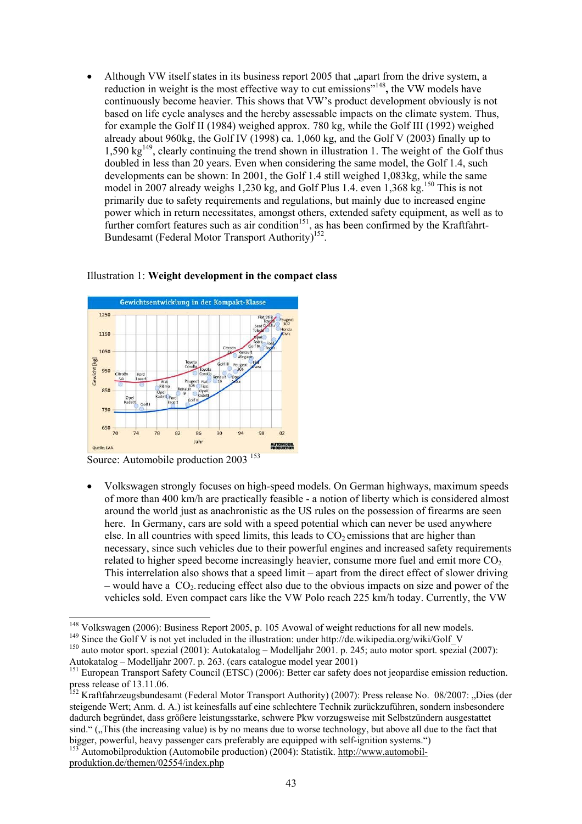Although VW itself states in its business report 2005 that "apart from the drive system, a reduction in weight is the most effective way to cut emissions"148**,** the VW models have continuously become heavier. This shows that VW's product development obviously is not based on life cycle analyses and the hereby assessable impacts on the climate system. Thus, for example the Golf II (1984) weighed approx. 780 kg, while the Golf III (1992) weighed already about 960kg, the Golf IV (1998) ca. 1,060 kg, and the Golf V (2003) finally up to  $1.590 \text{ kg}^{149}$ , clearly continuing the trend shown in illustration 1. The weight of the Golf thus doubled in less than 20 years. Even when considering the same model, the Golf 1.4, such developments can be shown: In 2001, the Golf 1.4 still weighed 1,083kg, while the same model in 2007 already weighs 1,230 kg, and Golf Plus 1.4. even  $1,368$  kg.<sup>150</sup> This is not primarily due to safety requirements and regulations, but mainly due to increased engine power which in return necessitates, amongst others, extended safety equipment, as well as to further comfort features such as air condition<sup>151</sup>, as has been confirmed by the Kraftfahrt-Bundesamt (Federal Motor Transport Authority)<sup>152</sup>.



#### Illustration 1: **Weight development in the compact class**

Source: Automobile production 2003<sup>153</sup>

• Volkswagen strongly focuses on high-speed models. On German highways, maximum speeds of more than 400 km/h are practically feasible - a notion of liberty which is considered almost around the world just as anachronistic as the US rules on the possession of firearms are seen here. In Germany, cars are sold with a speed potential which can never be used anywhere else. In all countries with speed limits, this leads to  $CO<sub>2</sub>$  emissions that are higher than necessary, since such vehicles due to their powerful engines and increased safety requirements related to higher speed become increasingly heavier, consume more fuel and emit more  $CO<sub>2</sub>$ . This interrelation also shows that a speed limit – apart from the direct effect of slower driving – would have a  $CO<sub>2</sub>$  reducing effect also due to the obvious impacts on size and power of the vehicles sold. Even compact cars like the VW Polo reach 225 km/h today. Currently, the VW

produktion.de/themen/02554/index.php

<sup>&</sup>lt;sup>148</sup> Volkswagen (2006): Business Report 2005, p. 105 Avowal of weight reductions for all new models.

<sup>&</sup>lt;sup>149</sup> Since the Golf V is not yet included in the illustration: under http://de.wikipedia.org/wiki/Golf\_V<br><sup>149</sup> Since the Golf V is not yet included in the illustration: under http://de.wikipedia.org/wiki/Golf\_V<br><sup>150</sup> auto Autokatalog – Modelljahr 2007. p. 263. (cars catalogue model year 2001)

<sup>&</sup>lt;sup>151</sup> European Transport Safety Council (ETSC) (2006): Better car safety does not jeopardise emission reduction. press release of 13.11.06.

<sup>&</sup>lt;sup>152</sup> Kraftfahrzeugsbundesamt (Federal Motor Transport Authority) (2007): Press release No. 08/2007: "Dies (der steigende Wert; Anm. d. A.) ist keinesfalls auf eine schlechtere Technik zurückzuführen, sondern insbesondere dadurch begründet, dass größere leistungsstarke, schwere Pkw vorzugsweise mit Selbstzündern ausgestattet sind." ("This (the increasing value) is by no means due to worse technology, but above all due to the fact that bigger, powerful, heavy passenger cars preferably are equipped with self-ignition systems.") <sup>153</sup> Automobilproduktion (Automobile production) (2004): Statistik. http://www.automobil-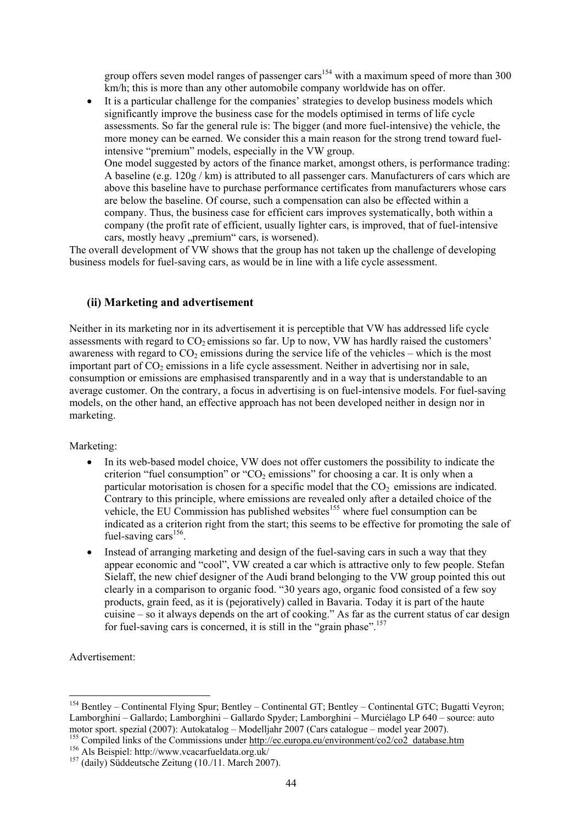group offers seven model ranges of passenger cars<sup>154</sup> with a maximum speed of more than  $300$ km/h; this is more than any other automobile company worldwide has on offer.

• It is a particular challenge for the companies' strategies to develop business models which significantly improve the business case for the models optimised in terms of life cycle assessments. So far the general rule is: The bigger (and more fuel-intensive) the vehicle, the more money can be earned. We consider this a main reason for the strong trend toward fuelintensive "premium" models, especially in the VW group. One model suggested by actors of the finance market, amongst others, is performance trading: A baseline (e.g.  $120g$  / km) is attributed to all passenger cars. Manufacturers of cars which are above this baseline have to purchase performance certificates from manufacturers whose cars are below the baseline. Of course, such a compensation can also be effected within a company. Thus, the business case for efficient cars improves systematically, both within a company (the profit rate of efficient, usually lighter cars, is improved, that of fuel-intensive cars, mostly heavy "premium" cars, is worsened).

The overall development of VW shows that the group has not taken up the challenge of developing business models for fuel-saving cars, as would be in line with a life cycle assessment.

### **(ii) Marketing and advertisement**

Neither in its marketing nor in its advertisement it is perceptible that VW has addressed life cycle assessments with regard to  $CO<sub>2</sub>$  emissions so far. Up to now, VW has hardly raised the customers' awareness with regard to  $CO<sub>2</sub>$  emissions during the service life of the vehicles – which is the most important part of  $CO<sub>2</sub>$  emissions in a life cycle assessment. Neither in advertising nor in sale, consumption or emissions are emphasised transparently and in a way that is understandable to an average customer. On the contrary, a focus in advertising is on fuel-intensive models. For fuel-saving models, on the other hand, an effective approach has not been developed neither in design nor in marketing.

Marketing:

- In its web-based model choice, VW does not offer customers the possibility to indicate the criterion "fuel consumption" or "CO<sub>2</sub> emissions" for choosing a car. It is only when a particular motorisation is chosen for a specific model that the  $CO<sub>2</sub>$  emissions are indicated. Contrary to this principle, where emissions are revealed only after a detailed choice of the vehicle, the EU Commission has published websites<sup>155</sup> where fuel consumption can be indicated as a criterion right from the start; this seems to be effective for promoting the sale of fuel-saving cars $156$ .
- Instead of arranging marketing and design of the fuel-saving cars in such a way that they appear economic and "cool", VW created a car which is attractive only to few people. Stefan Sielaff, the new chief designer of the Audi brand belonging to the VW group pointed this out clearly in a comparison to organic food. "30 years ago, organic food consisted of a few soy products, grain feed, as it is (pejoratively) called in Bavaria. Today it is part of the haute cuisine – so it always depends on the art of cooking." As far as the current status of car design for fuel-saving cars is concerned, it is still in the "grain phase".<sup>157</sup>

Advertisement:

<sup>&</sup>lt;sup>154</sup> Bentley – Continental Flying Spur; Bentley – Continental GT; Bentley – Continental GTC; Bugatti Veyron; Lamborghini – Gallardo; Lamborghini – Gallardo Spyder; Lamborghini – Murciélago LP 640 – source: auto motor sport. spezial (2007): Autokatalog – Modelljahr 2007 (Cars catalogue – model year 2007).

<sup>&</sup>lt;sup>155</sup> Compiled links of the Commissions under <u>http://ec.europa.eu/environment/co2/co2\_database.htm</u> 156 Als Beispiel: http://www.vcacarfueldata.org.uk/ <sup>157</sup> (daily) Süddeutsche Zeitung (10./11. March 2007).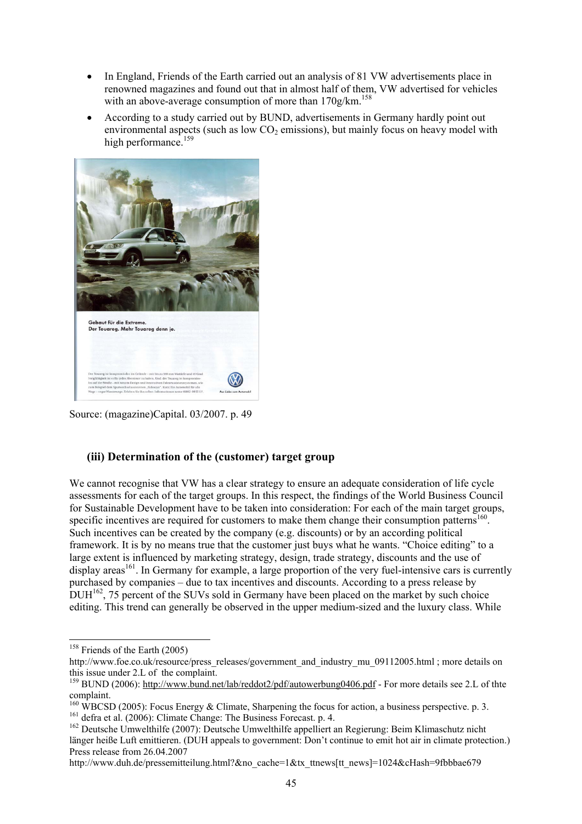- In England, Friends of the Earth carried out an analysis of 81 VW advertisements place in renowned magazines and found out that in almost half of them, VW advertised for vehicles with an above-average consumption of more than  $170$ g/km.<sup>158</sup>
- According to a study carried out by BUND, advertisements in Germany hardly point out environmental aspects (such as low  $CO<sub>2</sub>$  emissions), but mainly focus on heavy model with high performance.<sup>159</sup>



Source: (magazine)Capital. 03/2007. p. 49

### **(iii) Determination of the (customer) target group**

We cannot recognise that VW has a clear strategy to ensure an adequate consideration of life cycle assessments for each of the target groups. In this respect, the findings of the World Business Council for Sustainable Development have to be taken into consideration: For each of the main target groups, specific incentives are required for customers to make them change their consumption patterns<sup>160</sup>. Such incentives can be created by the company (e.g. discounts) or by an according political framework. It is by no means true that the customer just buys what he wants. "Choice editing" to a large extent is influenced by marketing strategy, design, trade strategy, discounts and the use of  $\alpha$  display areas<sup>161</sup>. In Germany for example, a large proportion of the very fuel-intensive cars is currently purchased by companies – due to tax incentives and discounts. According to a press release by  $\text{DUH}^{162}$ , 75 percent of the SUVs sold in Germany have been placed on the market by such choice editing. This trend can generally be observed in the upper medium-sized and the luxury class. While

l

http://www.duh.de/pressemitteilung.html?&no\_cache=1&tx\_ttnews[tt\_news]=1024&cHash=9fbbbae679

<sup>&</sup>lt;sup>158</sup> Friends of the Earth (2005)

http://www.foe.co.uk/resource/press\_releases/government\_and\_industry\_mu\_09112005.html ; more details on this issue under 2.L of the complaint.

<sup>&</sup>lt;sup>159</sup> BUND (2006): http://www.bund.net/lab/reddot2/pdf/autowerbung0406.pdf - For more details see 2.L of thte complaint.

<sup>&</sup>lt;sup>160</sup> WBCSD (2005): Focus Energy & Climate, Sharpening the focus for action, a business perspective. p. 3.<br><sup>161</sup> defra et al. (2006): Climate Change: The Business Forecast. p. 4.<br><sup>162</sup> Deutsche Umwelthilfe (2007): Deutsch

länger heiße Luft emittieren. (DUH appeals to government: Don't continue to emit hot air in climate protection.) Press release from 26.04.2007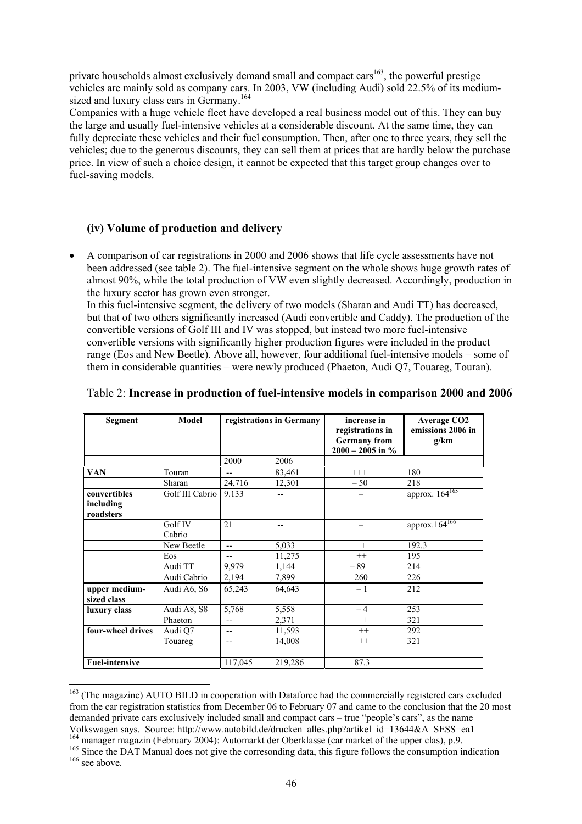private households almost exclusively demand small and compact cars $163$ , the powerful prestige vehicles are mainly sold as company cars. In 2003, VW (including Audi) sold 22.5% of its mediumsized and luxury class cars in Germany.<sup>164</sup>

Companies with a huge vehicle fleet have developed a real business model out of this. They can buy the large and usually fuel-intensive vehicles at a considerable discount. At the same time, they can fully depreciate these vehicles and their fuel consumption. Then, after one to three years, they sell the vehicles; due to the generous discounts, they can sell them at prices that are hardly below the purchase price. In view of such a choice design, it cannot be expected that this target group changes over to fuel-saving models.

### **(iv) Volume of production and delivery**

l

• A comparison of car registrations in 2000 and 2006 shows that life cycle assessments have not been addressed (see table 2). The fuel-intensive segment on the whole shows huge growth rates of almost 90%, while the total production of VW even slightly decreased. Accordingly, production in the luxury sector has grown even stronger.

In this fuel-intensive segment, the delivery of two models (Sharan and Audi TT) has decreased, but that of two others significantly increased (Audi convertible and Caddy). The production of the convertible versions of Golf III and IV was stopped, but instead two more fuel-intensive convertible versions with significantly higher production figures were included in the product range (Eos and New Beetle). Above all, however, four additional fuel-intensive models – some of them in considerable quantities – were newly produced (Phaeton, Audi Q7, Touareg, Touran).

| Segment               | Model           | registrations in Germany |         | increase in                               | <b>Average CO2</b>         |
|-----------------------|-----------------|--------------------------|---------|-------------------------------------------|----------------------------|
|                       |                 |                          |         | registrations in                          | emissions 2006 in          |
|                       |                 |                          |         | <b>Germany</b> from<br>$2000 - 2005$ in % | g/km                       |
|                       |                 | 2000                     | 2006    |                                           |                            |
| <b>VAN</b>            | Touran          | --                       | 83,461  | $+++$                                     | 180                        |
|                       | Sharan          | 24,716                   | 12,301  | $-50$                                     | 218                        |
| convertibles          | Golf III Cabrio | 9.133                    | $-$     |                                           | approx. 164 <sup>165</sup> |
| including             |                 |                          |         |                                           |                            |
| roadsters             |                 |                          |         |                                           |                            |
|                       | Golf IV         | 21                       | $-$     |                                           | approx.164 <sup>166</sup>  |
|                       | Cabrio          |                          |         |                                           |                            |
|                       | New Beetle      | $- -$                    | 5,033   | $+$                                       | 192.3                      |
|                       | Eos             | $- -$                    | 11,275  | $^{++}$                                   | 195                        |
|                       | Audi TT         | 9,979                    | 1,144   | $-89$                                     | 214                        |
|                       | Audi Cabrio     | 2,194                    | 7,899   | 260                                       | 226                        |
| upper medium-         | Audi A6, S6     | 65,243                   | 64,643  | $-1$                                      | 212                        |
| sized class           |                 |                          |         |                                           |                            |
| luxury class          | Audi A8, S8     | 5,768                    | 5,558   | $-4$                                      | 253                        |
|                       | Phaeton         | $-$                      | 2,371   | $+$                                       | 321                        |
| four-wheel drives     | Audi Q7         | $-$                      | 11,593  | $^{++}$                                   | 292                        |
|                       | Touareg         | $-$                      | 14,008  | $^{++}$                                   | 321                        |
|                       |                 |                          |         |                                           |                            |
| <b>Fuel-intensive</b> |                 | 117,045                  | 219,286 | 87.3                                      |                            |

### Table 2: **Increase in production of fuel-intensive models in comparison 2000 and 2006**

<sup>&</sup>lt;sup>163</sup> (The magazine) AUTO BILD in cooperation with Dataforce had the commercially registered cars excluded from the car registration statistics from December 06 to February 07 and came to the conclusion that the 20 most demanded private cars exclusively included small and compact cars – true "people's cars", as the name

Volkswagen says. Source: http://www.autobild.de/drucken\_alles.php?artikel\_id=13644&A\_SESS=ea1<br><sup>164</sup> manager magazin (February 2004): Automarkt der Oberklasse (car market of the upper clas), p.9.<br><sup>165</sup> Since the DAT Manual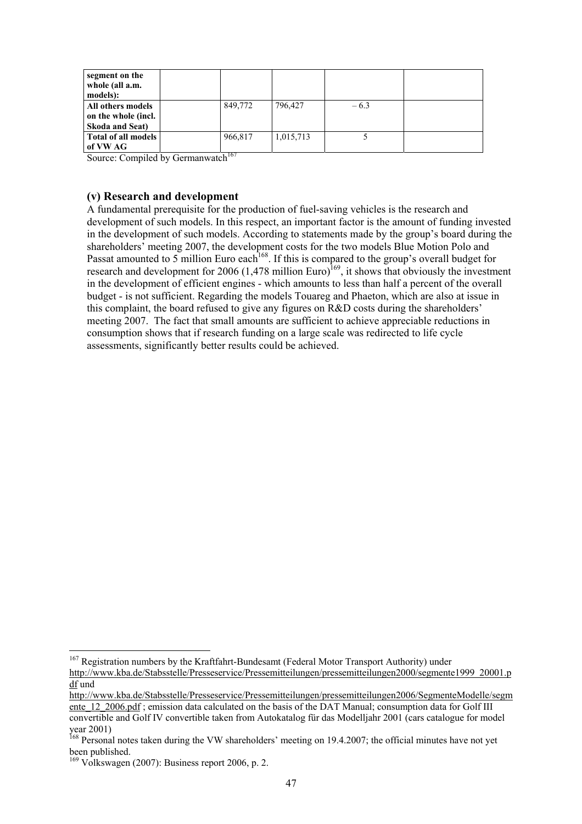| segment on the<br>whole (all a.m.<br>models):                      |                |           |        |  |
|--------------------------------------------------------------------|----------------|-----------|--------|--|
| All others models<br>on the whole (incl.<br><b>Skoda and Seat)</b> | 849,772        | 796.427   | $-6.3$ |  |
| Total of all models<br>of VW AG                                    | 966,817<br>--- | 1,015,713 |        |  |

Source: Compiled by Germanwatch<sup>167</sup>

### **(v) Research and development**

A fundamental prerequisite for the production of fuel-saving vehicles is the research and development of such models. In this respect, an important factor is the amount of funding invested in the development of such models. According to statements made by the group's board during the shareholders' meeting 2007, the development costs for the two models Blue Motion Polo and Passat amounted to 5 million Euro each<sup>168</sup>. If this is compared to the group's overall budget for research and development for 2006 (1,478 million Euro)<sup>169</sup>, it shows that obviously the investment in the development of efficient engines - which amounts to less than half a percent of the overall budget - is not sufficient. Regarding the models Touareg and Phaeton, which are also at issue in this complaint, the board refused to give any figures on R&D costs during the shareholders' meeting 2007. The fact that small amounts are sufficient to achieve appreciable reductions in consumption shows that if research funding on a large scale was redirected to life cycle assessments, significantly better results could be achieved.

l <sup>167</sup> Registration numbers by the Kraftfahrt-Bundesamt (Federal Motor Transport Authority) under http://www.kba.de/Stabsstelle/Presseservice/Pressemitteilungen/pressemitteilungen2000/segmente1999\_20001.p df und

http://www.kba.de/Stabsstelle/Presseservice/Pressemitteilungen/pressemitteilungen2006/SegmenteModelle/segm ente 12, 2006.pdf ; emission data calculated on the basis of the DAT Manual; consumption data for Golf III convertible and Golf IV convertible taken from Autokatalog für das Modelljahr 2001 (cars catalogue for model year 2001)

<sup>&</sup>lt;sup>168</sup> Personal notes taken during the VW shareholders' meeting on 19.4.2007; the official minutes have not yet been published.

<sup>&</sup>lt;sup>169</sup> Volkswagen (2007): Business report 2006, p. 2.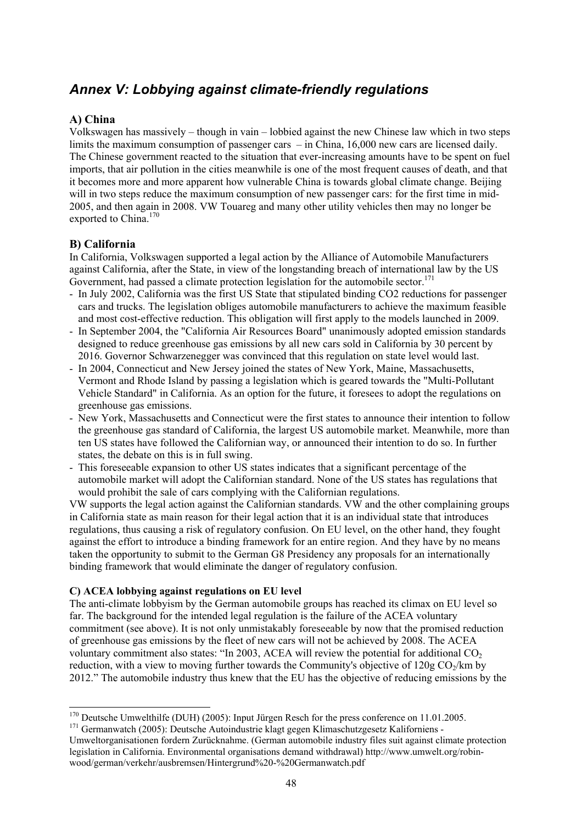# *Annex V: Lobbying against climate-friendly regulations*

### **A) China**

Volkswagen has massively – though in vain – lobbied against the new Chinese law which in two steps limits the maximum consumption of passenger cars – in China, 16,000 new cars are licensed daily. The Chinese government reacted to the situation that ever-increasing amounts have to be spent on fuel imports, that air pollution in the cities meanwhile is one of the most frequent causes of death, and that it becomes more and more apparent how vulnerable China is towards global climate change. Beijing will in two steps reduce the maximum consumption of new passenger cars: for the first time in mid-2005, and then again in 2008. VW Touareg and many other utility vehicles then may no longer be exported to China.<sup>170</sup>

### **B) California**

In California, Volkswagen supported a legal action by the Alliance of Automobile Manufacturers against California, after the State, in view of the longstanding breach of international law by the US Government, had passed a climate protection legislation for the automobile sector.<sup>171</sup>

- In July 2002, California was the first US State that stipulated binding CO2 reductions for passenger cars and trucks. The legislation obliges automobile manufacturers to achieve the maximum feasible and most cost-effective reduction. This obligation will first apply to the models launched in 2009.
- In September 2004, the "California Air Resources Board" unanimously adopted emission standards designed to reduce greenhouse gas emissions by all new cars sold in California by 30 percent by 2016. Governor Schwarzenegger was convinced that this regulation on state level would last.
- In 2004, Connecticut and New Jersey joined the states of New York, Maine, Massachusetts, Vermont and Rhode Island by passing a legislation which is geared towards the "Multi-Pollutant Vehicle Standard" in California. As an option for the future, it foresees to adopt the regulations on greenhouse gas emissions.
- New York, Massachusetts and Connecticut were the first states to announce their intention to follow the greenhouse gas standard of California, the largest US automobile market. Meanwhile, more than ten US states have followed the Californian way, or announced their intention to do so. In further states, the debate on this is in full swing.
- This foreseeable expansion to other US states indicates that a significant percentage of the automobile market will adopt the Californian standard. None of the US states has regulations that would prohibit the sale of cars complying with the Californian regulations.

VW supports the legal action against the Californian standards. VW and the other complaining groups in California state as main reason for their legal action that it is an individual state that introduces regulations, thus causing a risk of regulatory confusion. On EU level, on the other hand, they fought against the effort to introduce a binding framework for an entire region. And they have by no means taken the opportunity to submit to the German G8 Presidency any proposals for an internationally binding framework that would eliminate the danger of regulatory confusion.

### **C) ACEA lobbying against regulations on EU level**

The anti-climate lobbyism by the German automobile groups has reached its climax on EU level so far. The background for the intended legal regulation is the failure of the ACEA voluntary commitment (see above). It is not only unmistakably foreseeable by now that the promised reduction of greenhouse gas emissions by the fleet of new cars will not be achieved by 2008. The ACEA voluntary commitment also states: "In 2003, ACEA will review the potential for additional  $CO<sub>2</sub>$ reduction, with a view to moving further towards the Community's objective of  $120g \text{ CO}_2/km$  by 2012." The automobile industry thus knew that the EU has the objective of reducing emissions by the

l <sup>170</sup> Deutsche Umwelthilfe (DUH) (2005): Input Jürgen Resch for the press conference on 11.01.2005.<br><sup>171</sup> Germanwatch (2005): Deutsche Autoindustrie klagt gegen Klimaschutzgesetz Kaliforniens -

Umweltorganisationen fordern Zurücknahme. (German automobile industry files suit against climate protection legislation in California. Environmental organisations demand withdrawal) http://www.umwelt.org/robinwood/german/verkehr/ausbremsen/Hintergrund%20-%20Germanwatch.pdf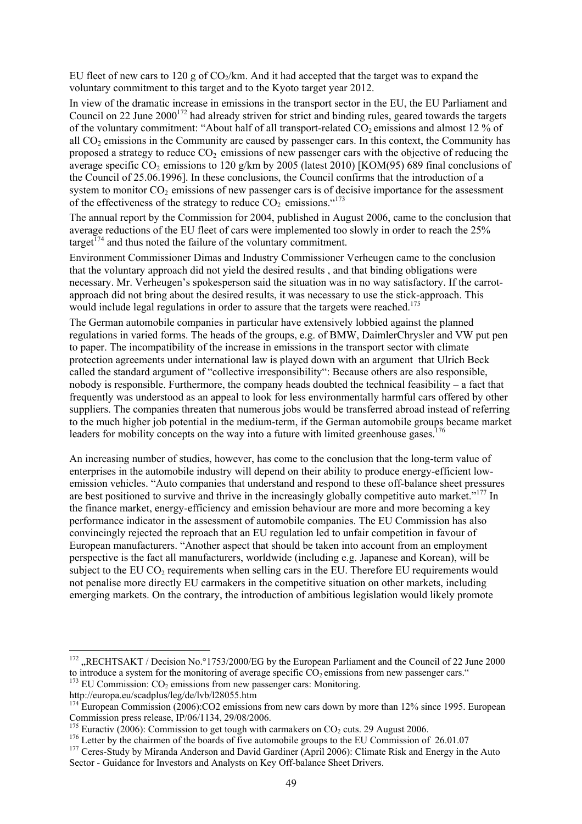EU fleet of new cars to 120 g of  $CO<sub>2</sub>/km$ . And it had accepted that the target was to expand the voluntary commitment to this target and to the Kyoto target year 2012.

In view of the dramatic increase in emissions in the transport sector in the EU, the EU Parliament and Council on 22 June  $2000^{172}$  had already striven for strict and binding rules, geared towards the targets of the voluntary commitment: "About half of all transport-related  $CO<sub>2</sub>$  emissions and almost 12 % of all  $CO<sub>2</sub>$  emissions in the Community are caused by passenger cars. In this context, the Community has proposed a strategy to reduce  $CO<sub>2</sub>$  emissions of new passenger cars with the objective of reducing the average specific  $CO_2$  emissions to 120 g/km by 2005 (latest 2010) [KOM(95) 689 final conclusions of the Council of 25.06.1996]. In these conclusions, the Council confirms that the introduction of a system to monitor  $CO<sub>2</sub>$  emissions of new passenger cars is of decisive importance for the assessment of the effectiveness of the strategy to reduce  $CO<sub>2</sub>$  emissions.  $4^{173}$ 

The annual report by the Commission for 2004, published in August 2006, came to the conclusion that average reductions of the EU fleet of cars were implemented too slowly in order to reach the 25% target<sup> $174$ </sup> and thus noted the failure of the voluntary commitment.

Environment Commissioner Dimas and Industry Commissioner Verheugen came to the conclusion that the voluntary approach did not yield the desired results , and that binding obligations were necessary. Mr. Verheugen's spokesperson said the situation was in no way satisfactory. If the carrotapproach did not bring about the desired results, it was necessary to use the stick-approach. This would include legal regulations in order to assure that the targets were reached.<sup>175</sup>

The German automobile companies in particular have extensively lobbied against the planned regulations in varied forms. The heads of the groups, e.g. of BMW, DaimlerChrysler and VW put pen to paper. The incompatibility of the increase in emissions in the transport sector with climate protection agreements under international law is played down with an argument that Ulrich Beck called the standard argument of "collective irresponsibility": Because others are also responsible, nobody is responsible. Furthermore, the company heads doubted the technical feasibility – a fact that frequently was understood as an appeal to look for less environmentally harmful cars offered by other suppliers. The companies threaten that numerous jobs would be transferred abroad instead of referring to the much higher job potential in the medium-term, if the German automobile groups became market leaders for mobility concepts on the way into a future with limited greenhouse gases.<sup>176</sup>

An increasing number of studies, however, has come to the conclusion that the long-term value of enterprises in the automobile industry will depend on their ability to produce energy-efficient lowemission vehicles. "Auto companies that understand and respond to these off-balance sheet pressures are best positioned to survive and thrive in the increasingly globally competitive auto market."<sup>177</sup> In the finance market, energy-efficiency and emission behaviour are more and more becoming a key performance indicator in the assessment of automobile companies. The EU Commission has also convincingly rejected the reproach that an EU regulation led to unfair competition in favour of European manufacturers. "Another aspect that should be taken into account from an employment perspective is the fact all manufacturers, worldwide (including e.g. Japanese and Korean), will be subject to the EU  $CO_2$  requirements when selling cars in the EU. Therefore EU requirements would not penalise more directly EU carmakers in the competitive situation on other markets, including emerging markets. On the contrary, the introduction of ambitious legislation would likely promote

<sup>&</sup>lt;sup>172</sup>, RECHTSAKT / Decision No.°1753/2000/EG by the European Parliament and the Council of 22 June 2000 to introduce a system for the monitoring of average specific  $CO_2$  emissions from new passenger cars."  $^{173}$  EU Commission: CO<sub>2</sub> emissions from new passenger cars: Monitoring.

http://europa.eu/scadplus/leg/de/lvb/l28055.htm

 $174$  European Commission (2006):CO2 emissions from new cars down by more than 12% since 1995. European Commission press release, IP/06/1134, 29/08/2006.<br><sup>175</sup> Euractiv (2006): Commission to get tough with carmakers on  $CO_2$  cuts. 29 August 2006.

<sup>&</sup>lt;sup>176</sup> Letter by the chairmen of the boards of five automobile groups to the EU Commission of 26.01.07<br><sup>177</sup> Ceres-Study by Miranda Anderson and David Gardiner (April 2006): Climate Risk and Energy in the Auto

Sector - Guidance for Investors and Analysts on Key Off-balance Sheet Drivers.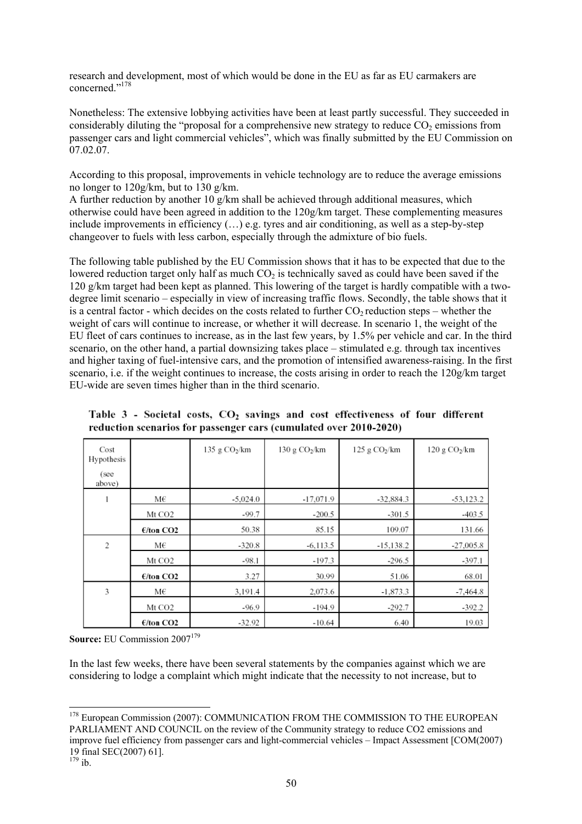research and development, most of which would be done in the EU as far as EU carmakers are concerned<sup>",178</sup>

Nonetheless: The extensive lobbying activities have been at least partly successful. They succeeded in considerably diluting the "proposal for a comprehensive new strategy to reduce  $CO<sub>2</sub>$  emissions from passenger cars and light commercial vehicles", which was finally submitted by the EU Commission on 07.02.07.

According to this proposal, improvements in vehicle technology are to reduce the average emissions no longer to 120g/km, but to 130 g/km.

A further reduction by another 10 g/km shall be achieved through additional measures, which otherwise could have been agreed in addition to the 120g/km target. These complementing measures include improvements in efficiency (…) e.g. tyres and air conditioning, as well as a step-by-step changeover to fuels with less carbon, especially through the admixture of bio fuels.

The following table published by the EU Commission shows that it has to be expected that due to the lowered reduction target only half as much  $CO<sub>2</sub>$  is technically saved as could have been saved if the 120 g/km target had been kept as planned. This lowering of the target is hardly compatible with a twodegree limit scenario – especially in view of increasing traffic flows. Secondly, the table shows that it is a central factor - which decides on the costs related to further  $CO<sub>2</sub>$  reduction steps – whether the weight of cars will continue to increase, or whether it will decrease. In scenario 1, the weight of the EU fleet of cars continues to increase, as in the last few years, by 1.5% per vehicle and car. In the third scenario, on the other hand, a partial downsizing takes place – stimulated e.g. through tax incentives and higher taxing of fuel-intensive cars, and the promotion of intensified awareness-raising. In the first scenario, i.e. if the weight continues to increase, the costs arising in order to reach the 120g/km target EU-wide are seven times higher than in the third scenario.

Table 3 - Societal costs, CO<sub>2</sub> savings and cost effectiveness of four different reduction scenarios for passenger cars (cumulated over 2010-2020)

| Cost<br>Hypothesis<br>(see<br>above) |                    | 135 g $CO2/km$ | $130$ g $CO2/km$ | $125$ g $CO2/km$ | 120 g CO <sub>2</sub> /km |
|--------------------------------------|--------------------|----------------|------------------|------------------|---------------------------|
|                                      | М€                 | $-5.024.0$     | $-17,071.9$      | $-32,884.3$      | $-53.123.2$               |
|                                      | Mt CO <sub>2</sub> | $-99.7$        | $-200.5$         | $-301.5$         | $-403.5$                  |
|                                      | E/ton CO2          | 50.38          | 85.15            | 109.07           | 131.66                    |
| 2                                    | М€                 | $-320.8$       | $-6,113.5$       | $-15,138.2$      | $-27,005.8$               |
|                                      | Mt CO <sub>2</sub> | $-98.1$        | $-197.3$         | $-296.5$         | -397.1                    |
|                                      | E/ton CO2          | 3.27           | 30.99            | 51.06            | 68.01                     |
| 3                                    | М€                 | 3,191.4        | 2,073.6          | $-1,873.3$       | -7,464.8                  |
|                                      | Mt CO <sub>2</sub> | -96.9          | $-194.9$         | $-292.7$         | -392.2                    |
|                                      | E/ton CO2          | $-32.92$       | $-10.64$         | 6.40             | 19.03                     |

**Source: EU Commission 2007<sup>179</sup>** 

In the last few weeks, there have been several statements by the companies against which we are considering to lodge a complaint which might indicate that the necessity to not increase, but to

<sup>&</sup>lt;sup>178</sup> European Commission (2007): COMMUNICATION FROM THE COMMISSION TO THE EUROPEAN PARLIAMENT AND COUNCIL on the review of the Community strategy to reduce CO2 emissions and improve fuel efficiency from passenger cars and light-commercial vehicles – Impact Assessment [COM(2007) 19 final SEC(2007) 61].

 $179$  ib.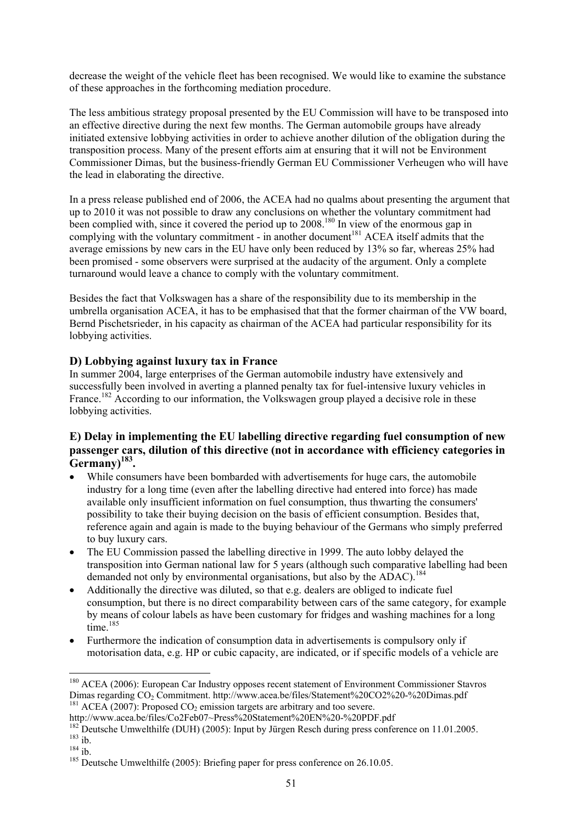decrease the weight of the vehicle fleet has been recognised. We would like to examine the substance of these approaches in the forthcoming mediation procedure.

The less ambitious strategy proposal presented by the EU Commission will have to be transposed into an effective directive during the next few months. The German automobile groups have already initiated extensive lobbying activities in order to achieve another dilution of the obligation during the transposition process. Many of the present efforts aim at ensuring that it will not be Environment Commissioner Dimas, but the business-friendly German EU Commissioner Verheugen who will have the lead in elaborating the directive.

In a press release published end of 2006, the ACEA had no qualms about presenting the argument that up to 2010 it was not possible to draw any conclusions on whether the voluntary commitment had been complied with, since it covered the period up to 2008.<sup>180</sup> In view of the enormous gap in complying with the voluntary commitment - in another document<sup>181</sup> ACEA itself admits that the average emissions by new cars in the EU have only been reduced by 13% so far, whereas 25% had been promised - some observers were surprised at the audacity of the argument. Only a complete turnaround would leave a chance to comply with the voluntary commitment.

Besides the fact that Volkswagen has a share of the responsibility due to its membership in the umbrella organisation ACEA, it has to be emphasised that that the former chairman of the VW board, Bernd Pischetsrieder, in his capacity as chairman of the ACEA had particular responsibility for its lobbying activities.

### **D) Lobbying against luxury tax in France**

In summer 2004, large enterprises of the German automobile industry have extensively and successfully been involved in averting a planned penalty tax for fuel-intensive luxury vehicles in France.<sup>182</sup> According to our information, the Volkswagen group played a decisive role in these lobbying activities.

### **E) Delay in implementing the EU labelling directive regarding fuel consumption of new passenger cars, dilution of this directive (not in accordance with efficiency categories in** Germany<sup>183</sup>.

- While consumers have been bombarded with advertisements for huge cars, the automobile industry for a long time (even after the labelling directive had entered into force) has made available only insufficient information on fuel consumption, thus thwarting the consumers' possibility to take their buying decision on the basis of efficient consumption. Besides that, reference again and again is made to the buying behaviour of the Germans who simply preferred to buy luxury cars.
- The EU Commission passed the labelling directive in 1999. The auto lobby delayed the transposition into German national law for 5 years (although such comparative labelling had been demanded not only by environmental organisations, but also by the ADAC).<sup>184</sup>
- Additionally the directive was diluted, so that e.g. dealers are obliged to indicate fuel consumption, but there is no direct comparability between cars of the same category, for example by means of colour labels as have been customary for fridges and washing machines for a long time.<sup>185</sup>
- Furthermore the indication of consumption data in advertisements is compulsory only if motorisation data, e.g. HP or cubic capacity, are indicated, or if specific models of a vehicle are

<sup>&</sup>lt;sup>180</sup> ACEA (2006): European Car Industry opposes recent statement of Environment Commissioner Stavros Dimas regarding  $CO_2$  Commitment. http://www.acea.be/files/Statement%20CO2%20-%20Dimas.pdf<br><sup>181</sup> ACEA (2007): Proposed  $CO_2$  emission targets are arbitrary and too severe.<br>http://www.acea.be/files/Co2Feb07~Press%20Stateme

<sup>&</sup>lt;sup>182</sup> Deutsche Umwelthilfe (DUH) (2005): Input by Jürgen Resch during press conference on 11.01.2005.<br><sup>183</sup> ib.<br><sup>184</sup> ib.<br><sup>184</sup> Deutsche Umwelthilfe (2005): Briefing paper for press conference on 26.10.05.